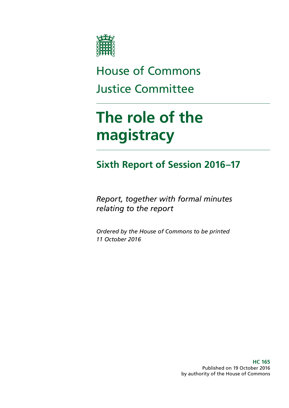

## House of Commons Justice Committee

# **The role of the magistracy**

### **Sixth Report of Session 2016–17**

*Report, together with formal minutes relating to the report*

*Ordered by the House of Commons to be printed 11 October 2016*

> **HC 165** Published on 19 October 2016 by authority of the House of Commons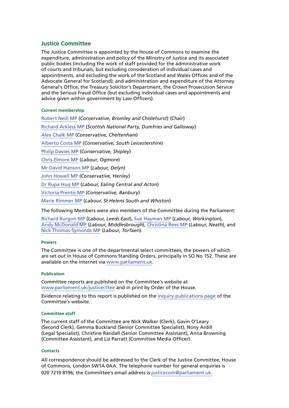#### **Justice Committee**

The Justice Committee is appointed by the House of Commons to examine the expenditure, administration and policy of the Ministry of Justice and its associated public bodies (including the work of staff provided for the administrative work of courts and tribunals, but excluding consideration of individual cases and appointments, and excluding the work of the Scotland and Wales Offices and of the Advocate General for Scotland); and administration and expenditure of the Attorney General's Office, the Treasury Solicitor's Department, the Crown Prosecution Service and the Serious Fraud Office (but excluding individual cases and appointments and advice given within government by Law Officers).

#### **Current membership**

[Robert Neill MP](http://www.parliament.uk/biographies/commons/robert-neill/1601) (*Conservative, Bromley and Chislehurst*) (*Chair*) [Richard Arkless MP](http://www.parliament.uk/biographies/commons/richard-arkless/4387) (*Scottish National Party, Dumfries and Galloway*) [Alex Chalk MP](http://www.parliament.uk/biographies/commons/alex-chalk/4481) (*Conservative, Cheltenham*) [Alberto Costa MP](http://www.parliament.uk/biographies/commons/alberto-costa/4439) (*Conservative, South Leicestershire*) [Philip Davies MP](http://www.parliament.uk/biographies/commons/philip-davies/1565) (*Conservative, Shipley*) [Chris Elmore MP](http://www.parliament.uk/biographies/commons/chris-elmore/4572) (*Labour, Ogmore*) [Mr David Hanson MP](http://www.parliament.uk/biographies/commons/mr-david-hanson/533) (*Labour, Delyn*) [John Howell MP](http://www.parliament.uk/biographies/commons/john-howell/1606) (*Conservative, Henley*) [Dr Rupa Huq MP](http://www.parliament.uk/biographies/commons/dr-rupa-huq/4511) (*Labour, Ealing Central and Acton*) [Victoria Prentis MP](http://www.parliament.uk/biographies/commons/victoria-prentis/4401) (*Conservative, Banbury*) [Marie Rimmer MP](http://www.parliament.uk/biographies/commons/marie-rimmer/4457) (*Labour, St Helens South and Whiston*)

The following Members were also members of the Committee during the Parliament:

[Richard Burgon MP](http://www.parliament.uk/biographies/commons/richard-burgon/4493) (*Labour, Leeds East*), [Sue Hayman MP](http://www.parliament.uk/biographies/commons/sue-hayman/4395) (*Labour, Workington*), Andy [McDonald MP](http://www.parliament.uk/biographies/commons/andy-mcdonald/4269) (*Labour, Middlesbrough*)*,* [Christina Rees MP](http://www.parliament.uk/biographies/commons/christina-rees/4525) (*Labour, Neath*), and [Nick Thomas-Symonds MP](http://www.parliament.uk/biographies/commons/nick-thomas-symonds/4479) (*Labour, Torfaen*).

#### **Powers**

The Committee is one of the departmental select committees, the powers of which are set out in House of Commons Standing Orders, principally in SO No 152. These are available on the internet via [www.parliament.uk.](http://www.parliament.uk/)

#### **Publication**

Committee reports are published on the Committee's website at [www.parliament.uk/justicecttee](http://www.parliament.uk/justicecttee) and in print by Order of the House.

Evidence relating to this report is published on the [inquiry publications page](http://www.parliament.uk/business/committees/committees-a-z/commons-select/justice-committee/inquiries/parliament-2015/role-of-the-magistracy-inquiry-15-16/publications/) of the Committee's website.

#### **Committee staff**

The current staff of the Committee are Nick Walker (Clerk), Gavin O'Leary (Second Clerk), Gemma Buckland (Senior Committee Specialist), Nony Ardill (Legal Specialist), Christine Randall (Senior Committee Assistant), Anna Browning (Committee Assistant), and Liz Parratt (Committee Media Officer).

#### **Contacts**

All correspondence should be addressed to the Clerk of the Justice Committee, House of Commons, London SW1A 0AA. The telephone number for general enquiries is 020 7219 8196; the Committee's email address is [justicecom@parliament.uk](mailto:justicecom@parliament.uk).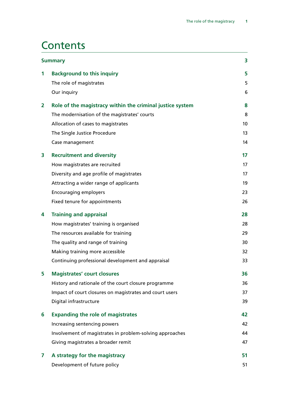### **Contents**

| <b>Summary</b> |                                                           | 3  |
|----------------|-----------------------------------------------------------|----|
| 1              | <b>Background to this inquiry</b>                         | 5  |
|                | The role of magistrates                                   | 5  |
|                | Our inquiry                                               | 6  |
| 2              | Role of the magistracy within the criminal justice system | 8  |
|                | The modernisation of the magistrates' courts              | 8  |
|                | Allocation of cases to magistrates                        | 10 |
|                | The Single Justice Procedure                              | 13 |
|                | Case management                                           | 14 |
| 3              | <b>Recruitment and diversity</b>                          | 17 |
|                | How magistrates are recruited                             | 17 |
|                | Diversity and age profile of magistrates                  | 17 |
|                | Attracting a wider range of applicants                    | 19 |
|                | <b>Encouraging employers</b>                              | 23 |
|                | Fixed tenure for appointments                             | 26 |
| 4              | <b>Training and appraisal</b>                             | 28 |
|                | How magistrates' training is organised                    | 28 |
|                | The resources available for training                      | 29 |
|                | The quality and range of training                         | 30 |
|                | Making training more accessible                           | 32 |
|                | Continuing professional development and appraisal         | 33 |
| 5              | <b>Magistrates' court closures</b>                        | 36 |
|                | History and rationale of the court closure programme      | 36 |
|                | Impact of court closures on magistrates and court users   | 37 |
|                | Digital infrastructure                                    | 39 |
| 6              | <b>Expanding the role of magistrates</b>                  | 42 |
|                | Increasing sentencing powers                              | 42 |
|                | Involvement of magistrates in problem-solving approaches  | 44 |
|                | Giving magistrates a broader remit                        | 47 |
| 7              | A strategy for the magistracy                             | 51 |
|                | Development of future policy                              | 51 |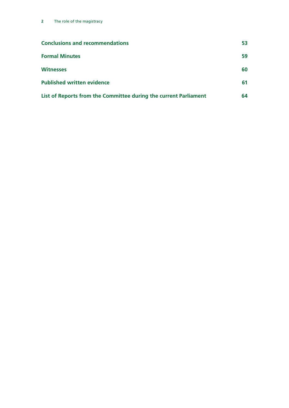| <b>Conclusions and recommendations</b>                           | 53 |
|------------------------------------------------------------------|----|
| <b>Formal Minutes</b>                                            | 59 |
| <b>Witnesses</b>                                                 | 60 |
| <b>Published written evidence</b>                                | 61 |
| List of Reports from the Committee during the current Parliament | 64 |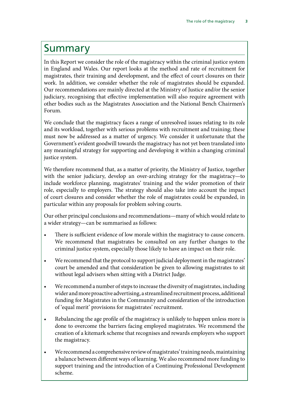### <span id="page-4-0"></span>Summary

In this Report we consider the role of the magistracy within the criminal justice system in England and Wales. Our report looks at the method and rate of recruitment for magistrates, their training and development, and the effect of court closures on their work. In addition, we consider whether the role of magistrates should be expanded. Our recommendations are mainly directed at the Ministry of Justice and/or the senior judiciary, recognising that effective implementation will also require agreement with other bodies such as the Magistrates Association and the National Bench Chairmen's Forum.

We conclude that the magistracy faces a range of unresolved issues relating to its role and its workload, together with serious problems with recruitment and training; these must now be addressed as a matter of urgency. We consider it unfortunate that the Government's evident goodwill towards the magistracy has not yet been translated into any meaningful strategy for supporting and developing it within a changing criminal justice system.

We therefore recommend that, as a matter of priority, the Ministry of Justice, together with the senior judiciary, develop an over-arching strategy for the magistracy—to include workforce planning, magistrates' training and the wider promotion of their role, especially to employers. The strategy should also take into account the impact of court closures and consider whether the role of magistrates could be expanded, in particular within any proposals for problem solving courts.

Our other principal conclusions and recommendations—many of which would relate to a wider strategy—can be summarised as follows:

- There is sufficient evidence of low morale within the magistracy to cause concern. We recommend that magistrates be consulted on any further changes to the criminal justice system, especially those likely to have an impact on their role.
- We recommend that the protocol to support judicial deployment in the magistrates' court be amended and that consideration be given to allowing magistrates to sit without legal advisers when sitting with a District Judge.
- We recommend a number of steps to increase the diversity of magistrates, including wider and more proactive advertising, a streamlined recruitment process, additional funding for Magistrates in the Community and consideration of the introduction of 'equal merit' provisions for magistrates' recruitment.
- Rebalancing the age profile of the magistracy is unlikely to happen unless more is done to overcome the barriers facing employed magistrates. We recommend the creation of a kitemark scheme that recognises and rewards employers who support the magistracy.
- We recommend a comprehensive review of magistrates' training needs, maintaining a balance between different ways of learning. We also recommend more funding to support training and the introduction of a Continuing Professional Development scheme.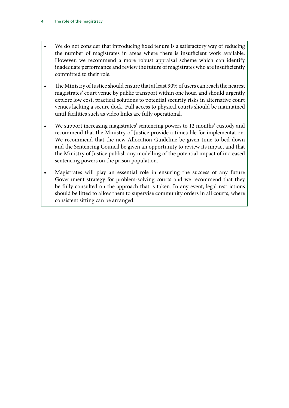- We do not consider that introducing fixed tenure is a satisfactory way of reducing the number of magistrates in areas where there is insufficient work available. However, we recommend a more robust appraisal scheme which can identify inadequate performance and review the future of magistrates who are insufficiently committed to their role.
- The Ministry of Justice should ensure that at least 90% of users can reach the nearest magistrates' court venue by public transport within one hour, and should urgently explore low cost, practical solutions to potential security risks in alternative court venues lacking a secure dock. Full access to physical courts should be maintained until facilities such as video links are fully operational.
- We support increasing magistrates' sentencing powers to 12 months' custody and recommend that the Ministry of Justice provide a timetable for implementation. We recommend that the new Allocation Guideline be given time to bed down and the Sentencing Council be given an opportunity to review its impact and that the Ministry of Justice publish any modelling of the potential impact of increased sentencing powers on the prison population.
- Magistrates will play an essential role in ensuring the success of any future Government strategy for problem-solving courts and we recommend that they be fully consulted on the approach that is taken. In any event, legal restrictions should be lifted to allow them to supervise community orders in all courts, where consistent sitting can be arranged.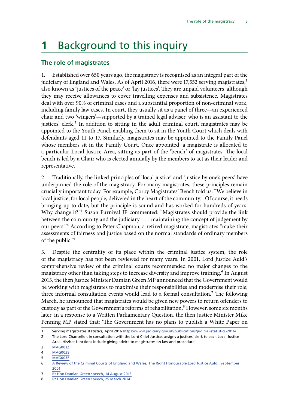## <span id="page-6-0"></span>**1** Background to this inquiry

#### **The role of magistrates**

1. Established over 650 years ago, the magistracy is recognised as an integral part of the judiciary of England and Wales. As of April 2016, there were 17,552 serving magistrates,<sup>1</sup> also known as 'justices of the peace' or 'lay justices'. They are unpaid volunteers, although they may receive allowances to cover travelling expenses and subsistence. Magistrates deal with over 90% of criminal cases and a substantial proportion of non-criminal work, including family law cases. In court, they usually sit as a panel of three—an experienced chair and two 'wingers'—supported by a trained legal adviser, who is an assistant to the justices' clerk.<sup>2</sup> In addition to sitting in the adult criminal court, magistrates may be appointed to the Youth Panel, enabling them to sit in the Youth Court which deals with defendants aged 11 to 17. Similarly, magistrates may be appointed to the Family Panel whose members sit in the Family Court. Once appointed, a magistrate is allocated to a particular Local Justice Area, sitting as part of the 'bench' of magistrates. The local bench is led by a Chair who is elected annually by the members to act as their leader and representative.

2. Traditionally, the linked principles of 'local justice' and 'justice by one's peers' have underpinned the role of the magistracy. For many magistrates, these principles remain crucially important today. For example, Corby Magistrates' Bench told us: "We believe in local justice, for local people, delivered in the heart of the community. Of course, it needs bringing up to date, but the principle is sound and has worked for hundreds of years. Why change it?"3 Susan Furnival JP commented: "Magistrates should provide the link between the community and the judiciary … . maintaining the concept of judgement by our peers."4 According to Peter Chapman, a retired magistrate, magistrates "make their assessments of fairness and justice based on the normal standards of ordinary members of the public."5

3. Despite the centrality of its place within the criminal justice system, the role of the magistracy has not been reviewed for many years. In 2001, Lord Justice Auld's comprehensive review of the criminal courts recommended no major changes to the magistracy other than taking steps to increase diversity and improve training.<sup>6</sup> In August 2013, the then Justice Minister Damian Green MP announced that the Government would be working with magistrates to maximise their responsibilities and modernise their role; three informal consultation events would lead to a formal consultation.<sup>7</sup> The following March, he announced that magistrates would be given new powers to return offenders to custody as part of the Government's reforms of rehabilitation.<sup>8</sup> However, some six months later, in a response to a Written Parliamentary Question, the then Justice Minister Mike Penning MP stated that: 'The Government has no plans to publish a White Paper on

3 [MAG0012](http://data.parliament.uk/writtenevidence/committeeevidence.svc/evidencedocument/justice-committee/role-of-the-magistracy/written/26504.html)

5 [MAG0036](http://data.parliament.uk/writtenevidence/committeeevidence.svc/evidencedocument/justice-committee/role-of-the-magistracy/written/27594.html)

<sup>1</sup> Serving magistrates statistics, April 2016<https://www.judiciary.gov.uk/publications/judicial-statistics-2016/>

<sup>2</sup> The Lord Chancellor, in consultation with the Lord Chief Justice, assigns a justices' clerk to each Local Justice Area. His/her functions include giving advice to magistrates on law and procedure.

<sup>4</sup> [MAG0039](http://data.parliament.uk/writtenevidence/committeeevidence.svc/evidencedocument/justice-committee/role-of-the-magistracy/written/27610.html)

<sup>6</sup> [A Review of the Criminal Courts of England and Wales, The Right Honourable Lord Justice Auld, September](http://webarchive.nationalarchives.gov.uk/+/http:/www.criminal-courts-review.org.uk/)  [2001](http://webarchive.nationalarchives.gov.uk/+/http:/www.criminal-courts-review.org.uk/)

<sup>7</sup> [Rt Hon Damian Green speech, 14 August 2013](https://www.gov.uk/government/news/damian-green-reforming-the-role-of-magistrates)

<sup>8</sup> [Rt Hon Damian Green speech, 25 March 2014](https://www.gov.uk/government/news/damian-green-new-rehabilitation-powers-for-magistrates)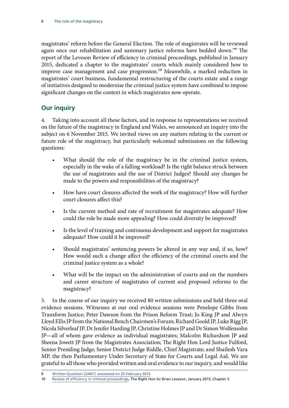<span id="page-7-0"></span>magistrates' reform before the General Election. The role of magistrates will be reviewed again once our rehabilitation and summary justice reforms have bedded down."9 The report of the Leveson Review of efficiency in criminal proceedings, published in January 2015, dedicated a chapter to the magistrates' courts which mainly considered how to improve case management and case progression.<sup>10</sup> Meanwhile, a marked reduction in magistrates' court business, fundamental restructuring of the courts estate and a range of initiatives designed to modernise the criminal justice system have combined to impose significant changes on the context in which magistrates now operate.

#### **Our inquiry**

4. Taking into account all these factors, and in response to representations we received on the future of the magistracy in England and Wales, we announced an inquiry into the subject on 6 November 2015. We invited views on any matters relating to the current or future role of the magistracy, but particularly welcomed submissions on the following questions:

- What should the role of the magistracy be in the criminal justice system, especially in the wake of a falling workload? Is the right balance struck between the use of magistrates and the use of District Judges? Should any changes be made to the powers and responsibilities of the magistracy?
- How have court closures affected the work of the magistracy? How will further court closures affect this?
- Is the current method and rate of recruitment for magistrates adequate? How could the role be made more appealing? How could diversity be improved?
- Is the level of training and continuous development and support for magistrates adequate? How could it be improved?
- Should magistrates' sentencing powers be altered in any way and, if so, how? How would such a change affect the efficiency of the criminal courts and the criminal justice system as a whole?
- What will be the impact on the administration of courts and on the numbers and career structure of magistrates of current and proposed reforms to the magistracy?

5. In the course of our inquiry we received 80 written submissions and held three oral evidence sessions. Witnesses at our oral evidence sessions were Penelope Gibbs from Transform Justice; Peter Dawson from the Prison Reform Trust; Jo King JP and Alwyn Lloyd Ellis JP from the National Bench Chairmen's Forum; Richard Goold JP, Luke Rigg JP, Nicola Silverleaf JP, Dr Jenifer Harding JP, Christine Holmes JP and Dr Simon Wolfensohn JP—all of whom gave evidence as individual magistrates; Malcolm Richardson JP and Sheena Jowett JP from the Magistrates Association; The Right Hon Lord Justice Fulford, Senior Presiding Judge; Senior District Judge Riddle, Chief Magistrate; and Shailesh Vara MP, the then Parliamentary Under Secretary of State for Courts and Legal Aid. We are grateful to all those who provided written and oral evidence to our inquiry, and would like

<sup>9</sup> [Written Question 224617, answered on 25 February 2015](http://www.parliament.uk/written-questions-answers-statements/written-question/commons/2015-02-20/224617)

<sup>10</sup> [Review of efficiency in criminal proceedings,](https://www.judiciary.gov.uk/wp-content/uploads/2015/01/review-of-efficiency-in-criminal-proceedings-20151.pdf) The Right Hon Sir Brian Leveson, January 2015; Chapter 5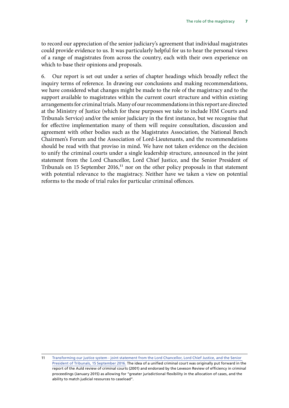to record our appreciation of the senior judiciary's agreement that individual magistrates could provide evidence to us. It was particularly helpful for us to hear the personal views of a range of magistrates from across the country, each with their own experience on which to base their opinions and proposals.

6. Our report is set out under a series of chapter headings which broadly reflect the inquiry terms of reference. In drawing our conclusions and making recommendations, we have considered what changes might be made to the role of the magistracy and to the support available to magistrates within the current court structure and within existing arrangements for criminal trials. Many of our recommendations in this report are directed at the Ministry of Justice (which for these purposes we take to include HM Courts and Tribunals Service) and/or the senior judiciary in the first instance, but we recognise that for effective implementation many of them will require consultation, discussion and agreement with other bodies such as the Magistrates Association, the National Bench Chairmen's Forum and the Association of Lord-Lieutenants, and the recommendations should be read with that proviso in mind. We have not taken evidence on the decision to unify the criminal courts under a single leadership structure, announced in the joint statement from the Lord Chancellor, Lord Chief Justice, and the Senior President of Tribunals on 15 September  $2016$ ,<sup>11</sup> nor on the other policy proposals in that statement with potential relevance to the magistracy. Neither have we taken a view on potential reforms to the mode of trial rules for particular criminal offences.

<sup>11</sup> [Transforming our justice system - joint statement from the Lord Chancellor, Lord Chief Justice, and the Senior](https://www.gov.uk/government/uploads/system/uploads/attachment_data/file/553261/joint-vision-statement.pdf)  [President of Tribunals, 15 September 2016.](https://www.gov.uk/government/uploads/system/uploads/attachment_data/file/553261/joint-vision-statement.pdf) The idea of a unified criminal court was originally put forward in the report of the Auld review of criminal courts (2001) and endorsed by the Leveson Review of efficiency in criminal proceedings (January 2015) as allowing for "greater jurisdictional flexibility in the allocation of cases, and the ability to match judicial resources to caseload".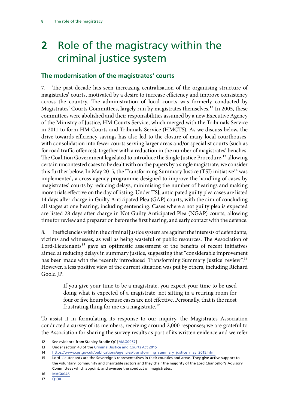## <span id="page-9-0"></span>**2** Role of the magistracy within the criminal justice system

#### **The modernisation of the magistrates' courts**

7. The past decade has seen increasing centralisation of the organising structure of magistrates' courts, motivated by a desire to increase efficiency and improve consistency across the country. The administration of local courts was formerly conducted by Magistrates' Courts Committees, largely run by magistrates themselves.<sup>12</sup> In 2005, these committees were abolished and their responsibilities assumed by a new Executive Agency of the Ministry of Justice, HM Courts Service, which merged with the Tribunals Service in 2011 to form HM Courts and Tribunals Service (HMCTS). As we discuss below, the drive towards efficiency savings has also led to the closure of many local courthouses, with consolidation into fewer courts serving larger areas and/or specialist courts (such as for road traffic offences), together with a reduction in the number of magistrates' benches. The Coalition Government legislated to introduce the Single Justice Procedure,<sup>13</sup> allowing certain uncontested cases to be dealt with on the papers by a single magistrate; we consider this further below. In May 2015, the Transforming Summary Justice (TSJ) initiative<sup>14</sup> was implemented, a cross-agency programme designed to improve the handling of cases by magistrates' courts by reducing delays, minimising the number of hearings and making more trials effective on the day of listing. Under TSJ, anticipated guilty plea cases are listed 14 days after charge in Guilty Anticipated Plea (GAP) courts, with the aim of concluding all stages at one hearing, including sentencing. Cases where a not guilty plea is expected are listed 28 days after charge in Not Guilty Anticipated Plea (NGAP) courts, allowing time for review and preparation before the first hearing, and early contact with the defence.

8. Inefficiencies within the criminal justice system are against the interests of defendants, victims and witnesses, as well as being wasteful of public resources. The Association of Lord-Lieutenants<sup>15</sup> gave an optimistic assessment of the benefits of recent initiatives aimed at reducing delays in summary justice, suggesting that "considerable improvement has been made with the recently introduced 'Transforming Summary Justice' review".<sup>16</sup> However, a less positive view of the current situation was put by others, including Richard Goold JP:

> If you give your time to be a magistrate, you expect your time to be used doing what is expected of a magistrate, not sitting in a retiring room for four or five hours because cases are not effective. Personally, that is the most frustrating thing for me as a magistrate.<sup>17</sup>

To assist it in formulating its response to our inquiry, the Magistrates Association conducted a survey of its members, receiving around 2,000 responses; we are grateful to the Association for sharing the survey results as part of its written evidence and we refer

<sup>12</sup> See evidence from Stanley Brodie QC [\[MAG0057\]](http://data.parliament.uk/writtenevidence/committeeevidence.svc/evidencedocument/justice-committee/role-of-the-magistracy/written/27964.html)

<sup>13</sup> Under section 48 of the [Criminal Justice and Courts Act 2015](http://www.legislation.gov.uk/ukpga/2015/2/contents/enacted)

<sup>14</sup> [https://www.cps.gov.uk/publications/agencies/transforming\\_summary\\_justice\\_may\\_2015.html](https://www.cps.gov.uk/publications/agencies/transforming_summary_justice_may_2015.html)

<sup>15</sup> Lord-Lieutenants are the Sovereign's representatives in their counties and areas. They give active support to the voluntary, community and charitable sectors and they chair the majority of the Lord Chancellor's Advisory Committees which appoint, and oversee the conduct of, magistrates.

<sup>16</sup> [MAG0046](http://data.parliament.uk/writtenevidence/committeeevidence.svc/evidencedocument/justice-committee/role-of-the-magistracy/written/27849.html)

<sup>17</sup> [Q130](http://data.parliament.uk/writtenevidence/committeeevidence.svc/evidencedocument/justice-committee/role-of-the-magistracy/oral/33285.html)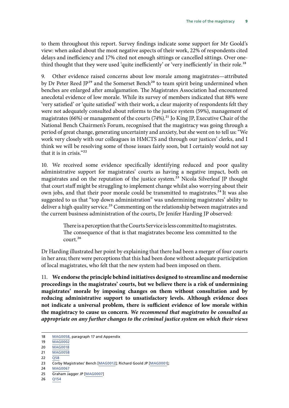to them throughout this report. Survey findings indicate some support for Mr Goold's view: when asked about the most negative aspects of their work, 22% of respondents cited delays and inefficiency and 17% cited not enough sittings or cancelled sittings. Over onethird thought that they were used 'quite inefficiently' or 'very inefficiently' in their role.<sup>18</sup>

9. Other evidence raised concerns about low morale among magistrates—attributed by Dr Peter Reed  $IP^{19}$  and the Somerset Bench<sup>20</sup> to team spirit being undermined when benches are enlarged after amalgamation. The Magistrates Association had encountered anecdotal evidence of low morale. While its survey of members indicated that 88% were 'very satisfied' or 'quite satisfied' with their work, a clear majority of respondents felt they were not adequately consulted about reforms to the justice system (59%), management of magistrates (66%) or management of the courts (74%).<sup>21</sup> Jo King JP, Executive Chair of the National Bench Chairmen's Forum, recognised that the magistracy was going through a period of great change, generating uncertainty and anxiety, but she went on to tell us: "We work very closely with our colleagues in HMCTS and through our justices' clerks, and I think we will be resolving some of those issues fairly soon, but I certainly would not say that it is in crisis."22

10. We received some evidence specifically identifying reduced and poor quality administrative support for magistrates' courts as having a negative impact, both on magistrates and on the reputation of the justice system.<sup>23</sup> Nicola Silverleaf JP thought that court staff might be struggling to implement change whilst also worrying about their own jobs, and that their poor morale could be transmitted to magistrates.<sup>24</sup> It was also suggested to us that "top down administration" was undermining magistrates' ability to deliver a high quality service.<sup>25</sup> Commenting on the relationship between magistrates and the current business administration of the courts, Dr Jenifer Harding JP observed:

> There is a perception that the Courts Service is less committed to magistrates. The consequence of that is that magistrates become less committed to the court.26

Dr Harding illustrated her point by explaining that there had been a merger of four courts in her area; there were perceptions that this had been done without adequate participation of local magistrates, who felt that the new system had been imposed on them.

11. **We endorse the principle behind initiatives designed to streamline and modernise proceedings in the magistrates' courts, but we believe there is a risk of undermining magistrates' morale by imposing changes on them without consultation and by reducing administrative support to unsatisfactory levels. Although evidence does not indicate a universal problem, there is sufficient evidence of low morale within the magistracy to cause us concern.** *We recommend that magistrates be consulted as appropriate on any further changes to the criminal justice system on which their views* 

26 [Q154](http://data.parliament.uk/writtenevidence/committeeevidence.svc/evidencedocument/justice-committee/role-of-the-magistracy/oral/33285.pdf)

<sup>18</sup> [MAG0058,](http://data.parliament.uk/writtenevidence/committeeevidence.svc/evidencedocument/justice-committee/role-of-the-magistracy/written/27965.pdf) paragraph 17 and Appendix

<sup>19</sup> [MAG0002](http://data.parliament.uk/writtenevidence/committeeevidence.svc/evidencedocument/justice-committee/role-of-the-magistracy/written/24484.pdf)

<sup>20</sup> [MAG0018](http://data.parliament.uk/writtenevidence/committeeevidence.svc/evidencedocument/justice-committee/role-of-the-magistracy/written/26680.html)

<sup>21</sup> [MAG0058](http://data.parliament.uk/writtenevidence/committeeevidence.svc/evidencedocument/justice-committee/role-of-the-magistracy/written/27965.html)

<sup>22</sup> [Q58](http://data.parliament.uk/writtenevidence/committeeevidence.svc/evidencedocument/justice-committee/role-of-the-magistracy/oral/31038.pdf)

<sup>23</sup> Corby Magistrates' Bench [\[MAG0012\]](http://data.parliament.uk/writtenevidence/committeeevidence.svc/evidencedocument/justice-committee/role-of-the-magistracy/written/26504.html); Richard Goold JP [\[MAG0001](http://data.parliament.uk/writtenevidence/committeeevidence.svc/evidencedocument/justice-committee/role-of-the-magistracy/written/24248.html)];

<sup>24</sup> [MAG0067](http://data.parliament.uk/writtenevidence/committeeevidence.svc/evidencedocument/justice-committee/role-of-the-magistracy/written/28020.html)

<sup>25</sup> Graham Jagger JP [\[MAG0007\]](http://data.parliament.uk/writtenevidence/committeeevidence.svc/evidencedocument/justice-committee/role-of-the-magistracy/written/25516.html)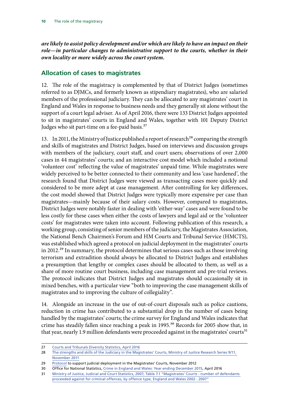<span id="page-11-0"></span>*are likely to assist policy development and/or which are likely to have an impact on their*  role—in particular changes to administrative support to the courts, whether in their *own locality or more widely across the court system.*

#### **Allocation of cases to magistrates**

12. The role of the magistracy is complemented by that of District Judges (sometimes referred to as DJMCs, and formerly known as stipendiary magistrates), who are salaried members of the professional judiciary. They can be allocated to any magistrates' court in England and Wales in response to business needs and they generally sit alone without the support of a court legal adviser. As of April 2016, there were 133 District Judges appointed to sit in magistrates' courts in England and Wales, together with 101 Deputy District Judges who sit part-time on a fee-paid basis.<sup>27</sup>

13. In 2011, the Ministry of Justice published a report of research<sup>28</sup> comparing the strength and skills of magistrates and District Judges, based on interviews and discussion groups with members of the judiciary, court staff, and court users; observations of over 2,000 cases in 44 magistrates' courts; and an interactive cost model which included a notional 'volunteer cost' reflecting the value of magistrates' unpaid time. While magistrates were widely perceived to be better connected to their community and less 'case hardened', the research found that District Judges were viewed as transacting cases more quickly and considered to be more adept at case management. After controlling for key differences, the cost model showed that District Judges were typically more expensive per case than magistrates—mainly because of their salary costs. However, compared to magistrates, District Judges were notably faster in dealing with 'either-way' cases and were found to be less costly for these cases when either the costs of lawyers and legal aid or the 'volunteer costs' for magistrates were taken into account. Following publication of this research, a working group, consisting of senior members of the judiciary, the Magistrates Association, the National Bench Chairmen's Forum and HM Courts and Tribunal Service (HMCTS), was established which agreed a protocol on judicial deployment in the magistrates' courts in 2012.<sup>29</sup> In summary, the protocol determines that serious cases such as those involving terrorism and extradition should always be allocated to District Judges and establishes a presumption that lengthy or complex cases should be allocated to them, as well as a share of more routine court business, including case management and pre-trial reviews. The protocol indicates that District Judges and magistrates should occasionally sit in mixed benches, with a particular view "both to improving the case management skills of magistrates and to improving the culture of collegiality".

14. Alongside an increase in the use of out-of-court disposals such as police cautions, reduction in crime has contributed to a substantial drop in the number of cases being handled by the magistrates' courts; the crime survey for England and Wales indicates that crime has steadily fallen since reaching a peak in 1995.<sup>30</sup> Records for 2005 show that, in that year, nearly 1.9 million defendants were proceeded against in the magistrates' courts<sup>31</sup>

29 [Protocol](https://www.judiciary.gov.uk/wp-content/uploads/JCO/Documents/Protocols/support-judicial-deployment-in-magistrates-court.pdf) to support judicial deployment in the Magistrates' Courts, November 2012

<sup>27</sup> [Courts and Tribunals Diversity Statistics, April 2016](https://www.judiciary.gov.uk/publications/judicial-statistics-2016/)

<sup>28</sup> [The strengths and skills of the Judiciary in the Magistrates' Courts, Ministry of Justice Research Series 9/11,](https://www.gov.uk/government/uploads/system/uploads/attachment_data/file/217366/strengths-skills-judiciary.pdf)  [November 2011](https://www.gov.uk/government/uploads/system/uploads/attachment_data/file/217366/strengths-skills-judiciary.pdf)

<sup>30</sup> Office for National Statistics, Crime in England and Wales: Year ending December 2015, April 2016

<sup>31</sup> [Ministry of Justice, Judicial and Court Statistics, 2007; Table 7.1 "Magistrates' Courts - number of defendants](https://www.gov.uk/government/uploads/system/uploads/attachment_data/file/238698/7467.pdf)  [proceeded against for criminal offences, by offence type, England and Wales 2002 - 2007"](https://www.gov.uk/government/uploads/system/uploads/attachment_data/file/238698/7467.pdf)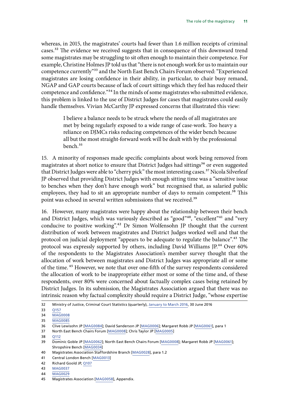whereas, in 2015, the magistrates' courts had fewer than 1.6 million receipts of criminal cases.32 The evidence we received suggests that in consequence of this downward trend some magistrates may be struggling to sit often enough to maintain their competence. For example, Christine Holmes JP told us that "there is not enough work for us to maintain our competence currently"33 and the North East Bench Chairs Forum observed: "Experienced magistrates are losing confidence in their ability, in particular, to chair busy remand, NGAP and GAP courts because of lack of court sittings which they feel has reduced their competence and confidence."<sup>34</sup> In the minds of some magistrates who submitted evidence, this problem is linked to the use of District Judges for cases that magistrates could easily handle themselves. Vivian McCarthy JP expressed concerns that illustrated this view:

> I believe a balance needs to be struck where the needs of all magistrates are met by being regularly exposed to a wide range of case-work. Too heavy a reliance on DJMCs risks reducing competences of the wider bench because all but the most straight-forward work will be dealt with by the professional bench.35

15. A minority of responses made specific complaints about work being removed from magistrates at short notice to ensure that District Judges had sittings<sup>36</sup> or even suggested that District Judges were able to "cherry pick" the most interesting cases.<sup>37</sup> Nicola Silverleaf JP observed that providing District Judges with enough sitting time was a "sensitive issue to benches when they don't have enough work" but recognised that, as salaried public employees, they had to sit an appropriate number of days to remain competent.<sup>38</sup> This point was echoed in several written submissions that we received.<sup>39</sup>

16. However, many magistrates were happy about the relationship between their bench and District Judges, which was variously described as "good"<sup>40</sup>, "excellent"<sup>41</sup> and "very conducive to positive working".<sup>42</sup> Dr Simon Wolfensohn JP thought that the current distribution of work between magistrates and District Judges worked well and that the protocol on judicial deployment "appears to be adequate to regulate the balance".<sup>43</sup> The protocol was expressly supported by others, including David Williams JP.<sup>44</sup> Over 60% of the respondents to the Magistrates Association's member survey thought that the allocation of work between magistrates and District Judges was appropriate all or some of the time.<sup>45</sup> However, we note that over one-fifth of the survey respondents considered the allocation of work to be inappropriate either most or some of the time and, of these respondents, over 80% were concerned about factually complex cases being retained by District Judges. In its submission, the Magistrates Association argued that there was no intrinsic reason why factual complexity should require a District Judge, "whose expertise

<sup>32</sup> Ministry of Justice, Criminal Court Statistics (quarterly), [January to March 2016](https://www.gov.uk/government/statistics/criminal-court-statistics-quarterly-january-to-march-2016), 30 June 2016

<sup>33</sup> O157

<sup>34</sup> [MAG0008](http://data.parliament.uk/writtenevidence/committeeevidence.svc/evidencedocument/justice-committee/role-of-the-magistracy/written/25766.html)

<sup>35</sup> [MAG0085](http://data.parliament.uk/writtenevidence/committeeevidence.svc/evidencedocument/justice-committee/role-of-the-magistracy/written/33933.html)

<sup>36</sup> Clive Lewisohn JP [\[MAG0084](http://data.parliament.uk/writtenevidence/committeeevidence.svc/evidencedocument/justice-committee/role-of-the-magistracy/written/33928.html)]; David Sanderson JP [[MAG0006\]](http://data.parliament.uk/writtenevidence/committeeevidence.svc/evidencedocument/justice-committee/role-of-the-magistracy/written/25470.html); Margaret Robb JP [[MAG0061\]](http://data.parliament.uk/writtenevidence/committeeevidence.svc/evidencedocument/justice-committee/role-of-the-magistracy/written/27989.html), para 1

<sup>37</sup> North East Bench Chairs Forum [[MAG0008\]](http://data.parliament.uk/writtenevidence/committeeevidence.svc/evidencedocument/justice-committee/role-of-the-magistracy/written/25766.html); Chris Taylor JP [[MAG0005](http://data.parliament.uk/writtenevidence/committeeevidence.svc/evidencedocument/justice-committee/role-of-the-magistracy/written/25007.html)]

<sup>38</sup> [Q112](http://data.parliament.uk/writtenevidence/committeeevidence.svc/evidencedocument/justice-committee/role-of-the-magistracy/oral/33285.html)

<sup>39</sup> Dominic Goble JP [\[MAG0062\]](http://data.parliament.uk/writtenevidence/committeeevidence.svc/evidencedocument/justice-committee/role-of-the-magistracy/written/27991.html); North East Bench Chairs Forum [[MAG0008\]](http://data.parliament.uk/writtenevidence/committeeevidence.svc/evidencedocument/justice-committee/role-of-the-magistracy/written/25766.html); Margaret Robb JP [[MAG0061\]](http://data.parliament.uk/writtenevidence/committeeevidence.svc/evidencedocument/justice-committee/role-of-the-magistracy/written/27989.html); Shropshire Bench [\[MAG0034\]](http://data.parliament.uk/writtenevidence/committeeevidence.svc/evidencedocument/justice-committee/role-of-the-magistracy/written/27535.html)

<sup>40</sup> Magistrates Association Staffordshire Branch [[MAG0028](http://data.parliament.uk/writtenevidence/committeeevidence.svc/evidencedocument/justice-committee/role-of-the-magistracy/written/27199.html)], para 1.2

<sup>41</sup> Central London Bench [\[MAG0013](http://data.parliament.uk/writtenevidence/committeeevidence.svc/evidencedocument/justice-committee/role-of-the-magistracy/written/26522.html)]

<sup>42</sup> Richard Goold JP, [Q107](http://data.parliament.uk/writtenevidence/committeeevidence.svc/evidencedocument/justice-committee/role-of-the-magistracy/oral/33285.html)

<sup>43</sup> [MAG0037](http://data.parliament.uk/writtenevidence/committeeevidence.svc/evidencedocument/justice-committee/role-of-the-magistracy/written/27598.html)

<sup>44</sup> [MAG0029](http://data.parliament.uk/writtenevidence/committeeevidence.svc/evidencedocument/justice-committee/role-of-the-magistracy/written/27325.html)

<sup>45</sup> Magistrates Association [\[MAG0058\]](http://data.parliament.uk/writtenevidence/committeeevidence.svc/evidencedocument/justice-committee/role-of-the-magistracy/written/27965.html), Appendix.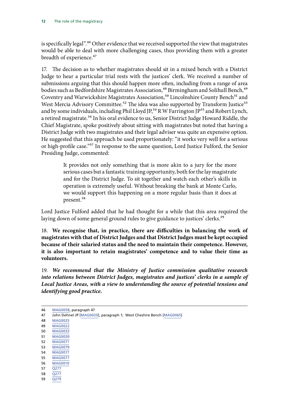is specifically legal".<sup>46</sup> Other evidence that we received supported the view that magistrates would be able to deal with more challenging cases, thus providing them with a greater breadth of experience.<sup>47</sup>

17. The decision as to whether magistrates should sit in a mixed bench with a District Judge to hear a particular trial rests with the justices' clerk. We received a number of submissions arguing that this should happen more often, including from a range of area bodies such as Bedfordshire Magistrates Association,<sup>48</sup> Birmingham and Solihull Bench,<sup>49</sup> Coventry and Warwickshire Magistrates Association,<sup>50</sup> Lincolnshire County Bench<sup>51</sup> and West Mercia Advisory Committee.<sup>52</sup> The idea was also supported by Transform Justice<sup>53</sup> and by some individuals, including Phil Lloyd JP,<sup>54</sup> R W Farrington JP<sup>55</sup> and Robert Lynch, a retired magistrate.<sup>56</sup> In his oral evidence to us, Senior District Judge Howard Riddle, the Chief Magistrate, spoke positively about sitting with magistrates but noted that having a District Judge with two magistrates and their legal adviser was quite an expensive option. He suggested that this approach be used proportionately: "it works very well for a serious or high-profile case."57 In response to the same question, Lord Justice Fulford, the Senior Presiding Judge, commented:

> It provides not only something that is more akin to a jury for the more serious cases but a fantastic training opportunity, both for the lay magistrate and for the District Judge. To sit together and watch each other's skills in operation is extremely useful. Without breaking the bank at Monte Carlo, we would support this happening on a more regular basis than it does at present.58

Lord Justice Fulford added that he had thought for a while that this area required the laying down of some general ground rules to give guidance to justices' clerks.<sup>59</sup>

18. **We recognise that, in practice, there are difficulties in balancing the work of magistrates with that of District Judges and that District Judges must be kept occupied because of their salaried status and the need to maintain their competence. However, it is also important to retain magistrates' competence and to value their time as volunteers.**

19. *We recommend that the Ministry of Justice commission qualitative research into relations between District Judges, magistrates and justices' clerks in a sample of Local Justice Areas, with a view to understanding the source of potential tensions and identifying good practice.*

59 [Q279](http://data.parliament.uk/writtenevidence/committeeevidence.svc/evidencedocument/justice-committee/role-of-the-magistracy/oral/34558.pdf)

<sup>46</sup> [MAG0058,](http://data.parliament.uk/writtenevidence/committeeevidence.svc/evidencedocument/justice-committee/role-of-the-magistracy/written/27965.html) paragraph 47 47 John Dehnel JP [\[MAG0020\]](http://data.parliament.uk/writtenevidence/committeeevidence.svc/evidencedocument/justice-committee/role-of-the-magistracy/written/26791.html), paragraph 1; West Cheshire Bench [\[MAG0065](http://data.parliament.uk/writtenevidence/committeeevidence.svc/evidencedocument/justice-committee/role-of-the-magistracy/written/28006.html)] 48 [MAG0025](http://data.parliament.uk/writtenevidence/committeeevidence.svc/evidencedocument/justice-committee/role-of-the-magistracy/written/26955.html) 49 [MAG0022](http://data.parliament.uk/writtenevidence/committeeevidence.svc/evidencedocument/justice-committee/role-of-the-magistracy/written/26915.html) 50 [MAG0033](http://data.parliament.uk/writtenevidence/committeeevidence.svc/evidencedocument/justice-committee/role-of-the-magistracy/written/27510.html) 51 [MAG0030](http://data.parliament.uk/writtenevidence/committeeevidence.svc/evidencedocument/justice-committee/role-of-the-magistracy/written/27419.html) 52 [MAG0071](http://data.parliament.uk/writtenevidence/committeeevidence.svc/evidencedocument/justice-committee/role-of-the-magistracy/written/28063.html) 53 [MAG0079](http://data.parliament.uk/writtenevidence/committeeevidence.svc/evidencedocument/justice-committee/role-of-the-magistracy/written/31202.html) 54 [MAG0017](http://data.parliament.uk/writtenevidence/committeeevidence.svc/evidencedocument/justice-committee/role-of-the-magistracy/written/26566.html)  55 [MAG0077](http://data.parliament.uk/writtenevidence/committeeevidence.svc/evidencedocument/justice-committee/role-of-the-magistracy/written/28746.html) 56 [MAG0010](http://data.parliament.uk/writtenevidence/committeeevidence.svc/evidencedocument/justice-committee/role-of-the-magistracy/written/26472.html) 57 [Q277](http://data.parliament.uk/writtenevidence/committeeevidence.svc/evidencedocument/justice-committee/role-of-the-magistracy/oral/34558.pdf)

<sup>58</sup> [Q277](http://data.parliament.uk/writtenevidence/committeeevidence.svc/evidencedocument/justice-committee/role-of-the-magistracy/oral/34558.pdf)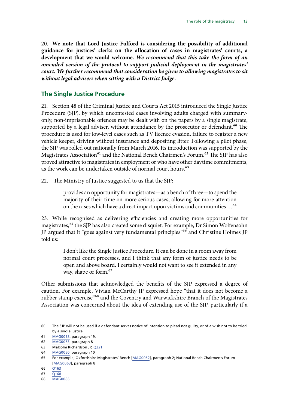<span id="page-14-0"></span>20. **We note that Lord Justice Fulford is considering the possibility of additional guidance for justices' clerks on the allocation of cases in magistrates' courts, a development that we would welcome.** *We recommend that this take the form of an amended version of the protocol to support judicial deployment in the magistrates' court. We further recommend that consideration be given to allowing magistrates to sit without legal advisers when sitting with a District Judge.*

#### **The Single Justice Procedure**

21. Section 48 of the Criminal Justice and Courts Act 2015 introduced the Single Justice Procedure (SJP), by which uncontested cases involving adults charged with summaryonly, non-imprisonable offences may be dealt with on the papers by a single magistrate, supported by a legal adviser, without attendance by the prosecutor or defendant.<sup>60</sup> The procedure is used for low-level cases such as TV licence evasion, failure to register a new vehicle keeper, driving without insurance and depositing litter. Following a pilot phase, the SJP was rolled out nationally from March 2016. Its introduction was supported by the Magistrates Association<sup>61</sup> and the National Bench Chairmen's Forum.<sup>62</sup> The SJP has also proved attractive to magistrates in employment or who have other daytime commitments, as the work can be undertaken outside of normal court hours.<sup>63</sup>

22. The Ministry of Justice suggested to us that the SJP:

provides an opportunity for magistrates—as a bench of three—to spend the majority of their time on more serious cases, allowing for more attention on the cases which have a direct impact upon victims and communities …64

23. While recognised as delivering efficiencies and creating more opportunities for magistrates,<sup>65</sup> the SJP has also created some disquiet. For example, Dr Simon Wolfensohn JP argued that it "goes against very fundamental principles"66 and Christine Holmes JP told us:

> I don't like the Single Justice Procedure. It can be done in a room away from normal court processes, and I think that any form of justice needs to be open and above board. I certainly would not want to see it extended in any way, shape or form.<sup>67</sup>

Other submissions that acknowledged the benefits of the SJP expressed a degree of caution. For example, Vivian McCarthy JP expressed hope "that it does not become a rubber stamp exercise<sup>"68</sup> and the Coventry and Warwickshire Branch of the Magistrates Association was concerned about the idea of extending use of the SJP, particularly if a

<sup>60</sup> The SJP will not be used if a defendant serves notice of intention to plead not guilty, or of a wish not to be tried by a single justice.

<sup>61</sup> [MAG0058,](http://data.parliament.uk/writtenevidence/committeeevidence.svc/evidencedocument/justice-committee/role-of-the-magistracy/written/27965.html) paragraph 19.

<sup>62</sup> [MAG0063](http://data.parliament.uk/writtenevidence/committeeevidence.svc/evidencedocument/justice-committee/role-of-the-magistracy/written/27995.html), paragraph 8

<sup>63</sup> Malcolm Richardson JP, [Q221](http://data.parliament.uk/writtenevidence/committeeevidence.svc/evidencedocument/justice-committee/role-of-the-magistracy/oral/34558.html)

<sup>64</sup> [MAG0050](http://data.parliament.uk/writtenevidence/committeeevidence.svc/evidencedocument/justice-committee/role-of-the-magistracy/written/27892.html), paragraph 10

<sup>65</sup> For example, Oxfordshire Magistrates' Bench [[MAG0052](http://data.parliament.uk/writtenevidence/committeeevidence.svc/evidencedocument/justice-committee/role-of-the-magistracy/written/27910.html)], paragraph 2; National Bench Chairmen's Forum [\[MAG0063\]](http://data.parliament.uk/writtenevidence/committeeevidence.svc/evidencedocument/justice-committee/role-of-the-magistracy/written/27995.html), paragraph 8

<sup>66</sup> [Q163](http://data.parliament.uk/writtenevidence/committeeevidence.svc/evidencedocument/justice-committee/role-of-the-magistracy/oral/33285.pdf)

<sup>67</sup> [Q168](http://data.parliament.uk/writtenevidence/committeeevidence.svc/evidencedocument/justice-committee/role-of-the-magistracy/oral/33285.pdf)

<sup>68</sup> [MAG0085](http://data.parliament.uk/writtenevidence/committeeevidence.svc/evidencedocument/justice-committee/role-of-the-magistracy/written/33933.html)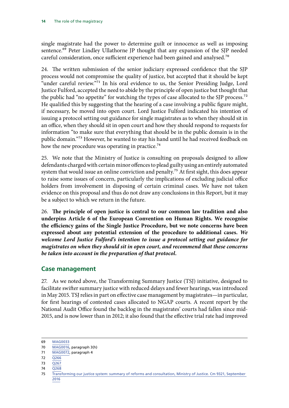<span id="page-15-0"></span>single magistrate had the power to determine guilt or innocence as well as imposing sentence.<sup>69</sup> Peter Lindley Ullathorne JP thought that any expansion of the SJP needed careful consideration, once sufficient experience had been gained and analysed.<sup>70</sup>

24. The written submission of the senior judiciary expressed confidence that the SJP process would not compromise the quality of justice, but accepted that it should be kept "under careful review."71 In his oral evidence to us, the Senior Presiding Judge, Lord Justice Fulford, accepted the need to abide by the principle of open justice but thought that the public had "no appetite" for watching the types of case allocated to the SJP process.<sup>72</sup> He qualified this by suggesting that the hearing of a case involving a public figure might, if necessary, be moved into open court. Lord Justice Fulford indicated his intention of issuing a protocol setting out guidance for single magistrates as to when they should sit in an office, when they should sit in open court and how they should respond to requests for information "to make sure that everything that should be in the public domain is in the public domain."73 However, he wanted to stay his hand until he had received feedback on how the new procedure was operating in practice.<sup>74</sup>

25. We note that the Ministry of Justice is consulting on proposals designed to allow defendants charged with certain minor offences to plead guilty using an entirely automated system that would issue an online conviction and penalty.<sup>75</sup> At first sight, this does appear to raise some issues of concern, particularly the implications of excluding judicial office holders from involvement in disposing of certain criminal cases. We have not taken evidence on this proposal and thus do not draw any conclusions in this Report, but it may be a subject to which we return in the future.

26. **The principle of open justice is central to our common law tradition and also underpins Article 6 of the European Convention on Human Rights. We recognise the efficiency gains of the Single Justice Procedure, but we note concerns have been expressed about any potential extension of the procedure to additional cases.** *We welcome Lord Justice Fulford's intention to issue a protocol setting out guidance for magistrates on when they should sit in open court, and recommend that these concerns be taken into account in the preparation of that protocol.*

#### **Case management**

27. As we noted above, the Transforming Summary Justice (TSJ) initiative, designed to facilitate swifter summary justice with reduced delays and fewer hearings, was introduced in May 2015. TSJ relies in part on effective case management by magistrates—in particular, for first hearings of contested cases allocated to NGAP courts. A recent report by the National Audit Office found the backlog in the magistrates' courts had fallen since mid-2015, and is now lower than in 2012; it also found that the effective trial rate had improved

- 71 [MAG0072](http://data.parliament.uk/writtenevidence/committeeevidence.svc/evidencedocument/justice-committee/role-of-the-magistracy/written/28071.html), paragraph 4
- 72 [Q266](http://data.parliament.uk/writtenevidence/committeeevidence.svc/evidencedocument/justice-committee/role-of-the-magistracy/oral/34558.pdf)
- 73 [Q267](http://data.parliament.uk/writtenevidence/committeeevidence.svc/evidencedocument/justice-committee/role-of-the-magistracy/oral/34558.pdf)
- 74 [Q268](http://data.parliament.uk/writtenevidence/committeeevidence.svc/evidencedocument/justice-committee/role-of-the-magistracy/oral/34558.pdf)

<sup>69</sup> [MAG0033](http://data.parliament.uk/writtenevidence/committeeevidence.svc/evidencedocument/justice-committee/role-of-the-magistracy/written/27510.html)

<sup>70</sup> [MAG0016,](http://data.parliament.uk/writtenevidence/committeeevidence.svc/evidencedocument/justice-committee/role-of-the-magistracy/written/26554.html) paragraph 3(h)

<sup>75</sup> [Transforming our justice system: summary of reforms and consultation, Ministry of Justice. Cm 9321, September](https://consult.justice.gov.uk/digital-communications/transforming-our-courts-and-tribunals)  [2016](https://consult.justice.gov.uk/digital-communications/transforming-our-courts-and-tribunals)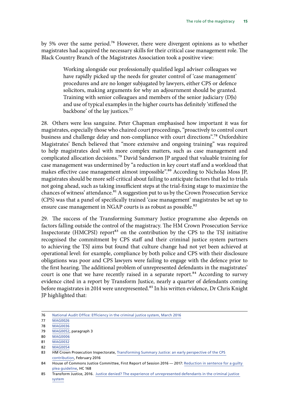by 5% over the same period.76 However, there were divergent opinions as to whether magistrates had acquired the necessary skills for their critical case management role. The Black Country Branch of the Magistrates Association took a positive view:

> Working alongside our professionally qualified legal adviser colleagues we have rapidly picked up the needs for greater control of 'case management' procedures and are no longer subjugated by lawyers, either CPS or defence solicitors, making arguments for why an adjournment should be granted. Training with senior colleagues and members of the senior judiciary (DJs) and use of typical examples in the higher courts has definitely 'stiffened the backbone' of the lay justices.77

28. Others were less sanguine. Peter Chapman emphasised how important it was for magistrates, especially those who chaired court proceedings, "proactively to control court business and challenge delay and non-compliance with court directions".78 Oxfordshire Magistrates' Bench believed that "more extensive and ongoing training" was required to help magistrates deal with more complex matters, such as case management and complicated allocation decisions.79 David Sanderson JP argued that valuable training for case management was undermined by "a reduction in key court staff and a workload that makes effective case management almost impossible".<sup>80</sup> According to Nicholas Moss JP, magistrates should be more self-critical about failing to anticipate factors that led to trials not going ahead, such as taking insufficient steps at the trial-fixing stage to maximize the chances of witness' attendance.<sup>81</sup> A suggestion put to us by the Crown Prosecution Service (CPS) was that a panel of specifically trained 'case management' magistrates be set up to ensure case management in NGAP courts is as robust as possible.<sup>82</sup>

29. The success of the Transforming Summary Justice programme also depends on factors falling outside the control of the magistracy. The HM Crown Prosecution Service Inspectorate (HMCPSI) report<sup>83</sup> on the contribution by the CPS to the TSJ initiative recognised the commitment by CPS staff and their criminal justice system partners to achieving the TSJ aims but found that culture change had not yet been achieved at operational level: for example, compliance by both police and CPS with their disclosure obligations was poor and CPS lawyers were failing to engage with the defence prior to the first hearing. The additional problem of unrepresented defendants in the magistrates' court is one that we have recently raised in a separate report.<sup>84</sup> According to survey evidence cited in a report by Transform Justice, nearly a quarter of defendants coming before magistrates in 2014 were unrepresented.<sup>85</sup> In his written evidence, Dr Chris Knight JP highlighted that:

<sup>76</sup> [National Audit Office: Efficiency in the criminal justice system, March 2016](https://www.nao.org.uk/report/efficiency-in-the-criminal-justice-system/)

<sup>77</sup> [MAG0026](http://data.parliament.uk/writtenevidence/committeeevidence.svc/evidencedocument/justice-committee/role-of-the-magistracy/written/27168.html)

<sup>78</sup> [MAG0036](http://data.parliament.uk/writtenevidence/committeeevidence.svc/evidencedocument/justice-committee/role-of-the-magistracy/written/27594.html)

<sup>79</sup> [MAG0052](http://data.parliament.uk/writtenevidence/committeeevidence.svc/evidencedocument/justice-committee/role-of-the-magistracy/written/27910.html), paragraph 3

<sup>80</sup> [MAG0006](http://data.parliament.uk/writtenevidence/committeeevidence.svc/evidencedocument/justice-committee/role-of-the-magistracy/written/25470.html)

<sup>81</sup> [MAG0032](http://data.parliament.uk/writtenevidence/committeeevidence.svc/evidencedocument/justice-committee/role-of-the-magistracy/written/27487.html)

<sup>82</sup> [MAG0054](http://data.parliament.uk/writtenevidence/committeeevidence.svc/evidencedocument/justice-committee/role-of-the-magistracy/written/27932.html)

<sup>83</sup> HM Crown Prosecution Inspectorate, Transforming Summary Justice: an early perspective of the CPS [contribution,](https://www.justiceinspectorates.gov.uk/hmcpsi/wp-content/uploads/sites/3/2016/02/TSJ_thm_Feb16_rpt.pdf) February 2016

<sup>84</sup> House of Commons Justice Committee, First Report of Session 2016 — 2017: Reduction in sentence for a quilty [plea guideline,](http://www.publications.parliament.uk/pa/cm201617/cmselect/cmjust/168/16802.htm) HC 168

<sup>85</sup> Transform Justice, 2016. [Justice denied? The experience of unrepresented defendants in the criminal justice](http://www.transformjustice.org.uk/wp-content/uploads/2016/04/TJ-APRIL_Singles.pdf)  [system](http://www.transformjustice.org.uk/wp-content/uploads/2016/04/TJ-APRIL_Singles.pdf)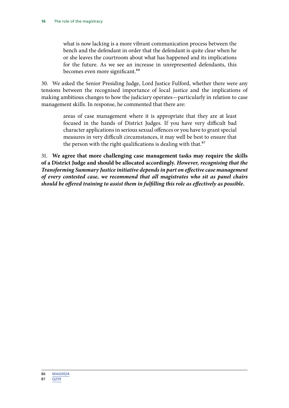what is now lacking is a more vibrant communication process between the bench and the defendant in order that the defendant is quite clear when he or she leaves the courtroom about what has happened and its implications for the future. As we see an increase in unrepresented defendants, this becomes even more significant.<sup>86</sup>

30. We asked the Senior Presiding Judge, Lord Justice Fulford, whether there were any tensions between the recognised importance of local justice and the implications of making ambitious changes to how the judiciary operates—particularly in relation to case management skills. In response, he commented that there are:

> areas of case management where it is appropriate that they are at least focused in the hands of District Judges. If you have very difficult bad character applications in serious sexual offences or you have to grant special measures in very difficult circumstances, it may well be best to ensure that the person with the right qualifications is dealing with that.<sup>87</sup>

31. **We agree that more challenging case management tasks may require the skills of a District Judge and should be allocated accordingly.** *However, recognising that the Transforming Summary Justice initiative depends in part on effective case management of every contested case, we recommend that all magistrates who sit as panel chairs should be offered training to assist them in fulfilling this role as effectively as possible.*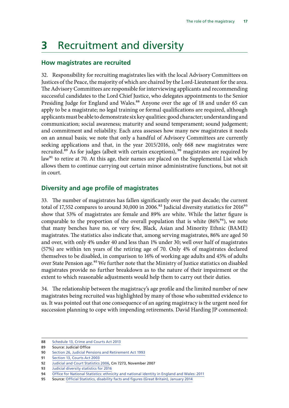## <span id="page-18-0"></span>**3** Recruitment and diversity

#### **How magistrates are recruited**

32. Responsibility for recruiting magistrates lies with the local Advisory Committees on Justices of the Peace, the majority of which are chaired by the Lord-Lieutenant for the area. The Advisory Committees are responsible for interviewing applicants and recommending successful candidates to the Lord Chief Justice, who delegates appointments to the Senior Presiding Judge for England and Wales.<sup>88</sup> Anyone over the age of 18 and under 65 can apply to be a magistrate; no legal training or formal qualifications are required, although applicants must be able to demonstrate six key qualities: good character; understanding and communication; social awareness; maturity and sound temperament; sound judgement; and commitment and reliability. Each area assesses how many new magistrates it needs on an annual basis; we note that only a handful of Advisory Committees are currently seeking applications and that, in the year 2015/2016, only 668 new magistrates were recruited.<sup>89</sup> As for judges (albeit with certain exceptions), <sup>90</sup> magistrates are required by law<sup>91</sup> to retire at 70. At this age, their names are placed on the Supplemental List which allows them to continue carrying out certain minor administrative functions, but not sit in court.

#### **Diversity and age profile of magistrates**

33. The number of magistrates has fallen significantly over the past decade; the current total of 17,552 compares to around 30,000 in 2006.<sup>92</sup> Judicial diversity statistics for 2016<sup>93</sup> show that 53% of magistrates are female and 89% are white. While the latter figure is comparable to the proportion of the overall population that is white  $(86\%)^{94}$ , we note that many benches have no, or very few, Black, Asian and Minority Ethnic (BAME) magistrates. The statistics also indicate that, among serving magistrates, 86% are aged 50 and over, with only 4% under 40 and less than 1% under 30; well over half of magistrates (57%) are within ten years of the retiring age of 70. Only 4% of magistrates declared themselves to be disabled, in comparison to 16% of working age adults and 45% of adults over State Pension age.<sup>95</sup> We further note that the Ministry of Justice statistics on disabled magistrates provide no further breakdown as to the nature of their impairment or the extent to which reasonable adjustments would help them to carry out their duties.

34. The relationship between the magistracy's age profile and the limited number of new magistrates being recruited was highlighted by many of those who submitted evidence to us. It was pointed out that one consequence of an ageing magistracy is the urgent need for succession planning to cope with impending retirements. David Harding JP commented:

<sup>88</sup> [Schedule 13, Crime and Courts Act 2013](http://www.legislation.gov.uk/ukpga/2013/22/schedule/13/enacted)

<sup>89</sup> Source: Judicial Office

<sup>90</sup> [Section 26, Judicial Pensions and Retirement Act 1993](http://www.legislation.gov.uk/ukpga/1993/8/contents)

<sup>91</sup> [Section 13, Courts Act 2003](http://www.legislation.gov.uk/ukpga/2003/39/contents)

<sup>92</sup> [Judicial and Court Statistics 2006,](https://www.gov.uk/government/uploads/system/uploads/attachment_data/file/243134/7273.pdf) Cm 7273, November 2007

<sup>93</sup> [Judicial diversity statistics for 2016](https://www.judiciary.gov.uk/publications/judicial-statistics-2016/)

<sup>94</sup> [Office for National Statistics: ethnicity and national identity in England and Wales: 2011](http://www.ons.gov.uk/peoplepopulationandcommunity/culturalidentity/ethnicity/articles/ethnicityandnationalidentityinenglandandwales/2012-12-11)

<sup>95</sup> Source: [Official Statistics, disability facts and figures \(Great Britain\), January 2014](https://www.gov.uk/government/statistics/disability-facts-and-figures)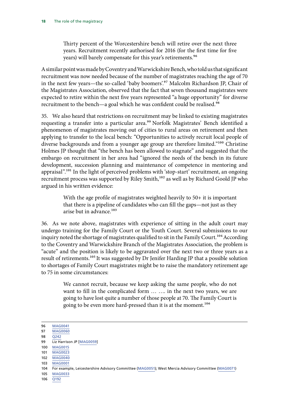Thirty percent of the Worcestershire bench will retire over the next three years. Recruitment recently authorised for 2016 (for the first time for five years) will barely compensate for this year's retirements.<sup>96</sup>

A similar point was made by Coventry and Warwickshire Bench, who told us that significant recruitment was now needed because of the number of magistrates reaching the age of 70 in the next few years—the so-called 'baby boomers'.97 Malcolm Richardson JP, Chair of the Magistrates Association, observed that the fact that seven thousand magistrates were expected to retire within the next five years represented "a huge opportunity" for diverse recruitment to the bench—a goal which he was confident could be realised.<sup>98</sup>

35. We also heard that restrictions on recruitment may be linked to existing magistrates requesting a transfer into a particular area.<sup>99</sup> Norfolk Magistrates' Bench identified a phenomenon of magistrates moving out of cities to rural areas on retirement and then applying to transfer to the local bench: "Opportunities to actively recruit local people of diverse backgrounds and from a younger age group are therefore limited."<sup>100</sup> Christine Holmes JP thought that "the bench has been allowed to stagnate" and suggested that the embargo on recruitment in her area had "ignored the needs of the bench in its future development, succession planning and maintenance of competence in mentoring and appraisal".<sup>101</sup> In the light of perceived problems with 'stop-start' recruitment, an ongoing recruitment process was supported by Riley Smith,<sup>102</sup> as well as by Richard Goold JP who argued in his written evidence:

> With the age profile of magistrates weighted heavily to 50+ it is important that there is a pipeline of candidates who can fill the gaps—not just as they arise but in advance.<sup>103</sup>

36. As we note above, magistrates with experience of sitting in the adult court may undergo training for the Family Court or the Youth Court. Several submissions to our inquiry noted the shortage of magistrates qualified to sit in the Family Court.<sup>104</sup> According to the Coventry and Warwickshire Branch of the Magistrates Association, the problem is "acute" and the position is likely to be aggravated over the next two or three years as a result of retirements.<sup>105</sup> It was suggested by Dr Jenifer Harding JP that a possible solution to shortages of Family Court magistrates might be to raise the mandatory retirement age to 75 in some circumstances:

> We cannot recruit, because we keep asking the same people, who do not want to fill in the complicated form … …. in the next two years, we are going to have lost quite a number of those people at 70. The Family Court is going to be even more hard-pressed than it is at the moment.<sup>106</sup>

102 [MAG0040](http://data.parliament.uk/writtenevidence/committeeevidence.svc/evidencedocument/justice-committee/role-of-the-magistracy/written/27747.html)

<sup>96</sup> [MAG0041](http://data.parliament.uk/writtenevidence/committeeevidence.svc/evidencedocument/justice-committee/role-of-the-magistracy/written/27754.html)

<sup>97</sup> [MAG0060](http://data.parliament.uk/writtenevidence/committeeevidence.svc/evidencedocument/justice-committee/role-of-the-magistracy/written/27984.html)

<sup>98</sup> [Q242](http://data.parliament.uk/writtenevidence/committeeevidence.svc/evidencedocument/justice-committee/role-of-the-magistracy/oral/34558.html)

<sup>99</sup> Liz Harrison JP [[MAG0059](http://data.parliament.uk/writtenevidence/committeeevidence.svc/evidencedocument/justice-committee/role-of-the-magistracy/written/27967.html)]

<sup>100</sup> [MAG0015](http://data.parliament.uk/writtenevidence/committeeevidence.svc/evidencedocument/justice-committee/role-of-the-magistracy/written/26551.html)

<sup>101</sup> [MAG0023](http://data.parliament.uk/writtenevidence/committeeevidence.svc/evidencedocument/justice-committee/role-of-the-magistracy/written/26918.html)

<sup>103</sup> [MAG0001](http://data.parliament.uk/writtenevidence/committeeevidence.svc/evidencedocument/justice-committee/role-of-the-magistracy/written/24248.html)

<sup>104</sup> For example, Leicestershire Advisory Committee [\(MAG0051](http://data.parliament.uk/writtenevidence/committeeevidence.svc/evidencedocument/justice-committee/role-of-the-magistracy/written/27907.html)); West Mercia Advisory Committee ([MAG0071\)](http://data.parliament.uk/writtenevidence/committeeevidence.svc/evidencedocument/justice-committee/role-of-the-magistracy/written/28063.html)

<sup>105</sup> [MAG0033](http://data.parliament.uk/writtenevidence/committeeevidence.svc/evidencedocument/justice-committee/role-of-the-magistracy/written/27510.html)

<sup>106</sup> [Q192](http://data.parliament.uk/writtenevidence/committeeevidence.svc/evidencedocument/justice-committee/role-of-the-magistracy/oral/33285.html)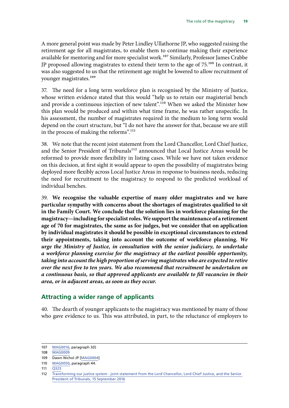<span id="page-20-0"></span>A more general point was made by Peter Lindley Ullathorne JP, who suggested raising the retirement age for all magistrates, to enable them to continue making their experience available for mentoring and for more specialist work.<sup>107</sup> Similarly, Professor James Crabbe JP proposed allowing magistrates to extend their term to the age of 75.108 In contrast, it was also suggested to us that the retirement age might be lowered to allow recruitment of younger magistrates.<sup>109</sup>

37. The need for a long term workforce plan is recognised by the Ministry of Justice, whose written evidence stated that this would "help us to retain our magisterial bench and provide a continuous injection of new talent".<sup>110</sup> When we asked the Minister how this plan would be produced and within what time frame, he was rather unspecific. In his assessment, the number of magistrates required in the medium to long term would depend on the court structure, but "I do not have the answer for that, because we are still in the process of making the reforms".<sup>111</sup>

38. We note that the recent joint statement from the Lord Chancellor, Lord Chief Justice, and the Senior President of Tribunals<sup>112</sup> announced that Local Justice Areas would be reformed to provide more flexibility in listing cases. While we have not taken evidence on this decision, at first sight it would appear to open the possibility of magistrates being deployed more flexibly across Local Justice Areas in response to business needs, reducing the need for recruitment to the magistracy to respond to the predicted workload of individual benches.

39. **We recognise the valuable expertise of many older magistrates and we have particular sympathy with concerns about the shortages of magistrates qualified to sit in the Family Court. We conclude that the solution lies in workforce planning for the magistracy—including for specialist roles. We support the maintenance of a retirement age of 70 for magistrates, the same as for judges, but we consider that on application by individual magistrates it should be possible in exceptional circumstances to extend their appointments, taking into account the outcome of workforce planning.** *We urge the Ministry of Justice, in consultation with the senior judiciary, to undertake a workforce planning exercise for the magistracy at the earliest possible opportunity, taking into account the high proportion of serving magistrates who are expected to retire over the next five to ten years. We also recommend that recruitment be undertaken on a continuous basis, so that approved applicants are available to fill vacancies in their area, or in adjacent areas, as soon as they occur.*

#### **Attracting a wider range of applicants**

40. The dearth of younger applicants to the magistracy was mentioned by many of those who gave evidence to us. This was attributed, in part, to the reluctance of employers to

<sup>107</sup> [MAG0016,](http://data.parliament.uk/writtenevidence/committeeevidence.svc/evidencedocument/justice-committee/role-of-the-magistracy/written/26554.html) paragraph 3(l)

<sup>108</sup> [MAG0009](http://data.parliament.uk/writtenevidence/committeeevidence.svc/evidencedocument/justice-committee/role-of-the-magistracy/written/26325.html)

<sup>109</sup> Dawn Nichol JP [[MAG0004\]](http://data.parliament.uk/writtenevidence/committeeevidence.svc/evidencedocument/justice-committee/role-of-the-magistracy/written/24677.html)

<sup>110</sup> [MAG0050](http://data.parliament.uk/writtenevidence/committeeevidence.svc/evidencedocument/justice-committee/role-of-the-magistracy/written/27892.html), paragraph 44.

<sup>111</sup> [Q323](http://data.parliament.uk/writtenevidence/committeeevidence.svc/evidencedocument/justice-committee/role-of-the-magistracy/oral/34558.html)

<sup>112</sup> [Transforming our justice system - joint statement from the Lord Chancellor, Lord Chief Justice, and the Senior](https://www.gov.uk/government/uploads/system/uploads/attachment_data/file/553261/joint-vision-statement.pdf)  [President of Tribunals, 15 September 2016](https://www.gov.uk/government/uploads/system/uploads/attachment_data/file/553261/joint-vision-statement.pdf)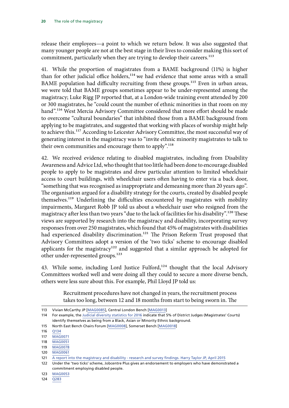release their employees—a point to which we return below. It was also suggested that many younger people are not at the best stage in their lives to consider making this sort of commitment, particularly when they are trying to develop their careers.<sup>113</sup>

41. While the proportion of magistrates from a BAME background (11%) is higher than for other judicial office holders,<sup>114</sup> we had evidence that some areas with a small BAME population had difficulty recruiting from these groups.<sup>115</sup> Even in urban areas, we were told that BAME groups sometimes appear to be under-represented among the magistracy; Luke Rigg JP reported that, at a London-wide training event attended by 200 or 300 magistrates, he "could count the number of ethnic minorities in that room on my hand".<sup>116</sup> West Mercia Advisory Committee considered that more effort should be made to overcome "cultural boundaries" that inhibited those from a BAME background from applying to be magistrates, and suggested that working with places of worship might help to achieve this.<sup>117</sup> According to Leicester Advisory Committee, the most successful way of generating interest in the magistracy was to "invite ethnic minority magistrates to talk to their own communities and encourage them to apply".<sup>118</sup>

42. We received evidence relating to disabled magistrates, including from Disability Awareness and Advice Ltd, who thought that too little had been done to encourage disabled people to apply to be magistrates and drew particular attention to limited wheelchair access to court buildings, with wheelchair users often having to enter via a back door, "something that was recognised as inappropriate and demeaning more than 20 years ago". The organisation argued for a disability strategy for the courts, created by disabled people themselves.119 Underlining the difficulties encountered by magistrates with mobility impairments, Margaret Robb JP told us about a wheelchair user who resigned from the magistracy after less than two years "due to the lack of facilities for his disability".120 These views are supported by research into the magistracy and disability, incorporating survey responses from over 250 magistrates, which found that 45% of magistrates with disabilities had experienced disability discrimination.<sup>121</sup> The Prison Reform Trust proposed that Advisory Committees adopt a version of the 'two ticks' scheme to encourage disabled applicants for the magistracy<sup>122</sup> and suggested that a similar approach be adopted for other under-represented groups.<sup>123</sup>

43. While some, including Lord Justice Fulford,<sup>124</sup> thought that the local Advisory Committees worked well and were doing all they could to secure a more diverse bench, others were less sure about this. For example, Phil Lloyd JP told us:

> Recruitment procedures have not changed in years, the recruitment process takes too long, between 12 and 18 months from start to being sworn in. The

<sup>113</sup> Vivian McCarthy JP [\[MAG0085](http://data.parliament.uk/writtenevidence/committeeevidence.svc/evidencedocument/justice-committee/role-of-the-magistracy/written/33933.html)], Central London Bench [[MAG0013](http://data.parliament.uk/writtenevidence/committeeevidence.svc/evidencedocument/justice-committee/role-of-the-magistracy/written/26522.html)]

<sup>114</sup> For example, the [Judicial diversity statistics for 2016](https://www.judiciary.gov.uk/publications/judicial-statistics-2016/) indicate that 5% of District Judges (Magistrates' Courts) identify themselves as being from a Black, Asian or Minority Ethnic background.

<sup>115</sup> North East Bench Chairs Forum [[MAG0008\]](http://data.parliament.uk/writtenevidence/committeeevidence.svc/evidencedocument/justice-committee/role-of-the-magistracy/written/25766.html), Somerset Bench [\[MAG0018](http://data.parliament.uk/writtenevidence/committeeevidence.svc/evidencedocument/justice-committee/role-of-the-magistracy/written/26680.html)]

<sup>116</sup> [Q134](http://data.parliament.uk/writtenevidence/committeeevidence.svc/evidencedocument/justice-committee/role-of-the-magistracy/oral/33285.html)

<sup>117</sup> [MAG0071](http://data.parliament.uk/writtenevidence/committeeevidence.svc/evidencedocument/justice-committee/role-of-the-magistracy/written/28063.html)

<sup>118</sup> [MAG0051](http://data.parliament.uk/writtenevidence/committeeevidence.svc/evidencedocument/justice-committee/role-of-the-magistracy/written/27907.html)

<sup>119</sup> [MAG0078](http://data.parliament.uk/writtenevidence/committeeevidence.svc/evidencedocument/justice-committee/role-of-the-magistracy/written/29386.html)

<sup>120</sup> [MAG0061](http://data.parliament.uk/writtenevidence/committeeevidence.svc/evidencedocument/justice-committee/role-of-the-magistracy/written/27989.html)

<sup>121</sup> [A report into the magistracy and disability - research and survey findings. Harry Taylor JP, April 2015](http://pf7d7vi404s1dxh27mla5569.wpengine.netdna-cdn.com/files/library/A%20Report%20into%20the%20Magistracy%20and%20Disability%20-%20Survey%20and%20Research%20Findings%20v2.4%20-%20Copy.pdf)

<sup>122</sup> Under the 'two ticks' scheme, Jobcentre Plus gives an endorsement to employers who have demonstrated a commitment employing disabled people.

<sup>123</sup> [MAG0053](http://data.parliament.uk/writtenevidence/committeeevidence.svc/evidencedocument/justice-committee/role-of-the-magistracy/written/27928.html)

<sup>124</sup> [Q283](http://data.parliament.uk/writtenevidence/committeeevidence.svc/evidencedocument/justice-committee/role-of-the-magistracy/oral/34558.html)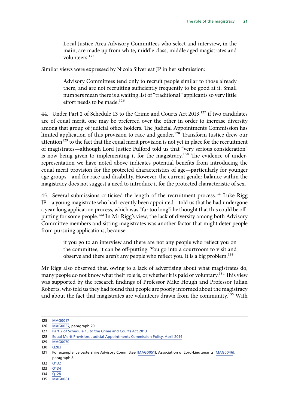Local Justice Area Advisory Committees who select and interview, in the main, are made up from white, middle class, middle aged magistrates and volunteers.125

Similar views were expressed by Nicola Silverleaf JP in her submission:

Advisory Committees tend only to recruit people similar to those already there, and are not recruiting sufficiently frequently to be good at it. Small numbers mean there is a waiting list of "traditional" applicants so very little effort needs to be made.<sup>126</sup>

44. Under Part 2 of Schedule 13 to the Crime and Courts Act 2013,<sup>127</sup> if two candidates are of equal merit, one may be preferred over the other in order to increase diversity among that group of judicial office holders. The Judicial Appointments Commission has limited application of this provision to race and gender.<sup>128</sup> Transform Justice drew our attention<sup>129</sup> to the fact that the equal merit provision is not yet in place for the recruitment of magistrates—although Lord Justice Fulford told us that "very serious consideration" is now being given to implementing it for the magistracy.<sup>130</sup> The evidence of underrepresentation we have noted above indicates potential benefits from introducing the equal merit provision for the protected characteristics of age—particularly for younger age groups—and for race and disability. However, the current gender balance within the magistracy does not suggest a need to introduce it for the protected characteristic of sex.

45. Several submissions criticised the length of the recruitment process.<sup>131</sup> Luke Rigg JP—a young magistrate who had recently been appointed—told us that he had undergone a year-long application process, which was "far too long"; he thought that this could be offputting for some people.<sup>132</sup> In Mr Rigg's view, the lack of diversity among both Advisory Committee members and sitting magistrates was another factor that might deter people from pursuing applications, because:

> if you go to an interview and there are not any people who reflect you on the committee, it can be off-putting. You go into a courtroom to visit and observe and there aren't any people who reflect you. It is a big problem.<sup>133</sup>

Mr Rigg also observed that, owing to a lack of advertising about what magistrates do, many people do not know what their role is, or whether it is paid or voluntary.<sup>134</sup> This view was supported by the research findings of Professor Mike Hough and Professor Julian Roberts, who told us they had found that people are poorly informed about the magistracy and about the fact that magistrates are volunteers drawn from the community.<sup>135</sup> With

134 [Q128](http://data.parliament.uk/writtenevidence/committeeevidence.svc/evidencedocument/justice-committee/role-of-the-magistracy/oral/33285.html)

<sup>125</sup> [MAG0017](http://data.parliament.uk/writtenevidence/committeeevidence.svc/evidencedocument/justice-committee/role-of-the-magistracy/written/26566.html)

<sup>126</sup> [MAG0067,](http://data.parliament.uk/writtenevidence/committeeevidence.svc/evidencedocument/justice-committee/role-of-the-magistracy/written/28020.html) paragraph 20

<sup>127</sup> [Part 2 of Schedule 13 to the Crime and Courts Act 2013](http://www.legislation.gov.uk/ukpga/2013/22/schedule/13/enacted)

<sup>128</sup> [Equal Merit Provision, Judicial Appointments Commission Policy, April 2014](https://jac.judiciary.gov.uk/sites/default/files/sync/about_the_jac/equal-merit-provision-policy.pdf)

<sup>129</sup> [MAG0070](http://data.parliament.uk/writtenevidence/committeeevidence.svc/evidencedocument/justice-committee/role-of-the-magistracy/written/28059.html)

<sup>130</sup>  $\overline{O283}$ 

<sup>131</sup> For example, Leicestershire Advisory Committee [\[MAG0051](http://data.parliament.uk/writtenevidence/committeeevidence.svc/evidencedocument/justice-committee/role-of-the-magistracy/written/27907.html)], Association of Lord-Lieutenants [\[MAG0046](http://data.parliament.uk/writtenevidence/committeeevidence.svc/evidencedocument/justice-committee/role-of-the-magistracy/written/27849.html)], paragraph 8

<sup>132</sup> [Q132](http://data.parliament.uk/writtenevidence/committeeevidence.svc/evidencedocument/justice-committee/role-of-the-magistracy/oral/33285.html)

<sup>133</sup> [Q134](http://data.parliament.uk/writtenevidence/committeeevidence.svc/evidencedocument/justice-committee/role-of-the-magistracy/oral/33285.html)

<sup>135</sup> [MAG0081](http://data.parliament.uk/writtenevidence/committeeevidence.svc/evidencedocument/justice-committee/role-of-the-magistracy/written/31683.html)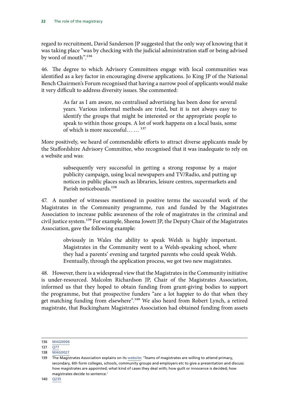regard to recruitment, David Sanderson JP suggested that the only way of knowing that it was taking place "was by checking with the judicial administration staff or being advised by word of mouth".136

46. The degree to which Advisory Committees engage with local communities was identified as a key factor in encouraging diverse applications. Jo King JP of the National Bench Chairmen's Forum recognised that having a narrow pool of applicants would make it very difficult to address diversity issues. She commented:

> As far as I am aware, no centralised advertising has been done for several years. Various informal methods are tried, but it is not always easy to identify the groups that might be interested or the appropriate people to speak to within those groups. A lot of work happens on a local basis, some of which is more successful… … 137

More positively, we heard of commendable efforts to attract diverse applicants made by the Staffordshire Advisory Committee, who recognised that it was inadequate to rely on a website and was:

> subsequently very successful in getting a strong response by a major publicity campaign, using local newspapers and TV/Radio, and putting up notices in public places such as libraries, leisure centres, supermarkets and Parish noticeboards.<sup>138</sup>

47. A number of witnesses mentioned in positive terms the successful work of the Magistrates in the Community programme, run and funded by the Magistrates Association to increase public awareness of the role of magistrates in the criminal and civil justice system.<sup>139</sup> For example, Sheena Jowett JP, the Deputy Chair of the Magistrates Association, gave the following example:

> obviously in Wales the ability to speak Welsh is highly important. Magistrates in the Community went to a Welsh-speaking school, where they had a parents' evening and targeted parents who could speak Welsh. Eventually, through the application process, we got two new magistrates.

48. However, there is a widespread view that the Magistrates in the Community initiative is under-resourced. Malcolm Richardson JP, Chair of the Magistrates Association, informed us that they hoped to obtain funding from grant-giving bodies to support the programme, but that prospective funders "are a lot happier to do that when they get matching funding from elsewhere".140 We also heard from Robert Lynch, a retired magistrate, that Buckingham Magistrates Association had obtained funding from assets

<sup>136</sup> [MAG0006](http://data.parliament.uk/writtenevidence/committeeevidence.svc/evidencedocument/justice-committee/role-of-the-magistracy/written/25470.html)

<sup>137</sup>  $\overline{O77}$ 

<sup>138</sup> [MAG0027](http://data.parliament.uk/writtenevidence/committeeevidence.svc/evidencedocument/justice-committee/role-of-the-magistracy/written/27172.html)

<sup>139</sup> The Magistrates Association explains on its [website:](https://www.magistrates-association.org.uk/about-magistrates/magistrates-community) 'Teams of magistrates are willing to attend primary, secondary, 6th form colleges, schools, community groups and employers etc to give a presentation and discuss: how magistrates are appointed; what kind of cases they deal with; how guilt or innocence is decided; how magistrates decide to sentence.'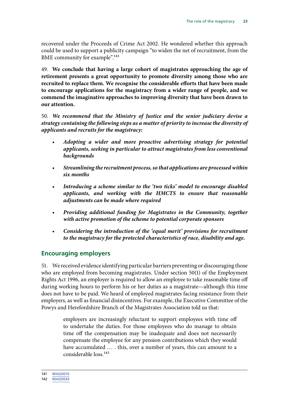<span id="page-24-0"></span>recovered under the Proceeds of Crime Act 2002. He wondered whether this approach could be used to support a publicity campaign "to widen the net of recruitment, from the BME community for example".<sup>141</sup>

49. **We conclude that having a large cohort of magistrates approaching the age of retirement presents a great opportunity to promote diversity among those who are recruited to replace them. We recognise the considerable efforts that have been made to encourage applications for the magistracy from a wider range of people, and we commend the imaginative approaches to improving diversity that have been drawn to our attention.**

50. *We recommend that the Ministry of Justice and the senior judiciary devise a strategy containing the following steps as a matter of priority to increase the diversity of applicants and recruits for the magistracy:*

- *Adopting a wider and more proactive advertising strategy for potential applicants, seeking in particular to attract magistrates from less conventional backgrounds*
- *Streamlining the recruitment process, so that applications are processed within six months*
- *Introducing a scheme similar to the 'two ticks' model to encourage disabled applicants, and working with the HMCTS to ensure that reasonable adjustments can be made where required*
- *Providing additional funding for Magistrates in the Community, together with active promotion of the scheme to potential corporate sponsors*
- *Considering the introduction of the 'equal merit' provisions for recruitment to the magistracy for the protected characteristics of race, disability and age.*

#### **Encouraging employers**

51. We received evidence identifying particular barriers preventing or discouraging those who are employed from becoming magistrates. Under section 50(1) of the Employment Rights Act 1996, an employer is required to allow an employee to take reasonable time off during working hours to perform his or her duties as a magistrate—although this time does not have to be paid. We heard of employed magistrates facing resistance from their employers, as well as financial disincentives. For example, the Executive Committee of the Powys and Herefordshire Branch of the Magistrates Association told us that:

> employers are increasingly reluctant to support employees with time off to undertake the duties. For those employees who do manage to obtain time off the compensation may be inadequate and does not necessarily compensate the employee for any pension contributions which they would have accumulated … . this, over a number of years, this can amount to a considerable loss.142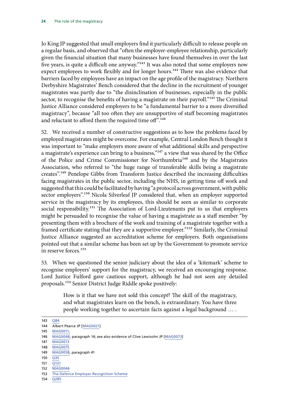Jo King JP suggested that small employers find it particularly difficult to release people on a regular basis, and observed that "often the employer-employee relationship, particularly given the financial situation that many businesses have found themselves in over the last five years, is quite a difficult one anyway."<sup>143</sup> It was also noted that some employers now expect employees to work flexibly and for longer hours.<sup>144</sup> There was also evidence that barriers faced by employees have an impact on the age profile of the magistracy. Northern Derbyshire Magistrates' Bench considered that the decline in the recruitment of younger magistrates was partly due to "the disinclination of businesses, especially in the public sector, to recognise the benefits of having a magistrate on their payroll."<sup>145</sup> The Criminal Justice Alliance considered employers to be "a fundamental barrier to a more diversified magistracy", because "all too often they are unsupportive of staff becoming magistrates and reluctant to afford them the required time off".<sup>146</sup>

52. We received a number of constructive suggestions as to how the problems faced by employed magistrates might be overcome. For example, Central London Bench thought it was important to "make employers more aware of what additional skills and perspective a magistrate's experience can bring to a business," $147$  a view that was shared by the Office of the Police and Crime Commissioner for Northumbria<sup>148</sup> and by the Magistrates Association, who referred to "the huge range of transferable skills being a magistrate creates".149 Penelope Gibbs from Transform Justice described the increasing difficulties facing magistrates in the public sector, including the NHS, in getting time off work and suggested that this could be facilitated by having "a protocol across government, with public sector employers".<sup>150</sup> Nicola Silverleaf JP considered that, when an employer supported service in the magistracy by its employees, this should be seen as similar to corporate social responsibility.<sup>151</sup> The Association of Lord-Lieutenants put to us that employers might be persuaded to recognise the value of having a magistrate as a staff member "by presenting them with a brochure of the work and training of a magistrate together with a framed certificate stating that they are a supportive employer."152 Similarly, the Criminal Justice Alliance suggested an accreditation scheme for employers. Both organisations pointed out that a similar scheme has been set up by the Government to promote service in reserve forces.153

53. When we questioned the senior judiciary about the idea of a 'kitemark' scheme to recognise employers' support for the magistracy, we received an encouraging response. Lord Justice Fulford gave cautious support, although he had not seen any detailed proposals.154 Senior District Judge Riddle spoke positively:

> How is it that we have not sold this concept? The skill of the magistracy, and what magistrates learn on the bench, is extraordinary. You have three people working together to ascertain facts against a legal background … .

154 [Q285](http://data.parliament.uk/writtenevidence/committeeevidence.svc/evidencedocument/justice-committee/role-of-the-magistracy/oral/34558.html)

<sup>143</sup> [Q84](http://data.parliament.uk/writtenevidence/committeeevidence.svc/evidencedocument/justice-committee/role-of-the-magistracy/oral/31038.html) 144 Albert Pearce JP [\[MAG0021\]](http://data.parliament.uk/writtenevidence/committeeevidence.svc/evidencedocument/justice-committee/role-of-the-magistracy/written/26825.html) 145 [MAG0011](http://data.parliament.uk/writtenevidence/committeeevidence.svc/evidencedocument/justice-committee/role-of-the-magistracy/written/26502.html); 146 [MAG0048,](http://data.parliament.uk/writtenevidence/committeeevidence.svc/evidencedocument/justice-committee/role-of-the-magistracy/written/27868.html) paragraph 14; see also evidence of Clive Lewisohn JP [[MAG0073\]](http://data.parliament.uk/writtenevidence/committeeevidence.svc/evidencedocument/justice-committee/role-of-the-magistracy/written/28081.html) 147 [MAG0013](http://data.parliament.uk/writtenevidence/committeeevidence.svc/evidencedocument/justice-committee/role-of-the-magistracy/written/26522.html) 148 [MAG0075](http://data.parliament.uk/writtenevidence/committeeevidence.svc/evidencedocument/justice-committee/role-of-the-magistracy/written/28144.html) 149 [MAG0058,](http://data.parliament.uk/writtenevidence/committeeevidence.svc/evidencedocument/justice-committee/role-of-the-magistracy/written/27965.html) paragraph 41 150 [Q35](http://data.parliament.uk/writtenevidence/committeeevidence.svc/evidencedocument/justice-committee/role-of-the-magistracy/oral/31038.html)  $151 \overline{0131}$ 152 [MAG0046](http://data.parliament.uk/writtenevidence/committeeevidence.svc/evidencedocument/justice-committee/role-of-the-magistracy/written/27849.html) 153 [The Defence Employer Recognition Scheme](https://www.gov.uk/government/publications/defence-employer-recognition-scheme/defence-employer-recognition-scheme)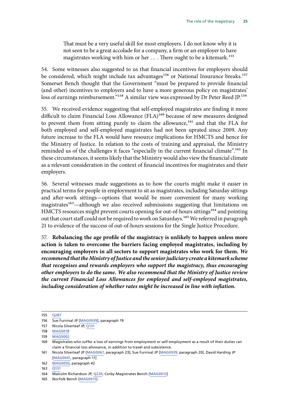That must be a very useful skill for most employers. I do not know why it is not seen to be a great accolade for a company, a firm or an employer to have magistrates working with him or her … . There ought to be a kitemark.155

54. Some witnesses also suggested to us that financial incentives for employers should be considered, which might include tax advantages<sup>156</sup> or National Insurance breaks.<sup>157</sup> Somerset Bench thought that the Government "must be prepared to provide financial (and other) incentives to employers and to have a more generous policy on magistrates' loss of earnings reimbursement."<sup>158</sup> A similar view was expressed by Dr Peter Reed JP.<sup>159</sup>

55. We received evidence suggesting that self-employed magistrates are finding it more difficult to claim Financial Loss Allowance (FLA)<sup>160</sup> because of new measures designed to prevent them from sitting purely to claim the allowance,<sup>161</sup> and that the FLA for both employed and self-employed magistrates had not been uprated since 2009. Any future increase to the FLA would have resource implications for HMCTS and hence for the Ministry of Justice. In relation to the costs of training and appraisal, the Ministry reminded us of the challenges it faces "especially in the current financial climate".<sup>162</sup> In these circumstances, it seems likely that the Ministry would also view the financial climate as a relevant consideration in the context of financial incentives for magistrates and their employers.

56. Several witnesses made suggestions as to how the courts might make it easier in practical terms for people in employment to sit as magistrates, including Saturday sittings and after-work sittings—options that would be more convenient for many working magistrates<sup>163</sup>—although we also received submissions suggesting that limitations on HMCTS resources might prevent courts opening for out-of-hours sittings<sup>164</sup> and pointing out that court staff could not be required to work on Saturdays.<sup>165</sup> We referred in paragraph 21 to evidence of the success of out-of-hours sessions for the Single Justice Procedure.

57. **Rebalancing the age profile of the magistracy is unlikely to happen unless more action is taken to overcome the barriers facing employed magistrates, including by encouraging employers in all sectors to support magistrates who work for them.** *We recommend that the Ministry of Justice and the senior judiciary create a kitemark scheme that recognises and rewards employers who support the magistracy, thus encouraging other employers to do the same. We also recommend that the Ministry of Justice review the current Financial Loss Allowances for employed and self-employed magistrates, including consideration of whether rates might be increased in line with inflation.*

<sup>155</sup> [Q287](http://data.parliament.uk/writtenevidence/committeeevidence.svc/evidencedocument/justice-committee/role-of-the-magistracy/oral/34558.html)

<sup>156</sup> Sue Furnival JP [[MAG0039](http://data.parliament.uk/writtenevidence/committeeevidence.svc/evidencedocument/justice-committee/role-of-the-magistracy/written/27610.html)], paragraph 19

<sup>157</sup> Nicola Silverleaf JP, [Q131](http://data.parliament.uk/writtenevidence/committeeevidence.svc/evidencedocument/justice-committee/role-of-the-magistracy/oral/33285.html)

<sup>158</sup> [MAG0018](http://data.parliament.uk/writtenevidence/committeeevidence.svc/evidencedocument/justice-committee/role-of-the-magistracy/written/26680.html)

<sup>159</sup> [MAG0002](http://data.parliament.uk/writtenevidence/committeeevidence.svc/evidencedocument/justice-committee/role-of-the-magistracy/written/24484.html)

<sup>160</sup> Magistrates who suffer a loss of earnings from employment or self-employment as a result of their duties can claim a financial loss allowance, in addition to travel and subsistence.

<sup>161</sup> Nicola Silverleaf JP [[MAG0067,](http://data.parliament.uk/writtenevidence/committeeevidence.svc/evidencedocument/justice-committee/role-of-the-magistracy/written/28020.html) paragraph 23]; Sue Furnival JP [[MAG0039](http://data.parliament.uk/writtenevidence/committeeevidence.svc/evidencedocument/justice-committee/role-of-the-magistracy/written/27610.html), paragraph 20], David Harding JP [\[MAG0041](http://data.parliament.uk/writtenevidence/committeeevidence.svc/evidencedocument/justice-committee/role-of-the-magistracy/written/27754.html), paragraph 11]

<sup>162</sup> [MAG0050](http://data.parliament.uk/writtenevidence/committeeevidence.svc/evidencedocument/justice-committee/role-of-the-magistracy/written/27892.html), paragraph 42

<sup>163</sup> [Q131](http://data.parliament.uk/writtenevidence/committeeevidence.svc/evidencedocument/justice-committee/role-of-the-magistracy/oral/33285.html)

<sup>164</sup> Malcolm Richardson JP, [Q220](http://data.parliament.uk/writtenevidence/committeeevidence.svc/evidencedocument/justice-committee/role-of-the-magistracy/oral/34558.html); Corby Magistrates Bench [[MAG0012](http://data.parliament.uk/writtenevidence/committeeevidence.svc/evidencedocument/justice-committee/role-of-the-magistracy/written/26504.html)]

<sup>165</sup> Norfolk Bench [[MAG0015\]](http://data.parliament.uk/writtenevidence/committeeevidence.svc/evidencedocument/justice-committee/role-of-the-magistracy/written/26551.html)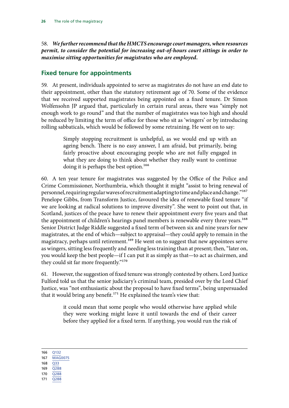<span id="page-27-0"></span>58. *We further recommend that the HMCTS encourage court managers, when resources permit, to consider the potential for increasing out-of-hours court sittings in order to maximise sitting opportunities for magistrates who are employed.*

#### **Fixed tenure for appointments**

59. At present, individuals appointed to serve as magistrates do not have an end date to their appointment, other than the statutory retirement age of 70. Some of the evidence that we received supported magistrates being appointed on a fixed tenure. Dr Simon Wolfensohn JP argued that, particularly in certain rural areas, there was "simply not enough work to go round" and that the number of magistrates was too high and should be reduced by limiting the term of office for those who sit as 'wingers' or by introducing rolling sabbaticals, which would be followed by some retraining. He went on to say:

> Simply stopping recruitment is unhelpful, as we would end up with an ageing bench. There is no easy answer, I am afraid, but primarily, being fairly proactive about encouraging people who are not fully engaged in what they are doing to think about whether they really want to continue doing it is perhaps the best option.<sup>166</sup>

60. A ten year tenure for magistrates was suggested by the Office of the Police and Crime Commissioner, Northumbria, which thought it might "assist to bring renewal of personnel, requiring regular waves of recruitment adapting to time and place and change."167 Penelope Gibbs, from Transform Justice, favoured the idea of renewable fixed tenure "if we are looking at radical solutions to improve diversity". She went to point out that, in Scotland, justices of the peace have to renew their appointment every five years and that the appointment of children's hearings panel members is renewable every three years.<sup>168</sup> Senior District Judge Riddle suggested a fixed term of between six and nine years for new magistrates, at the end of which—subject to appraisal—they could apply to remain in the magistracy, perhaps until retirement.<sup>169</sup> He went on to suggest that new appointees serve as wingers, sitting less frequently and needing less training than at present; then, "later on, you would keep the best people—if I can put it as simply as that—to act as chairmen, and they could sit far more frequently."170

61. However, the suggestion of fixed tenure was strongly contested by others. Lord Justice Fulford told us that the senior judiciary's criminal team, presided over by the Lord Chief Justice, was "not enthusiastic about the proposal to have fixed terms", being unpersuaded that it would bring any benefit.<sup>171</sup> He explained the team's view that:

> it could mean that some people who would otherwise have applied while they were working might leave it until towards the end of their career before they applied for a fixed term. If anything, you would run the risk of

166 [Q132](http://data.parliament.uk/writtenevidence/committeeevidence.svc/evidencedocument/justice-committee/role-of-the-magistracy/oral/33285.html)

167 [MAG0075](http://data.parliament.uk/writtenevidence/committeeevidence.svc/evidencedocument/justice-committee/role-of-the-magistracy/written/28144.html)

- 168 [Q33](http://data.parliament.uk/writtenevidence/committeeevidence.svc/evidencedocument/justice-committee/role-of-the-magistracy/oral/31038.html)
- 169 [Q288](http://data.parliament.uk/writtenevidence/committeeevidence.svc/evidencedocument/justice-committee/role-of-the-magistracy/oral/34558.html)
- 170 [Q288](http://data.parliament.uk/writtenevidence/committeeevidence.svc/evidencedocument/justice-committee/role-of-the-magistracy/oral/34558.html)
- 171 [Q288](http://data.parliament.uk/writtenevidence/committeeevidence.svc/evidencedocument/justice-committee/role-of-the-magistracy/oral/34558.html)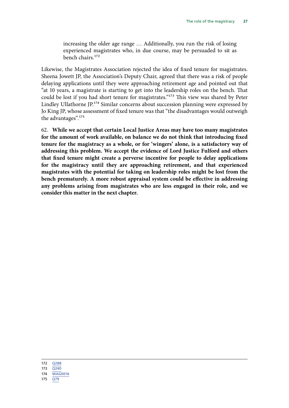increasing the older age range … Additionally, you run the risk of losing experienced magistrates who, in due course, may be persuaded to sit as bench chairs.172

Likewise, the Magistrates Association rejected the idea of fixed tenure for magistrates. Sheena Jowett JP, the Association's Deputy Chair, agreed that there was a risk of people delaying applications until they were approaching retirement age and pointed out that "at 10 years, a magistrate is starting to get into the leadership roles on the bench. That could be lost if you had short tenure for magistrates."173 This view was shared by Peter Lindley Ullathorne JP.<sup>174</sup> Similar concerns about succession planning were expressed by Jo King JP, whose assessment of fixed tenure was that "the disadvantages would outweigh the advantages".175

62. **While we accept that certain Local Justice Areas may have too many magistrates for the amount of work available, on balance we do not think that introducing fixed tenure for the magistracy as a whole, or for 'wingers' alone, is a satisfactory way of addressing this problem. We accept the evidence of Lord Justice Fulford and others that fixed tenure might create a perverse incentive for people to delay applications for the magistracy until they are approaching retirement, and that experienced magistrates with the potential for taking on leadership roles might be lost from the bench prematurely. A more robust appraisal system could be effective in addressing any problems arising from magistrates who are less engaged in their role, and we consider this matter in the next chapter.**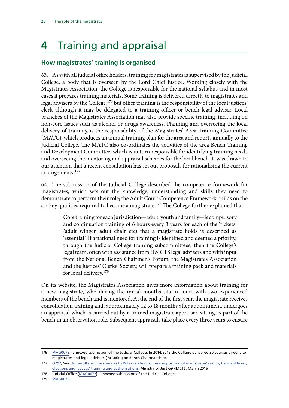## <span id="page-29-0"></span>**4** Training and appraisal

#### **How magistrates' training is organised**

63. As with all judicial office holders, training for magistrates is supervised by the Judicial College, a body that is overseen by the Lord Chief Justice. Working closely with the Magistrates Association, the College is responsible for the national syllabus and in most cases it prepares training materials. Some training is delivered directly to magistrates and legal advisers by the College,<sup>176</sup> but other training is the responsibility of the local justices' clerk–although it may be delegated to a training officer or bench legal adviser. Local branches of the Magistrates Association may also provide specific training, including on non-core issues such as alcohol or drugs awareness. Planning and overseeing the local delivery of training is the responsibility of the Magistrates' Area Training Committee (MATC), which produces an annual training plan for the area and reports annually to the Judicial College. The MATC also co-ordinates the activities of the area Bench Training and Development Committee, which is in turn responsible for identifying training needs and overseeing the mentoring and appraisal schemes for the local bench. It was drawn to our attention that a recent consultation has set out proposals for rationalising the current arrangements.<sup>177</sup>

64. The submission of the Judicial College described the competence framework for magistrates, which sets out the knowledge, understanding and skills they need to demonstrate to perform their role; the Adult Court Competence Framework builds on the six key qualities required to become a magistrate.<sup>178</sup> The College further explained that:

> Core training for each jurisdiction—adult, youth and family—is compulsory and continuation training of 6 hours every 3 years for each of the 'tickets' (adult winger, adult chair etc) that a magistrate holds is described as 'essential'. If a national need for training is identified and deemed a priority, through the Judicial College training subcommittees, then the College's legal team, often with assistance from HMCTS legal advisers and with input from the National Bench Chairmen's Forum, the Magistrates Association and the Justices' Clerks' Society, will prepare a training pack and materials for local delivery.<sup>179</sup>

On its website, the Magistrates Association gives more information about training for a new magistrate, who during the initial months sits in court with two experienced members of the bench and is mentored. At the end of the first year, the magistrate receives consolidation training and, approximately 12 to 18 months after appointment, undergoes an appraisal which is carried out by a trained magistrate appraiser, sitting as part of the bench in an observation role. Subsequent appraisals take place every three years to ensure

178 Judicial Office [[MAG0072\]](http://data.parliament.uk/writtenevidence/committeeevidence.svc/evidencedocument/justice-committee/role-of-the-magistracy/written/28071.html) - annexed submission of the Judicial College

179 [MAG0072](http://data.parliament.uk/writtenevidence/committeeevidence.svc/evidencedocument/justice-committee/role-of-the-magistracy/written/28071.html)

<sup>176</sup> [MAG0072](http://data.parliament.uk/writtenevidence/committeeevidence.svc/evidencedocument/justice-committee/role-of-the-magistracy/written/28071.html) - annexed submission of the Judicial College. In 2014/2015 the College delivered 30 courses directly to magistrates and legal advisers (including on Bench Chairmanship).

<sup>177</sup> [Q292](http://data.parliament.uk/writtenevidence/committeeevidence.svc/evidencedocument/justice-committee/role-of-the-magistracy/oral/34558.html); See[: A consultation on changes to Rules relating to the composition of magistrates' courts, bench officers,](https://www.judiciary.gov.uk/wp-content/uploads/2016/05/change-to-rules-relating-to-composition-of-bench-officers-elections-and-justices-training-and-authorisations.pdf)  [elections and justices' training and authorisations,](https://www.judiciary.gov.uk/wp-content/uploads/2016/05/change-to-rules-relating-to-composition-of-bench-officers-elections-and-justices-training-and-authorisations.pdf) Ministry of Justice/HMCTS, March 2016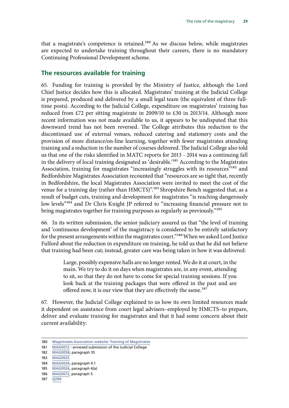<span id="page-30-0"></span>that a magistrate's competence is retained.<sup>180</sup> As we discuss below, while magistrates are expected to undertake training throughout their careers, there is no mandatory Continuing Professional Development scheme.

#### **The resources available for training**

65. Funding for training is provided by the Ministry of Justice, although the Lord Chief Justice decides how this is allocated. Magistrates' training at the Judicial College is prepared, produced and delivered by a small legal team (the equivalent of three fulltime posts). According to the Judicial College, expenditure on magistrates' training has reduced from £72 per sitting magistrate in 2009/10 to £30 in 2013/14. Although more recent information was not made available to us, it appears to be undisputed that this downward trend has not been reversed. The College attributes this reduction to the discontinued use of external venues, reduced catering and stationery costs and the provision of more distance/on-line learning, together with fewer magistrates attending training and a reduction in the number of courses delivered. The Judicial College also told us that one of the risks identified in MATC reports for 2013 - 2014 was a continuing fall in the delivery of local training designated as 'desirable.'181 According to the Magistrates Association, training for magistrates "increasingly struggles with its resources"<sup>182</sup> and Bedfordshire Magistrates Association recounted that "resources are so tight that, recently in Bedfordshire, the local Magistrates Association were invited to meet the cost of the venue for a training day (rather than HMCTS)".<sup>183</sup> Shropshire Bench suggested that, as a result of budget cuts, training and development for magistrates "is reaching dangerously low levels"<sup>184</sup> and Dr Chris Knight JP referred to "increasing financial pressure not to bring magistrates together for training purposes as regularly as previously."<sup>185</sup>

66. In its written submission, the senior judiciary assured us that "the level of training and 'continuous development' of the magistracy is considered to be entirely satisfactory for the present arrangements within the magistrates court."<sup>186</sup>When we asked Lord Justice Fulford about the reduction in expenditure on training, he told us that he did not believe that training had been cut; instead, greater care was being taken in how it was delivered:

> Large, possibly expensive halls are no longer rented. We do it at court, in the main. We try to do it on days when magistrates are, in any event, attending to sit, so that they do not have to come for special training sessions. If you look back at the training packages that were offered in the past and are offered now, it is our view that they are effectively the same.<sup>187</sup>

67. However, the Judicial College explained to us how its own limited resources made it dependent on assistance from court legal advisers–employed by HMCTS–to prepare, deliver and evaluate training for magistrates and that it had some concern about their current availability:

182 [MAG0058,](http://data.parliament.uk/writtenevidence/committeeevidence.svc/evidencedocument/justice-committee/role-of-the-magistracy/written/27965.html) paragraph 35

184 [MAG0034](http://data.parliament.uk/writtenevidence/committeeevidence.svc/evidencedocument/justice-committee/role-of-the-magistracy/written/27535.html), paragraph 4.1

187 [Q290](http://data.parliament.uk/writtenevidence/committeeevidence.svc/evidencedocument/justice-committee/role-of-the-magistracy/oral/34558.html)

<sup>180</sup> [Magistrates Association website: Training of Magistrates](https://www.magistrates-association.org.uk/training-magistrates)

<sup>181</sup> [MAG0072](http://data.parliament.uk/writtenevidence/committeeevidence.svc/evidencedocument/justice-committee/role-of-the-magistracy/written/28071.html) - annexed submission of the Judicial College

<sup>183</sup> [MAG0025](http://data.parliament.uk/writtenevidence/committeeevidence.svc/evidencedocument/justice-committee/role-of-the-magistracy/written/26955.html)

<sup>185</sup> [MAG0024](http://data.parliament.uk/writtenevidence/committeeevidence.svc/evidencedocument/justice-committee/role-of-the-magistracy/written/26945.html), paragraph 4(a)

<sup>186</sup> [MAG0072](http://data.parliament.uk/writtenevidence/committeeevidence.svc/evidencedocument/justice-committee/role-of-the-magistracy/written/28071.html), paragraph 5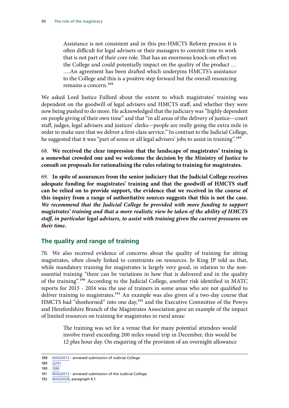<span id="page-31-0"></span>Assistance is not consistent and in this pre-HMCTS Reform process it is often difficult for legal advisers or their managers to commit time to work that is not part of their core role. That has an enormous knock-on effect on the College and could potentially impact on the quality of the product … ….An agreement has been drafted which underpins HMCTS's assistance to the College and this is a positive step forward but the overall resourcing remains a concern.188

We asked Lord Justice Fulford about the extent to which magistrates' training was dependent on the goodwill of legal advisers and HMCTS staff, and whether they were now being pushed to do more. He acknowledged that the judiciary was "highly dependent on people giving of their own time" and that "in all areas of the delivery of justice—court staff, judges, legal advisers and justices' clerks—people are really going the extra mile in order to make sure that we deliver a first-class service." In contrast to the Judicial College, he suggested that it was "part of some or all legal advisers' jobs to assist in training".<sup>189</sup>

68. **We received the clear impression that the landscape of magistrates' training is a somewhat crowded one and we welcome the decision by the Ministry of Justice to consult on proposals for rationalising the rules relating to training for magistrates.**

69. **In spite of assurances from the senior judiciary that the Judicial College receives adequate funding for magistrates' training and that the goodwill of HMCTS staff can be relied on to provide support, the evidence that we received in the course of this inquiry from a range of authoritative sources suggests that this is not the case.** *We recommend that the Judicial College be provided with more funding to support magistrates' training and that a more realistic view be taken of the ability of HMCTS staff, in particular legal advisers, to assist with training given the current pressures on their time.*

#### **The quality and range of training**

70. We also received evidence of concerns about the quality of training for sitting magistrates, often closely linked to constraints on resources. Jo King JP told us that, while mandatory training for magistrates is largely very good, in relation to the nonessential training "there can be variations in how that is delivered and in the quality of the training".190 According to the Judicial College, another risk identified in MATC reports for 2013 - 2014 was the use of trainers in some areas who are not qualified to deliver training to magistrates.<sup>191</sup> An example was also given of a two-day course that HMCTS had "shoehorned" into one day,<sup>192</sup> and the Executive Committee of the Powys and Herefordshire Branch of the Magistrates Association gave an example of the impact of limited resources on training for magistrates in rural areas:

> The training was set for a venue that for many potential attendees would involve travel exceeding 200 miles round trip in December, this would be 12 plus hour day. On enquiring of the provision of an overnight allowance

- 189 0291
- 190 [Q86](http://data.parliament.uk/writtenevidence/committeeevidence.svc/evidencedocument/justice-committee/role-of-the-magistracy/oral/31038.html)

<sup>188</sup> [MAG0072](http://data.parliament.uk/writtenevidence/committeeevidence.svc/evidencedocument/justice-committee/role-of-the-magistracy/written/28071.html) - annexed submission of Judicial College

<sup>191</sup> [MAG0072](http://data.parliament.uk/writtenevidence/committeeevidence.svc/evidencedocument/justice-committee/role-of-the-magistracy/written/28071.html) - annexed submission of the Judicial College

<sup>192</sup> [MAG0028](http://data.parliament.uk/writtenevidence/committeeevidence.svc/evidencedocument/justice-committee/role-of-the-magistracy/written/27199.html), paragraph 4.1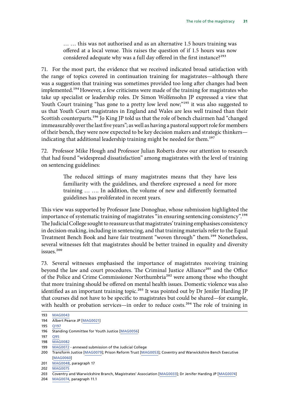… … this was not authorised and as an alternative 1.5 hours training was offered at a local venue. This raises the question of if 1.5 hours was now considered adequate why was a full day offered in the first instance?<sup>193</sup>

71. For the most part, the evidence that we received indicated broad satisfaction with the range of topics covered in continuation training for magistrates—although there was a suggestion that training was sometimes provided too long after changes had been implemented.<sup>194</sup> However, a few criticisms were made of the training for magistrates who take up specialist or leadership roles. Dr Simon Wolfensohn JP expressed a view that Youth Court training "has gone to a pretty low level now;"<sup>195</sup> it was also suggested to us that Youth Court magistrates in England and Wales are less well trained than their Scottish counterparts.<sup>196</sup> Jo King JP told us that the role of bench chairmen had "changed immeasurably over the last five years"; as well as having a pastoral support role for members of their bench, they were now expected to be key decision makers and strategic thinkers indicating that additional leadership training might be needed for them.<sup>197</sup>

72. Professor Mike Hough and Professor Julian Roberts drew our attention to research that had found "widespread dissatisfaction" among magistrates with the level of training on sentencing guidelines:

> The reduced sittings of many magistrates means that they have less familiarity with the guidelines, and therefore expressed a need for more training … …. In addition, the volume of new and differently formatted guidelines has proliferated in recent years.

This view was supported by Professor Jane Donoghue, whose submission highlighted the importance of systematic training of magistrates "in ensuring sentencing consistency".<sup>198</sup> The Judicial College sought to reassure us that magistrates' training emphasises consistency in decision-making, including in sentencing, and that training materials refer to the Equal Treatment Bench Book and have fair treatment "woven through" them.199 Nonetheless, several witnesses felt that magistrates should be better trained in equality and diversity issues.<sup>200</sup>

73. Several witnesses emphasised the importance of magistrates receiving training beyond the law and court procedures. The Criminal Justice Alliance<sup>201</sup> and the Office of the Police and Crime Commissioner Northumbria202 were among those who thought that more training should be offered on mental health issues. Domestic violence was also identified as an important training topic.<sup>203</sup> It was pointed out by Dr Jenifer Harding JP that courses did not have to be specific to magistrates but could be shared—for example, with health or probation services—in order to reduce costs.<sup>204</sup> The role of training in

<sup>193</sup> [MAG0043](http://data.parliament.uk/writtenevidence/committeeevidence.svc/evidencedocument/justice-committee/role-of-the-magistracy/written/27815.html)

<sup>194</sup> Albert Pearce JP [\[MAG0021\]](http://data.parliament.uk/writtenevidence/committeeevidence.svc/evidencedocument/justice-committee/role-of-the-magistracy/written/26825.html)

<sup>195</sup> [Q197](http://data.parliament.uk/writtenevidence/committeeevidence.svc/evidencedocument/justice-committee/role-of-the-magistracy/oral/33285.html)

<sup>196</sup> Standing Committee for Youth Justice [\[MAG0056\]](http://data.parliament.uk/writtenevidence/committeeevidence.svc/evidencedocument/justice-committee/role-of-the-magistracy/written/27961.html)

<sup>197</sup> [Q95](http://data.parliament.uk/writtenevidence/committeeevidence.svc/evidencedocument/justice-committee/role-of-the-magistracy/oral/31038.html)

<sup>198</sup> [MAG0082](http://data.parliament.uk/writtenevidence/committeeevidence.svc/evidencedocument/justice-committee/role-of-the-magistracy/written/32803.html)

<sup>199</sup> [MAG0072](http://data.parliament.uk/writtenevidence/committeeevidence.svc/evidencedocument/justice-committee/role-of-the-magistracy/written/28071.html) - annexed submission of the Judicial College

<sup>200</sup> Transform Justice [\[MAG0079\]](http://data.parliament.uk/writtenevidence/committeeevidence.svc/evidencedocument/justice-committee/role-of-the-magistracy/written/31202.html); Prison Reform Trust [[MAG0053](http://data.parliament.uk/writtenevidence/committeeevidence.svc/evidencedocument/justice-committee/role-of-the-magistracy/written/27928.html)]; Coventry and Warwickshire Bench Executive [\[MAG0060\]](http://data.parliament.uk/writtenevidence/committeeevidence.svc/evidencedocument/justice-committee/role-of-the-magistracy/written/27984.html)

<sup>201</sup> [MAG0048,](http://data.parliament.uk/writtenevidence/committeeevidence.svc/evidencedocument/justice-committee/role-of-the-magistracy/written/27868.html) paragraph 17

<sup>202</sup> [MAG0075](http://data.parliament.uk/writtenevidence/committeeevidence.svc/evidencedocument/justice-committee/role-of-the-magistracy/written/28144.html)

<sup>203</sup> Coventry and Warwickshire Branch, Magistrates' Association [[MAG0033\]](http://data.parliament.uk/writtenevidence/committeeevidence.svc/evidencedocument/justice-committee/role-of-the-magistracy/written/27510.html); Dr Jenifer Harding JP [[MAG0074\]](http://data.parliament.uk/writtenevidence/committeeevidence.svc/evidencedocument/justice-committee/role-of-the-magistracy/written/28082.html)

<sup>204</sup> [MAG0074,](http://data.parliament.uk/writtenevidence/committeeevidence.svc/evidencedocument/justice-committee/role-of-the-magistracy/written/28082.html) paragraph 11.1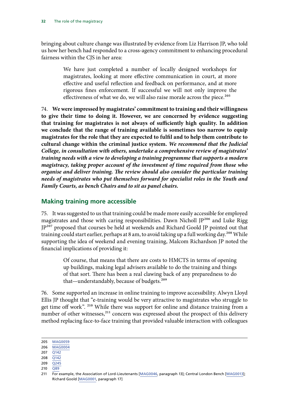<span id="page-33-0"></span>bringing about culture change was illustrated by evidence from Liz Harrison JP, who told us how her bench had responded to a cross-agency commitment to enhancing procedural fairness within the CIS in her area:

> We have just completed a number of locally designed workshops for magistrates, looking at more effective communication in court, at more effective and useful reflection and feedback on performance, and at more rigorous fines enforcement. If successful we will not only improve the effectiveness of what we do, we will also raise morale across the piece.<sup>205</sup>

74. **We were impressed by magistrates' commitment to training and their willingness to give their time to doing it. However, we are concerned by evidence suggesting that training for magistrates is not always of sufficiently high quality. In addition we conclude that the range of training available is sometimes too narrow to equip magistrates for the role that they are expected to fulfil and to help them contribute to cultural change within the criminal justice system.** *We recommend that the Judicial College, in consultation with others, undertake a comprehensive review of magistrates' training needs with a view to developing a training programme that supports a modern magistracy, taking proper account of the investment of time required from those who organise and deliver training. The review should also consider the particular training needs of magistrates who put themselves forward for specialist roles in the Youth and Family Courts, as bench Chairs and to sit as panel chairs.*

#### **Making training more accessible**

75. It was suggested to us that training could be made more easily accessible for employed magistrates and those with caring responsibilities. Dawn Nicholl JP<sup>206</sup> and Luke Rigg JP<sup>207</sup> proposed that courses be held at weekends and Richard Goold JP pointed out that training could start earlier, perhaps at 8 am, to avoid taking up a full working day.<sup>208</sup> While supporting the idea of weekend and evening training, Malcom Richardson JP noted the financial implications of providing it:

> Of course, that means that there are costs to HMCTS in terms of opening up buildings, making legal advisers available to do the training and things of that sort. There has been a real clawing back of any preparedness to do that—understandably, because of budgets.<sup>209</sup>

76. Some supported an increase in online training to improve accessibility. Alwyn Lloyd Ellis JP thought that "e-training would be very attractive to magistrates who struggle to get time off work". 210 While there was support for online and distance training from a number of other witnesses,<sup>211</sup> concern was expressed about the prospect of this delivery method replacing face-to-face training that provided valuable interaction with colleagues

<sup>205</sup> [MAG0059](http://data.parliament.uk/writtenevidence/committeeevidence.svc/evidencedocument/justice-committee/role-of-the-magistracy/written/27967.html)

<sup>206</sup> [MAG0004](http://data.parliament.uk/writtenevidence/committeeevidence.svc/evidencedocument/justice-committee/role-of-the-magistracy/written/24677.html) 207 [Q142](http://data.parliament.uk/writtenevidence/committeeevidence.svc/evidencedocument/justice-committee/role-of-the-magistracy/oral/33285.html)

<sup>208</sup> [Q142](http://data.parliament.uk/writtenevidence/committeeevidence.svc/evidencedocument/justice-committee/role-of-the-magistracy/oral/33285.html)

<sup>209</sup> [Q245](http://data.parliament.uk/writtenevidence/committeeevidence.svc/evidencedocument/justice-committee/role-of-the-magistracy/oral/34558.html)

<sup>210</sup> [Q89](http://data.parliament.uk/writtenevidence/committeeevidence.svc/evidencedocument/justice-committee/role-of-the-magistracy/oral/31038.html)

<sup>211</sup> For example, the Association of Lord-Lieutenants [\[MAG0046](http://data.parliament.uk/writtenevidence/committeeevidence.svc/evidencedocument/justice-committee/role-of-the-magistracy/written/27849.html), paragraph 13]; Central London Bench [\[MAG0013](http://data.parliament.uk/writtenevidence/committeeevidence.svc/evidencedocument/justice-committee/role-of-the-magistracy/written/26522.html)]; Richard Goold [[MAG0001](http://data.parliament.uk/writtenevidence/committeeevidence.svc/evidencedocument/justice-committee/role-of-the-magistracy/written/24248.html), paragraph 17]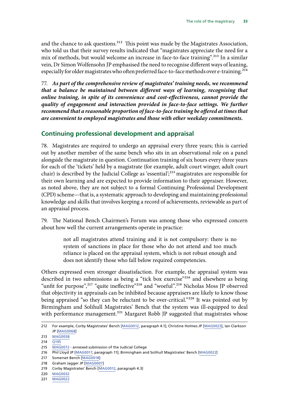<span id="page-34-0"></span>and the chance to ask questions.<sup>212</sup> This point was made by the Magistrates Association, who told us that their survey results indicated that "magistrates appreciate the need for a mix of methods, but would welcome an increase in face-to-face training".213 In a similar vein, Dr Simon Wolfensohn JP emphasised the need to recognise different ways of leaning, especially for older magistrates who often preferred face-to-face methods over e-training.<sup>214</sup>

77. *As part of the comprehensive review of magistrates' training needs, we recommend that a balance be maintained between different ways of learning, recognising that online training, in spite of its convenience and cost-effectiveness, cannot provide the quality of engagement and interaction provided in face-to-face settings. We further recommend that a reasonable proportion of face-to-face training be offered at times that are convenient to employed magistrates and those with other weekday commitments.*

#### **Continuing professional development and appraisal**

78. Magistrates are required to undergo an appraisal every three years; this is carried out by another member of the same bench who sits in an observational role on a panel alongside the magistrate in question. Continuation training of six hours every three years for each of the 'tickets' held by a magistrate (for example, adult court winger, adult court chair) is described by the Judicial College as 'essential';<sup>215</sup> magistrates are responsible for their own learning and are expected to provide information to their appraiser. However, as noted above, they are not subject to a formal Continuing Professional Development (CPD) scheme—that is, a systematic approach to developing and maintaining professional knowledge and skills that involves keeping a record of achievements, reviewable as part of an appraisal process.

79. The National Bench Chairmen's Forum was among those who expressed concern about how well the current arrangements operate in practice:

> not all magistrates attend training and it is not compulsory: there is no system of sanctions in place for those who do not attend and too much reliance is placed on the appraisal system, which is not robust enough and does not identify those who fall below required competencies.

Others expressed even stronger dissatisfaction. For example, the appraisal system was described in two submissions as being a "tick box exercise"216 and elsewhere as being "unfit for purpose",<sup>217</sup> "quite ineffective"<sup>218</sup> and "woeful".<sup>219</sup> Nicholas Moss JP observed that objectivity in appraisals can be inhibited because appraisers are likely to know those being appraised "so they can be reluctant to be over-critical."<sup>220</sup> It was pointed out by Birmingham and Solihull Magistrates' Bench that the system was ill-equipped to deal with performance management.<sup>221</sup> Margaret Robb JP suggested that magistrates whose

<sup>212</sup> For example, Corby Magistrates' Bench [\[MAG0012](http://data.parliament.uk/writtenevidence/committeeevidence.svc/evidencedocument/justice-committee/role-of-the-magistracy/written/26504.html), paragraph 4.1]; Christine Holmes JP [[MAG0023](http://data.parliament.uk/writtenevidence/committeeevidence.svc/evidencedocument/justice-committee/role-of-the-magistracy/written/26918.html)], Ian Clarkson JP [[MAG0068](http://data.parliament.uk/writtenevidence/committeeevidence.svc/evidencedocument/justice-committee/role-of-the-magistracy/written/28021.html)]

<sup>213</sup> [MAG0058](http://data.parliament.uk/writtenevidence/committeeevidence.svc/evidencedocument/justice-committee/role-of-the-magistracy/written/27965.html)

<sup>214</sup> [Q195](http://data.parliament.uk/writtenevidence/committeeevidence.svc/evidencedocument/justice-committee/role-of-the-magistracy/oral/33285.html)

<sup>215</sup> [MAG0072](http://data.parliament.uk/writtenevidence/committeeevidence.svc/evidencedocument/justice-committee/role-of-the-magistracy/written/28071.html) - annexed submission of the Judicial College

<sup>216</sup> Phil Lloyd JP [[MAG0017](http://data.parliament.uk/writtenevidence/committeeevidence.svc/evidencedocument/justice-committee/role-of-the-magistracy/written/26566.html), paragraph 11]; Birmingham and Solihull Magistrates' Bench [[MAG0022\]](http://data.parliament.uk/writtenevidence/committeeevidence.svc/evidencedocument/justice-committee/role-of-the-magistracy/written/26915.html)

<sup>217</sup> Somerset Bench [\[MAG0018](http://data.parliament.uk/writtenevidence/committeeevidence.svc/evidencedocument/justice-committee/role-of-the-magistracy/written/26680.html)]

<sup>218</sup> Graham Jagger JP [\[MAG0007\]](http://data.parliament.uk/writtenevidence/committeeevidence.svc/evidencedocument/justice-committee/role-of-the-magistracy/written/25516.html)

<sup>219</sup> Corby Magistrates' Bench [\[MAG0012](http://data.parliament.uk/writtenevidence/committeeevidence.svc/evidencedocument/justice-committee/role-of-the-magistracy/written/26504.html), paragraph 4.3]

<sup>220</sup> [MAG0032](http://data.parliament.uk/writtenevidence/committeeevidence.svc/evidencedocument/justice-committee/role-of-the-magistracy/written/27487.html)

<sup>221</sup> [MAG0022](http://data.parliament.uk/writtenevidence/committeeevidence.svc/evidencedocument/justice-committee/role-of-the-magistracy/written/26915.html)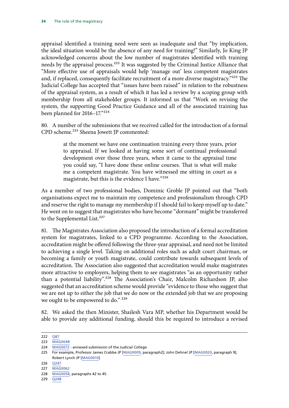appraisal identified a training need were seen as inadequate and that "by implication, the ideal situation would be the absence of any need for training!" Similarly, Jo King JP acknowledged concerns about the low number of magistrates identified with training needs by the appraisal process.<sup>222</sup> It was suggested by the Criminal Justice Alliance that "More effective use of appraisals would help 'manage out' less competent magistrates and, if replaced, consequently facilitate recruitment of a more diverse magistracy."223 The Judicial College has accepted that "issues have been raised" in relation to the robustness of the appraisal system, as a result of which it has led a review by a scoping group with membership from all stakeholder groups. It informed us that "Work on revising the system, the supporting Good Practice Guidance and all of the associated training has been planned for 2016–17."224

80. A number of the submissions that we received called for the introduction of a formal CPD scheme.<sup>225</sup> Sheena Jowett JP commented:

> at the moment we have one continuation training every three years, prior to appraisal. If we looked at having some sort of continual professional development over those three years, when it came to the appraisal time you could say, "I have done these online courses. That is what will make me a competent magistrate. You have witnessed me sitting in court as a magistrate, but this is the evidence I have."226

As a member of two professional bodies, Dominic Groble JP pointed out that "both organisations expect me to maintain my competence and professionalism through CPD and reserve the right to manage my membership if I should fail to keep myself up to date." He went on to suggest that magistrates who have become "dormant" might be transferred to the Supplemental List.<sup>227</sup>

81. The Magistrates Association also proposed the introduction of a formal accreditation system for magistrates, linked to a CPD programme. According to the Association, accreditation might be offered following the three-year appraisal, and need not be limited to achieving a single level. Taking on additional roles such as adult court chairman, or becoming a family or youth magistrate, could contribute towards subsequent levels of accreditation. The Association also suggested that accreditation would make magistrates more attractive to employers, helping them to see magistrates "as an opportunity rather than a potential liability".228 The Association's Chair, Malcolm Richardson JP, also suggested that an accreditation scheme would provide "evidence to those who suggest that we are not up to either the job that we do now or the extended job that we are proposing we ought to be empowered to do." <sup>229</sup>

82. We asked the then Minister, Shailesh Vara MP, whether his Department would be able to provide any additional funding, should this be required to introduce a revised

226 [Q247](http://data.parliament.uk/writtenevidence/committeeevidence.svc/evidencedocument/justice-committee/role-of-the-magistracy/oral/34558.html)

229 [Q248](http://data.parliament.uk/writtenevidence/committeeevidence.svc/evidencedocument/justice-committee/role-of-the-magistracy/oral/34558.html)

<sup>222</sup> [Q87](http://data.parliament.uk/writtenevidence/committeeevidence.svc/evidencedocument/justice-committee/role-of-the-magistracy/oral/31038.html)

<sup>223</sup> [MAG0048](http://data.parliament.uk/writtenevidence/committeeevidence.svc/evidencedocument/justice-committee/role-of-the-magistracy/written/27868.html)

<sup>224</sup> [MAG0072](http://data.parliament.uk/writtenevidence/committeeevidence.svc/evidencedocument/justice-committee/role-of-the-magistracy/written/28071.html) - annexed submission of the Judicial College

<sup>225</sup> For example, Professor James Crabbe JP [[MAG0009,](http://data.parliament.uk/writtenevidence/committeeevidence.svc/evidencedocument/justice-committee/role-of-the-magistracy/written/26325.html) paragraph2]; John Dehnel JP [[MAG0020](http://data.parliament.uk/writtenevidence/committeeevidence.svc/evidencedocument/justice-committee/role-of-the-magistracy/written/26791.html), paragraph 9]; Robert Lynch JP [[MAG0010\]](http://data.parliament.uk/writtenevidence/committeeevidence.svc/evidencedocument/justice-committee/role-of-the-magistracy/written/26472.html)

<sup>227</sup> [MAG0062](http://data.parliament.uk/writtenevidence/committeeevidence.svc/evidencedocument/justice-committee/role-of-the-magistracy/written/27991.html)

<sup>228</sup> [MAG0058,](http://data.parliament.uk/writtenevidence/committeeevidence.svc/evidencedocument/justice-committee/role-of-the-magistracy/written/27965.html) paragraphs 42 to 45.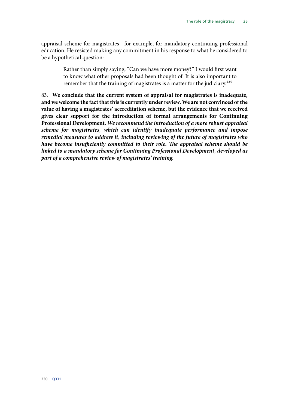appraisal scheme for magistrates—for example, for mandatory continuing professional education. He resisted making any commitment in his response to what he considered to be a hypothetical question:

> Rather than simply saying, "Can we have more money?" I would first want to know what other proposals had been thought of. It is also important to remember that the training of magistrates is a matter for the judiciary.<sup>230</sup>

83. **We conclude that the current system of appraisal for magistrates is inadequate, and we welcome the fact that this is currently under review. We are not convinced of the value of having a magistrates' accreditation scheme, but the evidence that we received gives clear support for the introduction of formal arrangements for Continuing Professional Development.** *We recommend the introduction of a more robust appraisal scheme for magistrates, which can identify inadequate performance and impose remedial measures to address it, including reviewing of the future of magistrates who have become insufficiently committed to their role. The appraisal scheme should be linked to a mandatory scheme for Continuing Professional Development, developed as part of a comprehensive review of magistrates' training.*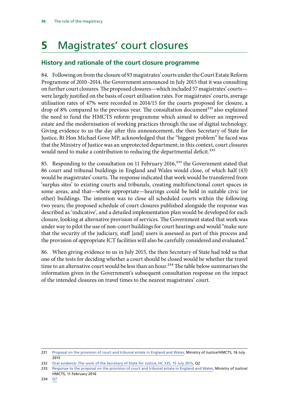## <span id="page-37-0"></span>**5** Magistrates' court closures

#### **History and rationale of the court closure programme**

84. Following on from the closure of 93 magistrates' courts under the Court Estate Reform Programme of 2010–2014, the Government announced in July 2015 that it was consulting on further court closures. The proposed closures—which included 57 magistrates' courts were largely justified on the basis of court utilisation rates. For magistrates' courts, average utilisation rates of 47% were recorded in 2014/15 for the courts proposed for closure, a drop of 8% compared to the previous year. The consultation document<sup>231</sup> also explained the need to fund the HMCTS reform programme which aimed to deliver an improved estate and the modernisation of working practices through the use of digital technology. Giving evidence to us the day after this announcement, the then Secretary of State for Justice, Rt Hon Michael Gove MP, acknowledged that the "biggest problem" he faced was that the Ministry of Justice was an unprotected department; in this context, court closures would need to make a contribution to reducing the departmental deficit.<sup>232</sup>

85. Responding to the consultation on 11 February 2016,<sup>233</sup> the Government stated that 86 court and tribunal buildings in England and Wales would close, of which half (43) would be magistrates' courts. The response indicated that work would be transferred from 'surplus sites' to existing courts and tribunals, creating multifunctional court spaces in some areas, and that—where appropriate—hearings could be held in suitable civic (or other) buildings. The intention was to close all scheduled courts within the following two years; the proposed schedule of court closures published alongside the response was described as 'indicative', and a detailed implementation plan would be developed for each closure, looking at alternative provision of services. The Government stated that work was under way to pilot the use of non-court buildings for court hearings and would "make sure that the security of the judiciary, staff [and] users is assessed as part of this process and the provision of appropriate ICT facilities will also be carefully considered and evaluated."

86. When giving evidence to us in July 2015, the then Secretary of State had told us that one of the tests for deciding whether a court should be closed would be whether the travel time to an alternative court would be less than an hour.<sup>234</sup> The table below summarises the information given in the Government's subsequent consultation response on the impact of the intended closures on travel times to the nearest magistrates' court.

<sup>231</sup> [Proposal on the provision of court and tribunal estate in England and Wales](https://consult.justice.gov.uk/digital-communications/proposal-on-the-provision-of-court-and-tribunal-es/user_uploads/reform-estates-national-consultation_official-sensitive_final.pdf), Ministry of Justice/HMCTS, 16 July 2015

<sup>232</sup> [Oral evidence: The work of the Secretary of State for Justice, HC 335, 15 July 2015,](http://data.parliament.uk/writtenevidence/committeeevidence.svc/evidencedocument/justice-committee/the-work-of-the-secretary-of-state-for-justice/oral/33205.pdf) Q2

<sup>233</sup> [Response to the proposal on the provision of court and tribunal estate in England and Wales,](https://www.gov.uk/government/uploads/system/uploads/attachment_data/file/499518/national-consultation-document.pdf) Ministry of Justice/ HMCTS, 11 February 2016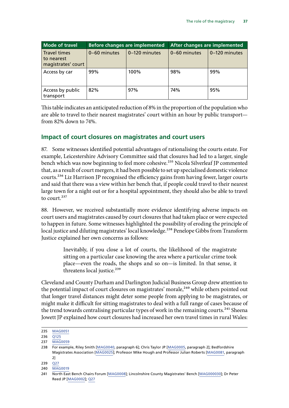<span id="page-38-0"></span>

| <b>Mode of travel</b>                                   | <b>Before changes are implemented</b> |               | After changes are implemented |               |
|---------------------------------------------------------|---------------------------------------|---------------|-------------------------------|---------------|
| <b>Travel times</b><br>to nearest<br>magistrates' court | 0-60 minutes                          | 0-120 minutes | 0-60 minutes                  | 0-120 minutes |
| Access by car                                           | 99%                                   | 100%          | 98%                           | 99%           |
| Access by public<br>transport                           | 82%                                   | 97%           | 74%                           | 95%           |

This table indicates an anticipated reduction of 8% in the proportion of the population who are able to travel to their nearest magistrates' court within an hour by public transport from 82% down to 74%.

#### **Impact of court closures on magistrates and court users**

87. Some witnesses identified potential advantages of rationalising the courts estate. For example, Leicestershire Advisory Committee said that closures had led to a larger, single bench which was now beginning to feel more cohesive.<sup>235</sup> Nicola Silverleaf JP commented that, as a result of court mergers, it had been possible to set up specialised domestic violence courts.236 Liz Harrison JP recognised the efficiency gains from having fewer, larger courts and said that there was a view within her bench that, if people could travel to their nearest large town for a night out or for a hospital appointment, they should also be able to travel to court.<sup>237</sup>

88. However, we received substantially more evidence identifying adverse impacts on court users and magistrates caused by court closures that had taken place or were expected to happen in future. Some witnesses highlighted the possibility of eroding the principle of local justice and diluting magistrates' local knowledge.<sup>238</sup> Penelope Gibbs from Transform Justice explained her own concerns as follows:

> Inevitably, if you close a lot of courts, the likelihood of the magistrate sitting on a particular case knowing the area where a particular crime took place—even the roads, the shops and so on—is limited. In that sense, it threatens local justice.<sup>239</sup>

Cleveland and County Durham and Darlington Judicial Business Group drew attention to the potential impact of court closures on magistrates' morale,<sup>240</sup> while others pointed out that longer travel distances might deter some people from applying to be magistrates, or might make it difficult for sitting magistrates to deal with a full range of cases because of the trend towards centralising particular types of work in the remaining courts.<sup>241</sup> Sheena Jowett JP explained how court closures had increased her own travel times in rural Wales:

<sup>235</sup> [MAG0051](http://data.parliament.uk/writtenevidence/committeeevidence.svc/evidencedocument/justice-committee/role-of-the-magistracy/written/27907.html)

<sup>236</sup> [Q125](http://data.parliament.uk/writtenevidence/committeeevidence.svc/evidencedocument/justice-committee/role-of-the-magistracy/oral/33285.html)

<sup>237</sup> [MAG0059](http://data.parliament.uk/writtenevidence/committeeevidence.svc/evidencedocument/justice-committee/role-of-the-magistracy/written/27967.html)

<sup>238</sup> For example, Riley Smith [[MAG0040,](http://data.parliament.uk/writtenevidence/committeeevidence.svc/evidencedocument/justice-committee/role-of-the-magistracy/written/27747.html) paragraph 6]; Chris Taylor JP [[MAG0005,](http://data.parliament.uk/writtenevidence/committeeevidence.svc/evidencedocument/justice-committee/role-of-the-magistracy/written/25007.html) paragraph 2]; Bedfordshire Magistrates Association [\[MAG0025\]](http://data.parliament.uk/writtenevidence/committeeevidence.svc/evidencedocument/justice-committee/role-of-the-magistracy/written/26955.html); Professor Mike Hough and Professor Julian Roberts [[MAG0081,](http://data.parliament.uk/writtenevidence/committeeevidence.svc/evidencedocument/justice-committee/role-of-the-magistracy/written/31683.html) paragraph 2]

<sup>239</sup> [Q27](http://data.parliament.uk/writtenevidence/committeeevidence.svc/evidencedocument/justice-committee/role-of-the-magistracy/oral/31038.html)

<sup>240</sup> [MAG0019](http://data.parliament.uk/writtenevidence/committeeevidence.svc/evidencedocument/justice-committee/role-of-the-magistracy/written/26725.html)

<sup>241</sup> North East Bench Chairs Forum [[MAG0008\]](http://data.parliament.uk/writtenevidence/committeeevidence.svc/evidencedocument/justice-committee/role-of-the-magistracy/written/25766.html); Lincolnshire County Magistrates' Bench [[MAG000030](http://data.parliament.uk/writtenevidence/committeeevidence.svc/evidencedocument/justice-committee/role-of-the-magistracy/written/27419.html)]; Dr Peter Reed JP [[MAG0002](http://data.parliament.uk/writtenevidence/committeeevidence.svc/evidencedocument/justice-committee/role-of-the-magistracy/written/24484.html)]; [Q27](http://data.parliament.uk/writtenevidence/committeeevidence.svc/evidencedocument/justice-committee/role-of-the-magistracy/oral/31038.html)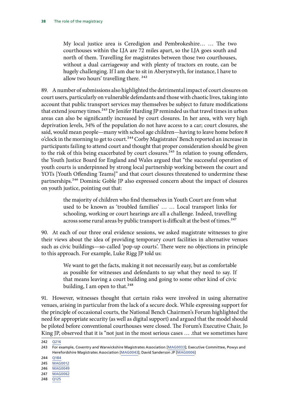My local justice area is Ceredigion and Pembrokeshire… … The two courthouses within the LJA are 72 miles apart, so the LJA goes south and north of them. Travelling for magistrates between those two courthouses, without a dual carriageway and with plenty of tractors en route, can be hugely challenging. If I am due to sit in Aberystwyth, for instance, I have to allow two hours' travelling there.<sup>242</sup>

89. A number of submissions also highlighted the detrimental impact of court closures on court users, particularly on vulnerable defendants and those with chaotic lives, taking into account that public transport services may themselves be subject to future modifications that extend journey times.<sup>243</sup> Dr Jenifer Harding JP reminded us that travel times in urban areas can also be significantly increased by court closures. In her area, with very high deprivation levels, 34% of the population do not have access to a car; court closures, she said, would mean people—many with school age children—having to leave home before 8 o'clock in the morning to get to court.<sup>244</sup> Corby Magistrates' Bench reported an increase in participants failing to attend court and thought that proper consideration should be given to the risk of this being exacerbated by court closures.<sup>245</sup> In relation to young offenders, the Youth Justice Board for England and Wales argued that "the successful operation of youth courts is underpinned by strong local partnership working between the court and YOTs [Youth Offending Teams]" and that court closures threatened to undermine these partnerships.246 Dominic Goble JP also expressed concern about the impact of closures on youth justice, pointing out that:

> the majority of children who find themselves in Youth Court are from what used to be known as 'troubled families' … … Local transport links for schooling, working or court hearings are all a challenge. Indeed, travelling across some rural areas by public transport is difficult at the best of times.<sup>247</sup>

90. At each of our three oral evidence sessions, we asked magistrate witnesses to give their views about the idea of providing temporary court facilities in alternative venues such as civic buildings—so-called 'pop-up courts'. There were no objections in principle to this approach. For example, Luke Rigg JP told us:

> We want to get the facts, making it not necessarily easy, but as comfortable as possible for witnesses and defendants to say what they need to say. If that means leaving a court building and going to some other kind of civic building, I am open to that.<sup>248</sup>

91. However, witnesses thought that certain risks were involved in using alternative venues, arising in particular from the lack of a secure dock. While expressing support for the principle of occasional courts, the National Bench Chairmen's Forum highlighted the need for appropriate security (as well as digital support) and argued that the model should be piloted before conventional courthouses were closed. The Forum's Executive Chair, Jo King JP, observed that it is "not just in the most serious cases … .that we sometimes have

<sup>242</sup> [Q216](http://data.parliament.uk/writtenevidence/committeeevidence.svc/evidencedocument/justice-committee/role-of-the-magistracy/oral/34558.html)

<sup>243</sup> For example, Coventry and Warwickshire Magistrates Association [[MAG0033\]](http://data.parliament.uk/writtenevidence/committeeevidence.svc/evidencedocument/justice-committee/role-of-the-magistracy/written/27510.html); Executive Committee, Powys and Herefordshire Magistrates Association [[MAG0043\]](http://data.parliament.uk/writtenevidence/committeeevidence.svc/evidencedocument/justice-committee/role-of-the-magistracy/written/27815.html); David Sanderson JP [\[MAG0006\]](http://data.parliament.uk/writtenevidence/committeeevidence.svc/evidencedocument/justice-committee/role-of-the-magistracy/written/25470.html)

<sup>244</sup> [Q184](http://data.parliament.uk/writtenevidence/committeeevidence.svc/evidencedocument/justice-committee/role-of-the-magistracy/oral/33285.html)

<sup>245</sup> [MAG0012](http://data.parliament.uk/writtenevidence/committeeevidence.svc/evidencedocument/justice-committee/role-of-the-magistracy/written/26504.html)

<sup>246</sup> [MAG0049](http://data.parliament.uk/writtenevidence/committeeevidence.svc/evidencedocument/justice-committee/role-of-the-magistracy/written/27891.html)

<sup>247</sup> [MAG0062](http://data.parliament.uk/writtenevidence/committeeevidence.svc/evidencedocument/justice-committee/role-of-the-magistracy/written/27991.html)

<sup>248</sup> [Q125](http://data.parliament.uk/writtenevidence/committeeevidence.svc/evidencedocument/justice-committee/role-of-the-magistracy/oral/33285.html)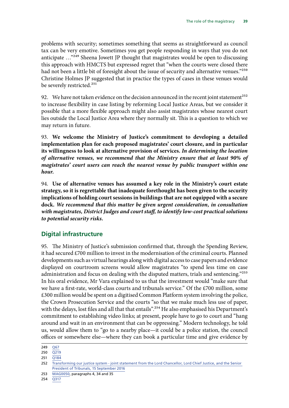<span id="page-40-0"></span>problems with security; sometimes something that seems as straightforward as council tax can be very emotive. Sometimes you get people responding in ways that you do not anticipate ...<sup>"249</sup> Sheena Jowett JP thought that magistrates would be open to discussing this approach with HMCTS but expressed regret that "when the courts were closed there had not been a little bit of foresight about the issue of security and alternative venues."250 Christine Holmes JP suggested that in practice the types of cases in these venues would be severely restricted.<sup>251</sup>

92. We have not taken evidence on the decision announced in the recent joint statement<sup>252</sup> to increase flexibility in case listing by reforming Local Justice Areas, but we consider it possible that a more flexible approach might also assist magistrates whose nearest court lies outside the Local Justice Area where they normally sit. This is a question to which we may return in future.

93. **We welcome the Ministry of Justice's commitment to developing a detailed implementation plan for each proposed magistrates' court closure, and in particular its willingness to look at alternative provision of services.** *In determining the location of alternative venues, we recommend that the Ministry ensure that at least 90% of magistrates' court users can reach the nearest venue by public transport within one hour.*

94. **Use of alternative venues has assumed a key role in the Ministry's court estate strategy, so it is regrettable that inadequate forethought has been given to the security implications of holding court sessions in buildings that are not equipped with a secure dock.** *We recommend that this matter be given urgent consideration, in consultation with magistrates, District Judges and court staff, to identify low-cost practical solutions to potential security risks.*

#### **Digital infrastructure**

95. The Ministry of Justice's submission confirmed that, through the Spending Review, it had secured £700 million to invest in the modernisation of the criminal courts. Planned developments such as virtual hearings along with digital access to case papers and evidence displayed on courtroom screens would allow magistrates "to spend less time on case administration and focus on dealing with the disputed matters, trials and sentencing."<sup>253</sup> In his oral evidence, Mr Vara explained to us that the investment would "make sure that we have a first-rate, world-class courts and tribunals service." Of the £700 million, some £300 million would be spent on a digitised Common Platform system involving the police, the Crown Prosecution Service and the courts "so that we make much less use of paper, with the delays, lost files and all that that entails".<sup>254</sup> He also emphasised his Department's commitment to establishing video links; at present, people have to go to court and "hang around and wait in an environment that can be oppressing." Modern technology, he told us, would allow them to "go to a nearby place—it could be a police station, the council offices or somewhere else—where they can book a particular time and give evidence by

<sup>249</sup> [Q67](http://data.parliament.uk/writtenevidence/committeeevidence.svc/evidencedocument/justice-committee/role-of-the-magistracy/oral/31038.html)

<sup>250</sup> [Q219](http://data.parliament.uk/writtenevidence/committeeevidence.svc/evidencedocument/justice-committee/role-of-the-magistracy/oral/34558.html)

<sup>251</sup> [Q184](http://data.parliament.uk/writtenevidence/committeeevidence.svc/evidencedocument/justice-committee/role-of-the-magistracy/oral/33285.html)

<sup>252</sup> [Transforming our justice system - joint statement from the Lord Chancellor, Lord Chief Justice, and the Senior](https://www.gov.uk/government/uploads/system/uploads/attachment_data/file/553261/joint-vision-statement.pdf)  [President of Tribunals, 15 September 2016](https://www.gov.uk/government/uploads/system/uploads/attachment_data/file/553261/joint-vision-statement.pdf)

<sup>253</sup> [MAG0050](http://data.parliament.uk/writtenevidence/committeeevidence.svc/evidencedocument/justice-committee/role-of-the-magistracy/written/27892.html), paragraphs 4, 34 and 35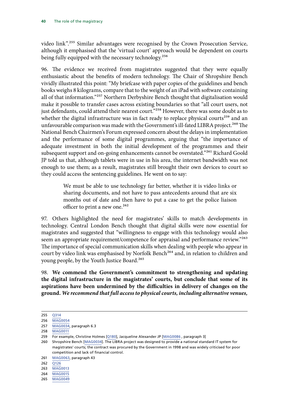video link".255 Similar advantages were recognised by the Crown Prosecution Service, although it emphasised that the 'virtual court' approach would be dependent on courts being fully equipped with the necessary technology.<sup>256</sup>

96. The evidence we received from magistrates suggested that they were equally enthusiastic about the benefits of modern technology. The Chair of Shropshire Bench vividly illustrated this point: "My briefcase with paper copies of the guidelines and bench books weighs 8 kilograms, compare that to the weight of an iPad with software containing all of that information."257 Northern Derbyshire Bench thought that digitalisation would make it possible to transfer cases across existing boundaries so that "all court users, not just defendants, could attend their nearest court."<sup>258</sup> However, there was some doubt as to whether the digital infrastructure was in fact ready to replace physical courts<sup>259</sup> and an unfavourable comparison was made with the Government's ill-fated LIBRA project.<sup>260</sup> The National Bench Chairmen's Forum expressed concern about the delays in implementation and the performance of some digital programmes, arguing that "the importance of adequate investment in both the initial development of the programmes and their subsequent support and on-going enhancements cannot be overstated."<sup>261</sup> Richard Goold JP told us that, although tablets were in use in his area, the internet bandwidth was not enough to use them; as a result, magistrates still brought their own devices to court so they could access the sentencing guidelines. He went on to say:

> We must be able to use technology far better, whether it is video links or sharing documents, and not have to pass antecedents around that are six months out of date and then have to put a case to get the police liaison officer to print a new one.<sup>262</sup>

97. Others highlighted the need for magistrates' skills to match developments in technology. Central London Bench thought that digital skills were now essential for magistrates and suggested that "willingness to engage with this technology would also seem an appropriate requirement/competence for appraisal and performance review."263 The importance of special communication skills when dealing with people who appear in court by video link was emphasised by Norfolk Bench<sup>264</sup> and, in relation to children and young people, by the Youth Justice Board.<sup>265</sup>

98. **We commend the Government's commitment to strengthening and updating the digital infrastructure in the magistrates' courts, but conclude that some of its aspirations have been undermined by the difficulties in delivery of changes on the ground.** *We recommend that full access to physical courts, including alternative venues,* 

<sup>255</sup> [Q314](http://data.parliament.uk/writtenevidence/committeeevidence.svc/evidencedocument/justice-committee/role-of-the-magistracy/oral/34558.html)

<sup>256</sup> [MAG0054](http://data.parliament.uk/writtenevidence/committeeevidence.svc/evidencedocument/justice-committee/role-of-the-magistracy/written/27932.html)

<sup>257</sup> [MAG0034](http://data.parliament.uk/writtenevidence/committeeevidence.svc/evidencedocument/justice-committee/role-of-the-magistracy/written/27535.html), paragraph 6.3

<sup>258</sup> [MAG0011](http://data.parliament.uk/writtenevidence/committeeevidence.svc/evidencedocument/justice-committee/role-of-the-magistracy/written/26502.html)

<sup>259</sup> For example, Christine Holmes [[Q180\]](http://data.parliament.uk/writtenevidence/committeeevidence.svc/evidencedocument/justice-committee/role-of-the-magistracy/oral/33285.html), Jacqueline Alexander JP [\[MAG0086](http://data.parliament.uk/writtenevidence/committeeevidence.svc/evidencedocument/justice-committee/role-of-the-magistracy/written/34043.html) , paragraph 3]

<sup>260</sup> Shropshire Bench [\[MAG0034\]](http://data.parliament.uk/writtenevidence/committeeevidence.svc/evidencedocument/justice-committee/role-of-the-magistracy/written/27535.html). The LIBRA project was designed to provide a national standard IT system for magistrates' courts; the contract was procured by the Government in 1998 and was widely criticised for poor competition and lack of financial control.

<sup>261</sup> [MAG0063](http://data.parliament.uk/writtenevidence/committeeevidence.svc/evidencedocument/justice-committee/role-of-the-magistracy/written/27995.html), paragraph 43

 $262 \overline{0126}$ 

<sup>263</sup> [MAG0013](http://data.parliament.uk/writtenevidence/committeeevidence.svc/evidencedocument/justice-committee/role-of-the-magistracy/written/26522.html)

<sup>264</sup> [MAG0015](http://data.parliament.uk/writtenevidence/committeeevidence.svc/evidencedocument/justice-committee/role-of-the-magistracy/written/26551.html)

<sup>265</sup> [MAG0049](http://data.parliament.uk/writtenevidence/committeeevidence.svc/evidencedocument/justice-committee/role-of-the-magistracy/written/27891.html)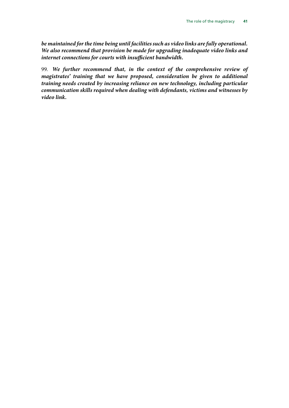*be maintained for the time being until facilities such as video links are fully operational. We also recommend that provision be made for upgrading inadequate video links and internet connections for courts with insufficient bandwidth.*

99. *We further recommend that, in the context of the comprehensive review of magistrates' training that we have proposed, consideration be given to additional training needs created by increasing reliance on new technology, including particular communication skills required when dealing with defendants, victims and witnesses by video link.*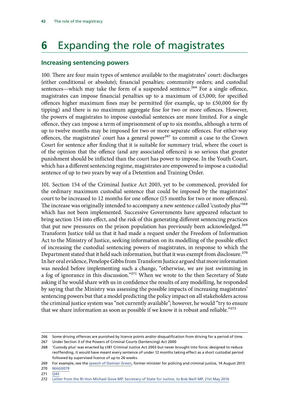## <span id="page-43-0"></span>**6** Expanding the role of magistrates

#### **Increasing sentencing powers**

100. There are four main types of sentence available to the magistrates' court: discharges (either conditional or absolute); financial penalties; community orders; and custodial sentences—which may take the form of a suspended sentence.<sup>266</sup> For a single offence, magistrates can impose financial penalties up to a maximum of £5,000; for specified offences higher maximum fines may be permitted (for example, up to £50,000 for fly tipping) and there is no maximum aggregate fine for two or more offences. However, the powers of magistrates to impose custodial sentences are more limited. For a single offence, they can impose a term of imprisonment of up to six months, although a term of up to twelve months may be imposed for two or more separate offences. For either-way offences, the magistrates' court has a general power<sup>267</sup> to commit a case to the Crown Court for sentence after finding that it is suitable for summary trial, where the court is of the opinion that the offence (and any associated offences) is so serious that greater punishment should be inflicted than the court has power to impose. In the Youth Court, which has a different sentencing regime, magistrates are empowered to impose a custodial sentence of up to two years by way of a Detention and Training Order.

101. Section 154 of the Criminal Justice Act 2003, yet to be commenced, provided for the ordinary maximum custodial sentence that could be imposed by the magistrates' court to be increased to 12 months for one offence (15 months for two or more offences). The increase was originally intended to accompany a new sentence called 'custody plus'<sup>268</sup> which has not been implemented. Successive Governments have appeared reluctant to bring section 154 into effect, and the risk of this generating different sentencing practices that put new pressures on the prison population has previously been acknowledged.<sup>269</sup> Transform Justice told us that it had made a request under the Freedom of Information Act to the Ministry of Justice, seeking information on its modelling of the possible effect of increasing the custodial sentencing powers of magistrates, in response to which the Department stated that it held such information, but that it was exempt from disclosure.<sup>270</sup> In her oral evidence, Penelope Gibbs from Transform Justice argued that more information was needed before implementing such a change, "otherwise, we are just swimming in a fog of ignorance in this discussion."<sup>271</sup> When we wrote to the then Secretary of State asking if he would share with us in confidence the results of any modelling, he responded by saying that the Ministry was assessing the possible impacts of increasing magistrates' sentencing powers but that a model predicting the policy impact on all stakeholders across the criminal justice system was "not currently available"; however, he would "try to ensure that we share information as soon as possible if we know it is robust and reliable."<sup>272</sup>

<sup>266</sup> Some driving offences are punished by licence points and/or disqualification from driving for a period of time.

<sup>267</sup> Under Section 3 of the Powers of Criminal Courts (Sentencing) Act 2000

<sup>268</sup> 'Custody plus' was enacted by s181 Criminal Justice Act 2003 but never brought into force; designed to reduce reoffending, it would have meant every sentence of under 12 months taking effect as a short custodial period followed by supervised licence of up to 26 weeks.

<sup>269</sup> For example, see the [speech of Damian Green](https://www.gov.uk/government/speeches/the-role-of-magistrates), former minister for policing and criminal justice, 14 August 2013

<sup>270</sup> [MAG0079](http://data.parliament.uk/writtenevidence/committeeevidence.svc/evidencedocument/justice-committee/role-of-the-magistracy/written/31202.html)

<sup>271</sup> [Q45](http://data.parliament.uk/writtenevidence/committeeevidence.svc/evidencedocument/justice-committee/role-of-the-magistracy/oral/31038.html)

<sup>272</sup> [Letter from the Rt Hon Michael Gove MP, Secretary of State for Justice, to Bob Neill MP, 21st May 2016](http://www.parliament.uk/documents/commons-committees/Justice/correspondence/Letter-dated-21-May-2016-from-Michael-Gove-on-Prison-reform.pdf)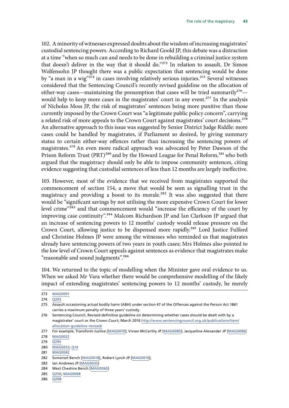102. A minority of witnesses expressed doubts about the wisdom of increasing magistrates' custodial sentencing powers. According to Richard Goold JP, this debate was a distraction at a time "when so much can and needs to be done in rebuilding a criminal justice system that doesn't deliver in the way that it should do."273 In relation to assault, Dr Simon Wolfensohn JP thought there was a public expectation that sentencing would be done by "a man in a wig" $274$  in cases involving relatively serious injuries.<sup>275</sup> Several witnesses considered that the Sentencing Council's recently revised guideline on the allocation of either-way cases—maintaining the presumption that cases will be tried summarily<sup>276</sup> would help to keep more cases in the magistrates' court in any event.<sup>277</sup> In the analysis of Nicholas Moss JP, the risk of magistrates' sentences being more punitive than those currently imposed by the Crown Court was "a legitimate public policy concern", carrying a related risk of more appeals to the Crown Court against magistrates' court decisions.<sup>278</sup> An alternative approach to this issue was suggested by Senior District Judge Riddle: more cases could be handled by magistrates, if Parliament so desired, by giving summary status to certain either-way offences rather than increasing the sentencing powers of magistrates.279 An even more radical approach was advocated by Peter Dawson of the Prison Reform Trust (PRT)<sup>280</sup> and by the Howard League for Penal Reform,<sup>281</sup> who both argued that the magistracy should only be able to impose community sentences, citing evidence suggesting that custodial sentences of less than 12 months are largely ineffective.

103. However, most of the evidence that we received from magistrates supported the commencement of section 154, a move that would be seen as signalling trust in the magistracy and providing a boost to its morale.<sup>282</sup> It was also suggested that there would be "significant savings by not utilising the more expensive Crown Court for lower level crime"283 and that commencement would "increase the efficiency of the court by improving case continuity".284 Malcom Richardson JP and Ian Clarkson JP argued that an increase of sentencing powers to 12 months' custody would release pressure on the Crown Court, allowing justice to be dispensed more rapidly.<sup>285</sup> Lord Justice Fulford and Christine Holmes JP were among the witnesses who reminded us that magistrates already have sentencing powers of two years in youth cases; Mrs Holmes also pointed to the low level of Crown Court appeals against sentences as evidence that magistrates make "reasonable and sound judgments".<sup>286</sup>

104. We returned to the topic of modelling when the Minister gave oral evidence to us. When we asked Mr Vara whether there would be comprehensive modelling of the likely impact of extending magistrates' sentencing powers to 12 months' custody, he merely

283 Ian Andrews JP [\[MAG0035\]](http://data.parliament.uk/writtenevidence/committeeevidence.svc/evidencedocument/justice-committee/role-of-the-magistracy/written/27562.html)

286 [Q208](http://data.parliament.uk/writtenevidence/committeeevidence.svc/evidencedocument/justice-committee/role-of-the-magistracy/oral/33285.html)

<sup>273</sup> [MAG0001](http://data.parliament.uk/writtenevidence/committeeevidence.svc/evidencedocument/justice-committee/role-of-the-magistracy/written/24248.html)

<sup>274</sup> [Q203](http://data.parliament.uk/writtenevidence/committeeevidence.svc/evidencedocument/justice-committee/role-of-the-magistracy/oral/33285.html)

<sup>275</sup> Assault occasioning actual bodily harm (ABH) under section 47 of the Offences against the Person Act 1861 carries a maximum penalty of three years' custody.

<sup>276</sup> Sentencing Council, Revised definitive guideline on determining whether cases should be dealt with by a magistrates' court or the Crown Court; March 2016 [http://www.sentencingcouncil.org.uk/publications/item/](http://www.sentencingcouncil.org.uk/publications/item/allocation-guideline-revised/) [allocation-guideline-revised/](http://www.sentencingcouncil.org.uk/publications/item/allocation-guideline-revised/)

<sup>277</sup> For example, Transform Justice [\[MAG0070\]](http://data.parliament.uk/writtenevidence/committeeevidence.svc/evidencedocument/justice-committee/role-of-the-magistracy/written/28059.html); Vivian McCarthy JP [\[MAG0085\]](http://data.parliament.uk/writtenevidence/committeeevidence.svc/evidencedocument/justice-committee/role-of-the-magistracy/written/33933.html); Jacqueline Alexander JP [[MAG0086\]](http://data.parliament.uk/writtenevidence/committeeevidence.svc/evidencedocument/justice-committee/role-of-the-magistracy/written/34043.html) 278 [MAG0032](http://data.parliament.uk/writtenevidence/committeeevidence.svc/evidencedocument/justice-committee/role-of-the-magistracy/written/27487.html)

<sup>279</sup> [Q295](http://data.parliament.uk/writtenevidence/committeeevidence.svc/evidencedocument/justice-committee/role-of-the-magistracy/oral/34558.html)

<sup>280</sup> [MAG0053](http://data.parliament.uk/writtenevidence/committeeevidence.svc/evidencedocument/justice-committee/role-of-the-magistracy/written/27928.html); [Q14](http://data.parliament.uk/writtenevidence/committeeevidence.svc/evidencedocument/justice-committee/role-of-the-magistracy/oral/31038.html)

<sup>281</sup> [MAG0042](http://data.parliament.uk/writtenevidence/committeeevidence.svc/evidencedocument/justice-committee/role-of-the-magistracy/written/27814.html)

<sup>282</sup> Somerset Bench [\[MAG0018](http://data.parliament.uk/writtenevidence/committeeevidence.svc/evidencedocument/justice-committee/role-of-the-magistracy/written/26680.html)], Robert Lynch JP [\[MAG0010](http://data.parliament.uk/writtenevidence/committeeevidence.svc/evidencedocument/justice-committee/role-of-the-magistracy/written/26472.html)];

<sup>284</sup> West Cheshire Bench [[MAG0065\]](http://data.parliament.uk/writtenevidence/committeeevidence.svc/evidencedocument/justice-committee/role-of-the-magistracy/written/28006.html)

<sup>285</sup> [Q250](http://data.parliament.uk/writtenevidence/committeeevidence.svc/evidencedocument/justice-committee/role-of-the-magistracy/oral/34558.html); [MAG0068](http://data.parliament.uk/writtenevidence/committeeevidence.svc/evidencedocument/justice-committee/role-of-the-magistracy/written/28021.html)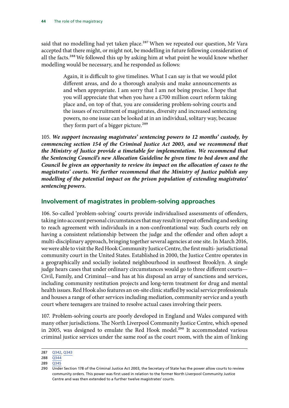<span id="page-45-0"></span>said that no modelling had yet taken place.<sup>287</sup> When we repeated our question, Mr Vara accepted that there might, or might not, be modelling in future following consideration of all the facts.<sup>288</sup> We followed this up by asking him at what point he would know whether modelling would be necessary, and he responded as follows:

> Again, it is difficult to give timelines. What I can say is that we would pilot different areas, and do a thorough analysis and make announcements as and when appropriate. I am sorry that I am not being precise. I hope that you will appreciate that when you have a £700 million court reform taking place and, on top of that, you are considering problem-solving courts and the issues of recruitment of magistrates, diversity and increased sentencing powers, no one issue can be looked at in an individual, solitary way, because they form part of a bigger picture.<sup>289</sup>

105. *We support increasing magistrates' sentencing powers to 12 months' custody, by commencing section 154 of the Criminal Justice Act 2003, and we recommend that the Ministry of Justice provide a timetable for implementation. We recommend that the Sentencing Council's new Allocation Guideline be given time to bed down and the Council be given an opportunity to review its impact on the allocation of cases to the magistrates' courts. We further recommend that the Ministry of Justice publish any modelling of the potential impact on the prison population of extending magistrates' sentencing powers.*

#### **Involvement of magistrates in problem-solving approaches**

106. So-called 'problem-solving' courts provide individualised assessments of offenders, taking into account personal circumstances that may result in repeat offending and seeking to reach agreement with individuals in a non-confrontational way. Such courts rely on having a consistent relationship between the judge and the offender and often adopt a multi-disciplinary approach, bringing together several agencies at one site. In March 2016, we were able to visit the Red Hook Community Justice Centre, the first multi- jurisdictional community court in the United States. Established in 2000, the Justice Centre operates in a geographically and socially isolated neighbourhood in southwest Brooklyn. A single judge hears cases that under ordinary circumstances would go to three different courts— Civil, Family, and Criminal—and has at his disposal an array of sanctions and services, including community restitution projects and long-term treatment for drug and mental health issues. Red Hook also features an on-site clinic staffed by social service professionals and houses a range of other services including mediation, community service and a youth court where teenagers are trained to resolve actual cases involving their peers.

107. Problem-solving courts are poorly developed in England and Wales compared with many other jurisdictions. The North Liverpool Community Justice Centre, which opened in 2005, was designed to emulate the Red Hook model.<sup>290</sup> It accommodated various criminal justice services under the same roof as the court room, with the aim of linking

<sup>287</sup> [Q342](http://data.parliament.uk/writtenevidence/committeeevidence.svc/evidencedocument/justice-committee/role-of-the-magistracy/oral/34558.html), [Q343](http://data.parliament.uk/writtenevidence/committeeevidence.svc/evidencedocument/justice-committee/role-of-the-magistracy/oral/34558.html)

<sup>288</sup> [Q344](http://data.parliament.uk/writtenevidence/committeeevidence.svc/evidencedocument/justice-committee/role-of-the-magistracy/oral/34558.html)

<sup>289</sup> [Q345](http://data.parliament.uk/writtenevidence/committeeevidence.svc/evidencedocument/justice-committee/role-of-the-magistracy/oral/34558.html)

<sup>290</sup> Under Section 178 of the Criminal Justice Act 2003, the Secretary of State has the power allow courts to review community orders. This power was first used in relation to the former North Liverpool Community Justice Centre and was then extended to a further twelve magistrates' courts.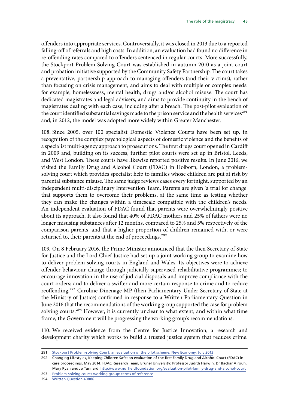offenders into appropriate services. Controversially, it was closed in 2013 due to a reported falling-off of referrals and high costs. In addition, an evaluation had found no difference in re-offending rates compared to offenders sentenced in regular courts. More successfully, the Stockport Problem Solving Court was established in autumn 2010 as a joint court and probation initiative supported by the Community Safety Partnership. The court takes a preventative, partnership approach to managing offenders (and their victims), rather than focusing on crisis management, and aims to deal with multiple or complex needs: for example, homelessness, mental health, drugs and/or alcohol misuse. The court has dedicated magistrates and legal advisers, and aims to provide continuity in the bench of magistrates dealing with each case, including after a breach. The post-pilot evaluation of the court identified substantial savings made to the prison service and the health services<sup>291</sup> and, in 2012, the model was adopted more widely within Greater Manchester.

108. Since 2005, over 100 specialist Domestic Violence Courts have been set up, in recognition of the complex psychological aspects of domestic violence and the benefits of a specialist multi-agency approach to prosecutions. The first drugs court opened in Cardiff in 2009 and, building on its success, further pilot courts were set up in Bristol, Leeds, and West London. These courts have likewise reported positive results. In June 2016, we visited the Family Drug and Alcohol Court (FDAC) in Holborn, London, a problemsolving court which provides specialist help to families whose children are put at risk by parental substance misuse. The same judge reviews cases every fortnight, supported by an independent multi-disciplinary Intervention Team. Parents are given 'a trial for change' that supports them to overcome their problems, at the same time as testing whether they can make the changes within a timescale compatible with the children's needs. An independent evaluation of FDAC found that parents were overwhelmingly positive about its approach. It also found that 40% of FDAC mothers and 25% of fathers were no longer misusing substances after 12 months, compared to 25% and 5% respectively of the comparison parents, and that a higher proportion of children remained with, or were returned to, their parents at the end of proceedings.<sup>292</sup>

109. On 8 February 2016, the Prime Minister announced that the then Secretary of State for Justice and the Lord Chief Justice had set up a joint working group to examine how to deliver problem-solving courts in England and Wales. Its objectives were to achieve offender behaviour change through judicially supervised rehabilitative programmes; to encourage innovation in the use of judicial disposals and improve compliance with the court orders; and to deliver a swifter and more certain response to crime and to reduce reoffending.293 Caroline Dinenage MP (then Parliamentary Under Secretary of State at the Ministry of Justice) confirmed in response to a Written Parliamentary Question in June 2016 that the recommendations of the working group supported the case for problem solving courts.<sup>294</sup> However, it is currently unclear to what extent, and within what time frame, the Government will be progressing the working group's recommendations.

110. We received evidence from the Centre for Justice Innovation, a research and development charity which works to build a trusted justice system that reduces crime.

294 [Written Question 40886](https://www.parliament.uk/business/publications/written-questions-answers-statements/written-question/Commons/2016-06-20/40866/)

<sup>291</sup> [Stockport Problem-solving Court: an evaluation of the pilot scheme, New Economy, July 2013](http://neweconomymanchester.com/media/1397/stockport_problem_solving_court_pilot_evaluation_-_final.pdf)

<sup>292</sup> Changing Lifestyles, Keeping Children Safe: an evaluation of the first Family Drug and Alcohol Court (FDAC) in care proceedings, May 2014. FDAC Research Team, Brunel University: Professor Judith Harwin, Dr Bachar Alrouh, Mary Ryan and Jo Tunnard <http://www.nuffieldfoundation.org/evaluation-pilot-family-drug-and-alcohol-court>

<sup>293</sup> [Problem-solving courts working group: terms of reference](https://www.gov.uk/government/uploads/system/uploads/attachment_data/file/499465/tor-problem-solving-courts.pdf)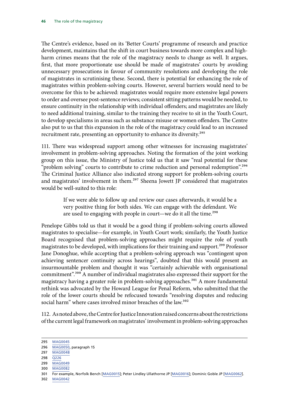The Centre's evidence, based on its 'Better Courts' programme of research and practice development, maintains that the shift in court business towards more complex and highharm crimes means that the role of the magistracy needs to change as well. It argues, first, that more proportionate use should be made of magistrates' courts by avoiding unnecessary prosecutions in favour of community resolutions and developing the role of magistrates in scrutinising these. Second, there is potential for enhancing the role of magistrates within problem-solving courts. However, several barriers would need to be overcome for this to be achieved: magistrates would require more extensive legal powers to order and oversee post-sentence reviews; consistent sitting patterns would be needed, to ensure continuity in the relationship with individual offenders; and magistrates are likely to need additional training, similar to the training they receive to sit in the Youth Court, to develop specialisms in areas such as substance misuse or women offenders. The Centre also put to us that this expansion in the role of the magistracy could lead to an increased recruitment rate, presenting an opportunity to enhance its diversity.<sup>295</sup>

111. There was widespread support among other witnesses for increasing magistrates' involvement in problem-solving approaches. Noting the formation of the joint working group on this issue, the Ministry of Justice told us that it saw "real potential for these "problem solving" courts to contribute to crime reduction and personal redemption".<sup>296</sup> The Criminal Justice Alliance also indicated strong support for problem-solving courts and magistrates' involvement in them.<sup>297</sup> Sheena Jowett JP considered that magistrates would be well-suited to this role:

> If we were able to follow up and review our cases afterwards, it would be a very positive thing for both sides. We can engage with the defendant. We are used to engaging with people in court—we do it all the time.<sup>298</sup>

Penelope Gibbs told us that it would be a good thing if problem-solving courts allowed magistrates to specialise—for example, in Youth Court work; similarly, the Youth Justice Board recognised that problem-solving approaches might require the role of youth magistrates to be developed, with implications for their training and support.<sup>299</sup> Professor Jane Donoghue, while accepting that a problem-solving approach was "contingent upon achieving sentencer continuity across hearings", doubted that this would present an insurmountable problem and thought it was "certainly achievable with organisational commitment".300 A number of individual magistrates also expressed their support for the magistracy having a greater role in problem-solving approaches.<sup>301</sup> A more fundamental rethink was advocated by the Howard League for Penal Reform, who submitted that the role of the lower courts should be refocused towards "resolving disputes and reducing social harm" where cases involved minor breaches of the law.<sup>302</sup>

112. As noted above, the Centre for Justice Innovation raised concerns about the restrictions of the current legal framework on magistrates' involvement in problem-solving approaches

- 299 [MAG0049](http://data.parliament.uk/writtenevidence/committeeevidence.svc/evidencedocument/justice-committee/role-of-the-magistracy/written/27891.html)
- 300 [MAG0082](http://data.parliament.uk/writtenevidence/committeeevidence.svc/evidencedocument/justice-committee/role-of-the-magistracy/written/32803.html)

302 [MAG0042](http://data.parliament.uk/writtenevidence/committeeevidence.svc/evidencedocument/justice-committee/role-of-the-magistracy/written/27814.html)

<sup>295</sup> [MAG0045](http://data.parliament.uk/writtenevidence/committeeevidence.svc/evidencedocument/justice-committee/role-of-the-magistracy/written/27840.html) 296 [MAG0050](http://data.parliament.uk/writtenevidence/committeeevidence.svc/evidencedocument/justice-committee/role-of-the-magistracy/written/27892.html), paragraph 15

<sup>297</sup> [MAG0048](http://data.parliament.uk/writtenevidence/committeeevidence.svc/evidencedocument/justice-committee/role-of-the-magistracy/written/27868.html)

<sup>298</sup> [Q226](http://data.parliament.uk/writtenevidence/committeeevidence.svc/evidencedocument/justice-committee/role-of-the-magistracy/oral/34558.html)

<sup>301</sup> For example, Norfolk Bench [[MAG0015\]](http://data.parliament.uk/writtenevidence/committeeevidence.svc/evidencedocument/justice-committee/role-of-the-magistracy/written/26551.html); Peter Lindley Ullathorne JP [\[MAG0016](http://data.parliament.uk/writtenevidence/committeeevidence.svc/evidencedocument/justice-committee/role-of-the-magistracy/written/26554.html)]; Dominic Goble JP [[MAG0062](http://data.parliament.uk/writtenevidence/committeeevidence.svc/evidencedocument/justice-committee/role-of-the-magistracy/written/27991.html)].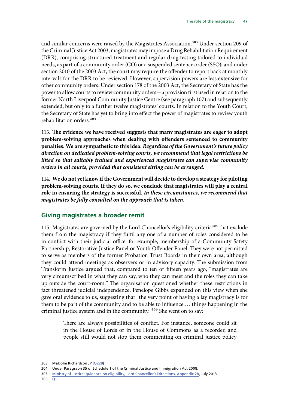<span id="page-48-0"></span>and similar concerns were raised by the Magistrates Association.<sup>303</sup> Under section 209 of the Criminal Justice Act 2003, magistrates may impose a Drug Rehabilitation Requirement (DRR), comprising structured treatment and regular drug testing tailored to individual needs, as part of a community order (CO) or a suspended sentence order (SSO); and under section 2010 of the 2003 Act, the court may require the offender to report back at monthly intervals for the DRR to be reviewed. However, supervision powers are less extensive for other community orders. Under section 178 of the 2003 Act, the Secretary of State has the power to allow courts to review community orders—a provision first used in relation to the former North Liverpool Community Justice Centre (see paragraph 107) and subsequently extended, but only to a further twelve magistrates' courts. In relation to the Youth Court, the Secretary of State has yet to bring into effect the power of magistrates to review youth rehabilitation orders.304

113. **The evidence we have received suggests that many magistrates are eager to adopt problem-solving approaches when dealing with offenders sentenced to community penalties. We are sympathetic to this idea.** *Regardless of the Government's future policy direction on dedicated problem-solving courts, we recommend that legal restrictions be lifted so that suitably trained and experienced magistrates can supervise community orders in all courts, provided that consistent sitting can be arranged.*

114. **We do not yet know if the Government will decide to develop a strategy for piloting problem-solving courts. If they do so, we conclude that magistrates will play a central role in ensuring the strategy is successful.** *In these circumstances, we recommend that magistrates be fully consulted on the approach that is taken.*

#### **Giving magistrates a broader remit**

115. Magistrates are governed by the Lord Chancellor's eligibility criteria<sup>305</sup> that exclude them from the magistracy if they fulfil any one of a number of roles considered to be in conflict with their judicial office: for example, membership of a Community Safety Partnership, Restorative Justice Panel or Youth Offender Panel. They were not permitted to serve as members of the former Probation Trust Boards in their own area, although they could attend meetings as observers or in advisory capacity. The submission from Transform Justice argued that, compared to ten or fifteen years ago, "magistrates are very circumscribed in what they can say, who they can meet and the roles they can take up outside the court-room." The organisation questioned whether these restrictions in fact threatened judicial independence. Penelope Gibbs expanded on this view when she gave oral evidence to us, suggesting that "the very point of having a lay magistracy is for them to be part of the community and to be able to influence … things happening in the criminal justice system and in the community."<sup>306</sup> She went on to say:

> There are always possibilities of conflict. For instance, someone could sit in the House of Lords or in the House of Commons as a recorder, and people still would not stop them commenting on criminal justice policy

<sup>303</sup> Malcolm Richardson JP [\[Q228\]](http://data.parliament.uk/writtenevidence/committeeevidence.svc/evidencedocument/justice-committee/role-of-the-magistracy/oral/34558.html)

<sup>304</sup> Under Paragraph 35 of Schedule 1 of the Criminal Justice and Immigration Act 2008.

<sup>305</sup> [Ministry of Justice: guidance on eligibility; Lord Chancellor's Directions, Appendix 2B](https://www.judiciary.gov.uk/wp-content/uploads/2010/08/appendix-2b-guidance-on-eligibility-july2013.pdf), July 2013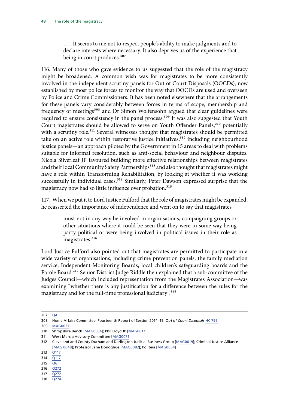… . It seems to me not to respect people's ability to make judgments and to declare interests where necessary. It also deprives us of the experience that being in court produces.<sup>307</sup>

116. Many of those who gave evidence to us suggested that the role of the magistracy might be broadened. A common wish was for magistrates to be more consistently involved in the independent scrutiny panels for Out of Court Disposals (OOCDs), now established by most police forces to monitor the way that OOCDs are used and overseen by Police and Crime Commissioners. It has been noted elsewhere that the arrangements for these panels vary considerably between forces in terms of scope, membership and frequency of meetings<sup>308</sup> and Dr Simon Wolfensohn argued that clear guidelines were required to ensure consistency in the panel process.<sup>309</sup> It was also suggested that Youth Court magistrates should be allowed to serve on Youth Offender Panels,<sup>310</sup> potentially with a scrutiny role.<sup>311</sup> Several witnesses thought that magistrates should be permitted take on an active role within restorative justice initiatives, $312$  including neighbourhood justice panels—an approach piloted by the Government in 15 areas to deal with problems suitable for informal resolution, such as anti-social behaviour and neighbour disputes. Nicola Silverleaf JP favoured building more effective relationships between magistrates and their local Community Safety Partnerships<sup>313</sup> and also thought that magistrates might have a role within Transforming Rehabilitation, by looking at whether it was working successfully in individual cases.<sup>314</sup> Similarly, Peter Dawson expressed surprise that the magistracy now had so little influence over probation.<sup>315</sup>

117. When we put it to Lord Justice Fulford that the role of magistrates might be expanded, he reasserted the importance of independence and went on to say that magistrates

> must not in any way be involved in organisations, campaigning groups or other situations where it could be seen that they were in some way being party political or were being involved in political issues in their role as magistrates.<sup>316</sup>

Lord Justice Fulford also pointed out that magistrates are permitted to participate in a wide variety of organisations, including crime prevention panels, the family mediation service, Independent Monitoring Boards, local children's safeguarding boards and the Parole Board.<sup>317</sup> Senior District Judge Riddle then explained that a sub-committee of the Judges Council—which included representation from the Magistrates Association—was examining "whether there is any justification for a difference between the rules for the magistracy and for the full-time professional judiciary".<sup>318</sup>

309 [MAG0037](http://data.parliament.uk/writtenevidence/committeeevidence.svc/evidencedocument/justice-committee/role-of-the-magistracy/written/27598.html)

315  $\overline{Q6}$  $\overline{Q6}$  $\overline{Q6}$ 

<sup>307</sup> [Q4](http://data.parliament.uk/writtenevidence/committeeevidence.svc/evidencedocument/justice-committee/role-of-the-magistracy/oral/31038.html)

<sup>308</sup> Home Affairs Committee, Fourteenth Report of Session 2014–15, *Out of Court Disposals* [HC 799](http://www.publications.parliament.uk/pa/cm201415/cmselect/cmhaff/799/79902.htm)

<sup>310</sup> Shropshire Bench [\[MAG0034\]](http://data.parliament.uk/writtenevidence/committeeevidence.svc/evidencedocument/justice-committee/role-of-the-magistracy/written/27535.html); Phil Lloyd JP [[MAG0017\]](http://data.parliament.uk/writtenevidence/committeeevidence.svc/evidencedocument/justice-committee/role-of-the-magistracy/written/26566.html)

<sup>311</sup> West Mercia Advisory Committee [[MAG0071](http://data.parliament.uk/writtenevidence/committeeevidence.svc/evidencedocument/justice-committee/role-of-the-magistracy/written/28063.html)];

<sup>312</sup> Cleveland and County Durham and Darlington Judicial Business Group [[MAG0019\]](http://data.parliament.uk/writtenevidence/committeeevidence.svc/evidencedocument/justice-committee/role-of-the-magistracy/written/26725.html); Criminal Justice Alliance [\[MAG 0048\]](http://data.parliament.uk/writtenevidence/committeeevidence.svc/evidencedocument/justice-committee/role-of-the-magistracy/written/27868.html); Professor Jane Donoghue [[MAG0082](http://data.parliament.uk/writtenevidence/committeeevidence.svc/evidencedocument/justice-committee/role-of-the-magistracy/written/32803.html)]; Politeia [\[MAG0064](http://data.parliament.uk/writtenevidence/committeeevidence.svc/evidencedocument/justice-committee/role-of-the-magistracy/written/28003.html)]

<sup>313</sup> [Q117](http://data.parliament.uk/writtenevidence/committeeevidence.svc/evidencedocument/justice-committee/role-of-the-magistracy/oral/33285.html)

<sup>314</sup> [Q117](http://data.parliament.uk/writtenevidence/committeeevidence.svc/evidencedocument/justice-committee/role-of-the-magistracy/oral/33285.html)

<sup>316</sup> [Q272](http://data.parliament.uk/writtenevidence/committeeevidence.svc/evidencedocument/justice-committee/role-of-the-magistracy/oral/34558.html)

<sup>317</sup> [Q272](http://data.parliament.uk/writtenevidence/committeeevidence.svc/evidencedocument/justice-committee/role-of-the-magistracy/oral/34558.html)

<sup>318</sup> [Q274](http://data.parliament.uk/writtenevidence/committeeevidence.svc/evidencedocument/justice-committee/role-of-the-magistracy/oral/34558.html)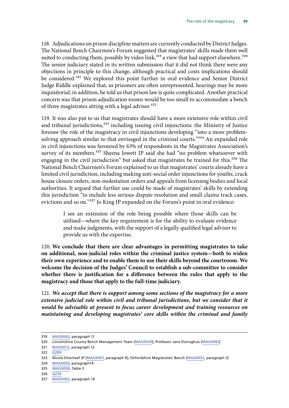118. Adjudications on prison discipline matters are currently conducted by District Judges. The National Bench Chairmen's Forum suggested that magistrates' skills made them well suited to conducting them, possibly by video  $link<sub>319</sub>$  a view that had support elsewhere.<sup>320</sup> The senior judiciary stated in its written submission that it did not think there were any objections in principle to this change, although practical and costs implications should be considered.321 We explored this point further in oral evidence and Senior District Judge Riddle explained that, as prisoners are often unrepresented, hearings may be more inquisitorial; in addition, he told us that prison law is quite complicated. Another practical concern was that prison adjudication rooms would be too small to accommodate a bench of three magistrates sitting with a legal adviser.<sup>322</sup>

119. It was also put to us that magistrates should have a more extensive role within civil and tribunal jurisdictions,<sup>323</sup> including issuing civil injunctions: the Ministry of Justice foresaw the role of the magistracy in civil injunctions developing "into a more problemsolving approach similar to that envisaged in the criminal courts."<sup>324</sup> An expanded role in civil injunctions was favoured by 63% of respondents in the Magistrates Association's survey of its members.<sup>325</sup> Sheena Jowett JP said she had "no problem whatsoever with engaging in the civil jurisdiction" but asked that magistrates be trained for this.<sup>326</sup> The National Bench Chairmen's Forum explained to us that magistrates' courts already have a limited civil jurisdiction, including making anti-social order injunctions for youths, crack house closure orders, non-molestation orders and appeals from licensing bodies and local authorities. It argued that further use could be made of magistrates' skills by extending this jurisdiction "to include less serious dispute resolution and small claims track cases, evictions and so on."327 Jo King JP expanded on the Forum's point in oral evidence:

> I see an extension of the role being possible where those skills can be utilised—where the key requirement is for the ability to evaluate evidence and make judgments, with the support of a legally qualified legal adviser to provide us with the expertise.

120. **We conclude that there are clear advantages in permitting magistrates to take on additional, non-judicial roles within the criminal justice system—both to widen their own experience and to enable them to use their skills beyond the courtroom. We welcome the decision of the Judges' Council to establish a sub-committee to consider whether there is justification for a difference between the rules that apply to the magistracy and those that apply to the full-time judiciary.**

121. *We accept that there is support among some sections of the magistracy for a more*  extensive judicial role within civil and tribunal jurisdictions, but we consider that it *would be advisable at present to focus career development and training resources on maintaining and developing magistrates' core skills within the criminal and family* 

<sup>319</sup> [MAG0063](http://data.parliament.uk/writtenevidence/committeeevidence.svc/evidencedocument/justice-committee/role-of-the-magistracy/written/27995.html), paragraph 11

<sup>320</sup> Lincolnshire County Bench Management Team [[MAG0030](http://data.parliament.uk/writtenevidence/committeeevidence.svc/evidencedocument/justice-committee/role-of-the-magistracy/written/27419.html)]; Professor Jane Donoghue [\[MAG0082\]](http://data.parliament.uk/writtenevidence/committeeevidence.svc/evidencedocument/justice-committee/role-of-the-magistracy/written/32803.html)

<sup>321</sup> [MAG0072](http://data.parliament.uk/writtenevidence/committeeevidence.svc/evidencedocument/justice-committee/role-of-the-magistracy/written/28071.html), paragraph 12

<sup>322</sup> [Q280](http://data.parliament.uk/writtenevidence/committeeevidence.svc/evidencedocument/justice-committee/role-of-the-magistracy/oral/34558.html)

<sup>323</sup> Nicola Silverleaf JP [[MAG0067,](http://data.parliament.uk/writtenevidence/committeeevidence.svc/evidencedocument/justice-committee/role-of-the-magistracy/written/28020.html) paragraph 9]; Oxfordshire Magistrates' Bench [[MAG0052](http://data.parliament.uk/writtenevidence/committeeevidence.svc/evidencedocument/justice-committee/role-of-the-magistracy/written/27910.html), paragraph 2]

<sup>324</sup> [MAG0050](http://data.parliament.uk/writtenevidence/committeeevidence.svc/evidencedocument/justice-committee/role-of-the-magistracy/written/27892.html), paragraph14

<sup>325</sup> [MAG0058,](http://data.parliament.uk/writtenevidence/committeeevidence.svc/evidencedocument/justice-committee/role-of-the-magistracy/written/27965.html) Table 3

<sup>326</sup> [Q229](http://data.parliament.uk/writtenevidence/committeeevidence.svc/evidencedocument/justice-committee/role-of-the-magistracy/oral/34558.html)

<sup>327</sup> [MAG0063](http://data.parliament.uk/writtenevidence/committeeevidence.svc/evidencedocument/justice-committee/role-of-the-magistracy/written/27995.html), paragraph 14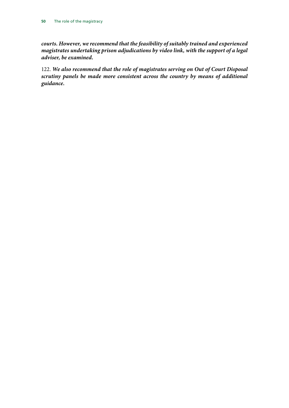*courts. However, we recommend that the feasibility of suitably trained and experienced magistrates undertaking prison adjudications by video link, with the support of a legal adviser, be examined.*

122. *We also recommend that the role of magistrates serving on Out of Court Disposal scrutiny panels be made more consistent across the country by means of additional guidance.*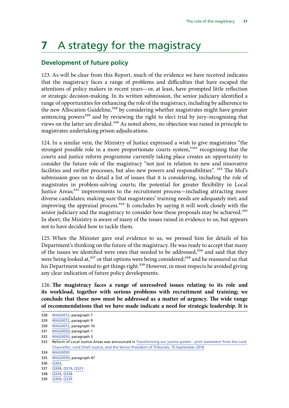## <span id="page-52-0"></span>**7** A strategy for the magistracy

#### **Development of future policy**

123. As will be clear from this Report, much of the evidence we have received indicates that the magistracy faces a range of problems and difficulties that have escaped the attentions of policy makers in recent years—or, at least, have prompted little reflection or strategic decision-making. In its written submission, the senior judiciary identified a range of opportunities for enhancing the role of the magistracy, including by adherence to the new Allocation Guideline,<sup>328</sup> by considering whether magistrates might have greater sentencing powers<sup>329</sup> and by reviewing the right to elect trial by jury-recognising that views on the latter are divided.<sup>330</sup> As noted above, no objection was raised in principle to magistrates undertaking prison adjudications.

124. In a similar vein, the Ministry of Justice expressed a wish to give magistrates "the strongest possible role in a more proportionate courts system,"331 recognising that the courts and justice reform programme currently taking place creates an opportunity to consider the future role of the magistracy "not just in relation to new and innovative facilities and swifter processes, but also new powers and responsibilities". <sup>332</sup> The MoJ's submission goes on to detail a list of issues that it is considering, including the role of magistrates in problem-solving courts; the potential for greater flexibility in Local Justice Areas;<sup>333</sup> improvements to the recruitment process—including attracting more diverse candidates; making sure that magistrates' training needs are adequately met; and improving the appraisal process.<sup>334</sup> It concludes by saying it will work closely with the senior judiciary and the magistracy to consider how these proposals may be achieved.<sup>335</sup> In short, the Ministry is aware of many of the issues raised in evidence to us, but appears not to have decided how to tackle them.

125. When the Minister gave oral evidence to us, we pressed him for details of his Department's thinking on the future of the magistracy. He was ready to accept that many of the issues we identified were ones that needed to be addressed,<sup>336</sup> and said that they were being looked at,<sup>337</sup> or that options were being considered;<sup>338</sup> and he reassured us that his Department wanted to get things right.<sup>339</sup> However, in most respects he avoided giving any clear indication of future policy developments.

126. **The magistracy faces a range of unresolved issues relating to its role and its workload, together with serious problems with recruitment and training; we conclude that these now must be addressed as a matter of urgency. The wide range of recommendations that we have made indicate a need for strategic leadership. It is** 

336 [Q303](http://data.parliament.uk/writtenevidence/committeeevidence.svc/evidencedocument/justice-committee/role-of-the-magistracy/oral/34558.html),

<sup>328</sup> [MAG0072](http://data.parliament.uk/writtenevidence/committeeevidence.svc/evidencedocument/justice-committee/role-of-the-magistracy/written/28071.html), paragraph 7

<sup>329</sup> [MAG0072](http://data.parliament.uk/writtenevidence/committeeevidence.svc/evidencedocument/justice-committee/role-of-the-magistracy/written/28071.html), paragraph 9

<sup>330</sup> [MAG0072](http://data.parliament.uk/writtenevidence/committeeevidence.svc/evidencedocument/justice-committee/role-of-the-magistracy/written/28071.html), paragraph 10

<sup>331</sup> [MAG0050](http://data.parliament.uk/writtenevidence/committeeevidence.svc/evidencedocument/justice-committee/role-of-the-magistracy/written/27892.html), paragraph 1

<sup>332</sup> [MAG0050](http://data.parliament.uk/writtenevidence/committeeevidence.svc/evidencedocument/justice-committee/role-of-the-magistracy/written/27892.html), paragraph 5

<sup>333</sup> Reform of Local Justice Areas was announced in [Transforming our justice system - joint statement from the Lord](https://www.gov.uk/government/uploads/system/uploads/attachment_data/file/553261/joint-vision-statement.pdf)  [Chancellor, Lord Chief Justice, and the Senior President of Tribunals, 15 September 2016](https://www.gov.uk/government/uploads/system/uploads/attachment_data/file/553261/joint-vision-statement.pdf)

<sup>334</sup> [MAG0050](http://data.parliament.uk/writtenevidence/committeeevidence.svc/evidencedocument/justice-committee/role-of-the-magistracy/written/27892.html)

<sup>335</sup> [MAG0050](http://data.parliament.uk/writtenevidence/committeeevidence.svc/evidencedocument/justice-committee/role-of-the-magistracy/written/27892.html), paragraph 47

<sup>337</sup> [Q308,](http://data.parliament.uk/writtenevidence/committeeevidence.svc/evidencedocument/justice-committee/role-of-the-magistracy/oral/34558.html) [Q319, Q323](http://data.parliament.uk/writtenevidence/committeeevidence.svc/evidencedocument/justice-committee/role-of-the-magistracy/oral/34558.html)

<sup>338</sup> [Q324](http://data.parliament.uk/writtenevidence/committeeevidence.svc/evidencedocument/justice-committee/role-of-the-magistracy/oral/34558.html), [Q338](http://data.parliament.uk/writtenevidence/committeeevidence.svc/evidencedocument/justice-committee/role-of-the-magistracy/oral/34558.html)

<sup>339</sup> [Q309](http://data.parliament.uk/writtenevidence/committeeevidence.svc/evidencedocument/justice-committee/role-of-the-magistracy/oral/34558.html), [Q329](http://data.parliament.uk/writtenevidence/committeeevidence.svc/evidencedocument/justice-committee/role-of-the-magistracy/oral/34558.html)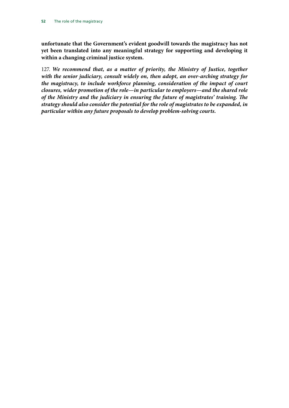**unfortunate that the Government's evident goodwill towards the magistracy has not yet been translated into any meaningful strategy for supporting and developing it within a changing criminal justice system.**

127. *We recommend that, as a matter of priority, the Ministry of Justice, together with the senior judiciary, consult widely on, then adopt, an over-arching strategy for the magistracy, to include workforce planning, consideration of the impact of court closures, wider promotion of the role—in particular to employers—and the shared role of the Ministry and the judiciary in ensuring the future of magistrates' training. The strategy should also consider the potential for the role of magistrates to be expanded, in particular within any future proposals to develop problem-solving courts.*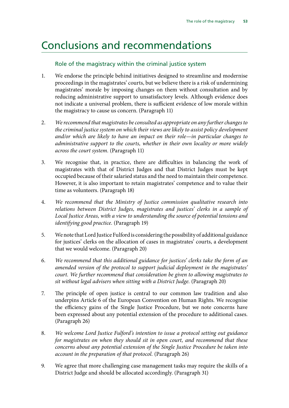### <span id="page-54-0"></span>Conclusions and recommendations

#### Role of the magistracy within the criminal justice system

- 1. We endorse the principle behind initiatives designed to streamline and modernise proceedings in the magistrates' courts, but we believe there is a risk of undermining magistrates' morale by imposing changes on them without consultation and by reducing administrative support to unsatisfactory levels. Although evidence does not indicate a universal problem, there is sufficient evidence of low morale within the magistracy to cause us concern. (Paragraph 11)
- 2. *We recommend that magistrates be consulted as appropriate on any further changes to the criminal justice system on which their views are likely to assist policy development and/or which are likely to have an impact on their role—in particular changes to administrative support to the courts, whether in their own locality or more widely across the court system.* (Paragraph 11)
- 3. We recognise that, in practice, there are difficulties in balancing the work of magistrates with that of District Judges and that District Judges must be kept occupied because of their salaried status and the need to maintain their competence. However, it is also important to retain magistrates' competence and to value their time as volunteers. (Paragraph 18)
- 4. *We recommend that the Ministry of Justice commission qualitative research into relations between District Judges, magistrates and justices' clerks in a sample of Local Justice Areas, with a view to understanding the source of potential tensions and identifying good practice.* (Paragraph 19)
- 5. We note that Lord Justice Fulford is considering the possibility of additional guidance for justices' clerks on the allocation of cases in magistrates' courts, a development that we would welcome. (Paragraph 20)
- 6. *We recommend that this additional guidance for justices' clerks take the form of an amended version of the protocol to support judicial deployment in the magistrates' court. We further recommend that consideration be given to allowing magistrates to sit without legal advisers when sitting with a District Judge.* (Paragraph 20)
- 7. The principle of open justice is central to our common law tradition and also underpins Article 6 of the European Convention on Human Rights. We recognise the efficiency gains of the Single Justice Procedure, but we note concerns have been expressed about any potential extension of the procedure to additional cases. (Paragraph 26)
- 8. *We welcome Lord Justice Fulford's intention to issue a protocol setting out guidance for magistrates on when they should sit in open court, and recommend that these concerns about any potential extension of the Single Justice Procedure be taken into account in the preparation of that protocol.* (Paragraph 26)
- 9. We agree that more challenging case management tasks may require the skills of a District Judge and should be allocated accordingly. (Paragraph 31)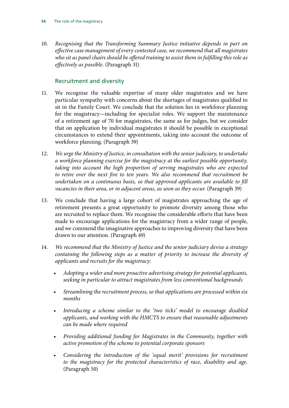10. *Recognising that the Transforming Summary Justice initiative depends in part on effective case management of every contested case, we recommend that all magistrates who sit as panel chairs should be offered training to assist them in fulfilling this role as effectively as possible.* (Paragraph 31)

#### Recruitment and diversity

- 11. We recognise the valuable expertise of many older magistrates and we have particular sympathy with concerns about the shortages of magistrates qualified to sit in the Family Court. We conclude that the solution lies in workforce planning for the magistracy—including for specialist roles. We support the maintenance of a retirement age of 70 for magistrates, the same as for judges, but we consider that on application by individual magistrates it should be possible in exceptional circumstances to extend their appointments, taking into account the outcome of workforce planning. (Paragraph 39)
- 12. *We urge the Ministry of Justice, in consultation with the senior judiciary, to undertake a workforce planning exercise for the magistracy at the earliest possible opportunity, taking into account the high proportion of serving magistrates who are expected to retire over the next five to ten years. We also recommend that recruitment be undertaken on a continuous basis, so that approved applicants are available to fill vacancies in their area, or in adjacent areas, as soon as they occur.* (Paragraph 39)
- 13. We conclude that having a large cohort of magistrates approaching the age of retirement presents a great opportunity to promote diversity among those who are recruited to replace them. We recognise the considerable efforts that have been made to encourage applications for the magistracy from a wider range of people, and we commend the imaginative approaches to improving diversity that have been drawn to our attention. (Paragraph 49)
- 14. *We recommend that the Ministry of Justice and the senior judiciary devise a strategy containing the following steps as a matter of priority to increase the diversity of applicants and recruits for the magistracy:* 
	- *Adopting a wider and more proactive advertising strategy for potential applicants, seeking in particular to attract magistrates from less conventional backgrounds*
	- *Streamlining the recruitment process, so that applications are processed within six months*
	- *Introducing a scheme similar to the 'two ticks' model to encourage disabled applicants, and working with the HMCTS to ensure that reasonable adjustments can be made where required*
	- *Providing additional funding for Magistrates in the Community, together with active promotion of the scheme to potential corporate sponsors*
	- *Considering the introduction of the 'equal merit' provisions for recruitment to the magistracy for the protected characteristics of race, disability and age.* (Paragraph 50)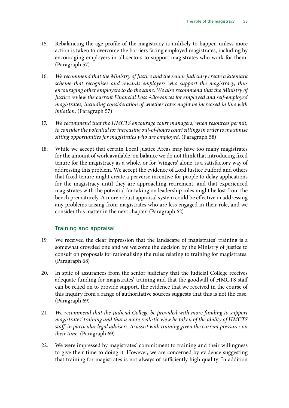- 15. Rebalancing the age profile of the magistracy is unlikely to happen unless more action is taken to overcome the barriers facing employed magistrates, including by encouraging employers in all sectors to support magistrates who work for them. (Paragraph 57)
- 16. *We recommend that the Ministry of Justice and the senior judiciary create a kitemark scheme that recognises and rewards employers who support the magistracy, thus encouraging other employers to do the same. We also recommend that the Ministry of Justice review the current Financial Loss Allowances for employed and self-employed magistrates, including consideration of whether rates might be increased in line with inflation.* (Paragraph 57)
- 17. *We recommend that the HMCTS encourage court managers, when resources permit, to consider the potential for increasing out-of-hours court sittings in order to maximise sitting opportunities for magistrates who are employed.* (Paragraph 58)
- 18. While we accept that certain Local Justice Areas may have too many magistrates for the amount of work available, on balance we do not think that introducing fixed tenure for the magistracy as a whole, or for 'wingers' alone, is a satisfactory way of addressing this problem. We accept the evidence of Lord Justice Fulford and others that fixed tenure might create a perverse incentive for people to delay applications for the magistracy until they are approaching retirement, and that experienced magistrates with the potential for taking on leadership roles might be lost from the bench prematurely. A more robust appraisal system could be effective in addressing any problems arising from magistrates who are less engaged in their role, and we consider this matter in the next chapter. (Paragraph 62)

#### Training and appraisal

- 19. We received the clear impression that the landscape of magistrates' training is a somewhat crowded one and we welcome the decision by the Ministry of Justice to consult on proposals for rationalising the rules relating to training for magistrates. (Paragraph 68)
- 20. In spite of assurances from the senior judiciary that the Judicial College receives adequate funding for magistrates' training and that the goodwill of HMCTS staff can be relied on to provide support, the evidence that we received in the course of this inquiry from a range of authoritative sources suggests that this is not the case. (Paragraph 69)
- 21. *We recommend that the Judicial College be provided with more funding to support magistrates' training and that a more realistic view be taken of the ability of HMCTS staff, in particular legal advisers, to assist with training given the current pressures on their time.* (Paragraph 69)
- 22. We were impressed by magistrates' commitment to training and their willingness to give their time to doing it. However, we are concerned by evidence suggesting that training for magistrates is not always of sufficiently high quality. In addition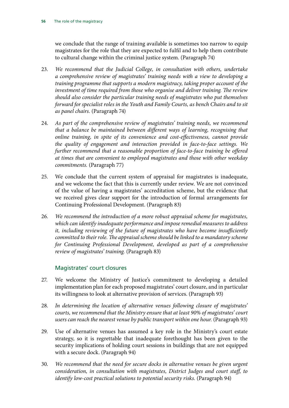we conclude that the range of training available is sometimes too narrow to equip magistrates for the role that they are expected to fulfil and to help them contribute to cultural change within the criminal justice system. (Paragraph 74)

- 23. *We recommend that the Judicial College, in consultation with others, undertake a comprehensive review of magistrates' training needs with a view to developing a training programme that supports a modern magistracy, taking proper account of the investment of time required from those who organise and deliver training. The review should also consider the particular training needs of magistrates who put themselves forward for specialist roles in the Youth and Family Courts, as bench Chairs and to sit as panel chairs.* (Paragraph 74)
- 24. *As part of the comprehensive review of magistrates' training needs, we recommend that a balance be maintained between different ways of learning, recognising that online training, in spite of its convenience and cost-effectiveness, cannot provide the quality of engagement and interaction provided in face-to-face settings. We further recommend that a reasonable proportion of face-to-face training be offered at times that are convenient to employed magistrates and those with other weekday commitments.* (Paragraph 77)
- 25. We conclude that the current system of appraisal for magistrates is inadequate, and we welcome the fact that this is currently under review. We are not convinced of the value of having a magistrates' accreditation scheme, but the evidence that we received gives clear support for the introduction of formal arrangements for Continuing Professional Development. (Paragraph 83)
- 26. *We recommend the introduction of a more robust appraisal scheme for magistrates, which can identify inadequate performance and impose remedial measures to address it, including reviewing of the future of magistrates who have become insufficiently committed to their role. The appraisal scheme should be linked to a mandatory scheme for Continuing Professional Development, developed as part of a comprehensive review of magistrates' training.* (Paragraph 83)

#### Magistrates' court closures

- 27. We welcome the Ministry of Justice's commitment to developing a detailed implementation plan for each proposed magistrates' court closure, and in particular its willingness to look at alternative provision of services. (Paragraph 93)
- 28. *In determining the location of alternative venues following closure of magistrates' courts, we recommend that the Ministry ensure that at least 90% of magistrates' court users can reach the nearest venue by public transport within one hour.* (Paragraph 93)
- 29. Use of alternative venues has assumed a key role in the Ministry's court estate strategy, so it is regrettable that inadequate forethought has been given to the security implications of holding court sessions in buildings that are not equipped with a secure dock. (Paragraph 94)
- 30. *We recommend that the need for secure docks in alternative venues be given urgent consideration, in consultation with magistrates, District Judges and court staff, to identify low-cost practical solutions to potential security risks.* (Paragraph 94)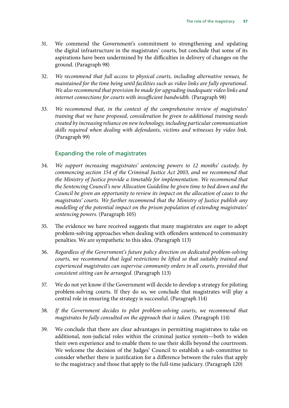- 31. We commend the Government's commitment to strengthening and updating the digital infrastructure in the magistrates' courts, but conclude that some of its aspirations have been undermined by the difficulties in delivery of changes on the ground. (Paragraph 98)
- 32. *We recommend that full access to physical courts, including alternative venues, be maintained for the time being until facilities such as video links are fully operational. We also recommend that provision be made for upgrading inadequate video links and internet connections for courts with insufficient bandwidth.* (Paragraph 98)
- 33. *We recommend that, in the context of the comprehensive review of magistrates' training that we have proposed, consideration be given to additional training needs created by increasing reliance on new technology, including particular communication skills required when dealing with defendants, victims and witnesses by video link.* (Paragraph 99)

#### Expanding the role of magistrates

- 34. *We support increasing magistrates' sentencing powers to 12 months' custody, by commencing section 154 of the Criminal Justice Act 2003, and we recommend that the Ministry of Justice provide a timetable for implementation. We recommend that the Sentencing Council's new Allocation Guideline be given time to bed down and the Council be given an opportunity to review its impact on the allocation of cases to the magistrates' courts. We further recommend that the Ministry of Justice publish any modelling of the potential impact on the prison population of extending magistrates' sentencing powers.* (Paragraph 105)
- 35. The evidence we have received suggests that many magistrates are eager to adopt problem-solving approaches when dealing with offenders sentenced to community penalties. We are sympathetic to this idea. (Paragraph 113)
- 36. *Regardless of the Government's future policy direction on dedicated problem-solving courts, we recommend that legal restrictions be lifted so that suitably trained and experienced magistrates can supervise community orders in all courts, provided that consistent sitting can be arranged.* (Paragraph 113)
- 37. We do not yet know if the Government will decide to develop a strategy for piloting problem-solving courts. If they do so, we conclude that magistrates will play a central role in ensuring the strategy is successful. (Paragraph 114)
- 38. *If the Government decides to pilot problem-solving courts, we recommend that magistrates be fully consulted on the approach that is taken.* (Paragraph 114)
- 39. We conclude that there are clear advantages in permitting magistrates to take on additional, non-judicial roles within the criminal justice system—both to widen their own experience and to enable them to use their skills beyond the courtroom. We welcome the decision of the Judges' Council to establish a sub-committee to consider whether there is justification for a difference between the rules that apply to the magistracy and those that apply to the full-time judiciary. (Paragraph 120)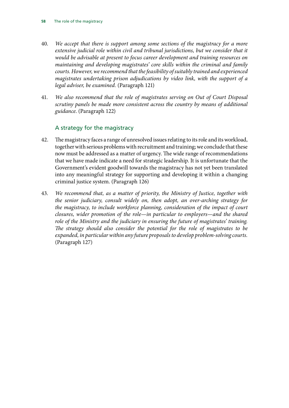- 40. *We accept that there is support among some sections of the magistracy for a more*  extensive judicial role within civil and tribunal jurisdictions, but we consider that it *would be advisable at present to focus career development and training resources on maintaining and developing magistrates' core skills within the criminal and family courts. However, we recommend that the feasibility of suitably trained and experienced magistrates undertaking prison adjudications by video link, with the support of a legal adviser, be examined.* (Paragraph 121)
- 41. *We also recommend that the role of magistrates serving on Out of Court Disposal scrutiny panels be made more consistent across the country by means of additional guidance*. (Paragraph 122)

#### A strategy for the magistracy

- 42. The magistracy faces a range of unresolved issues relating to its role and its workload, together with serious problems with recruitment and training; we conclude that these now must be addressed as a matter of urgency. The wide range of recommendations that we have made indicate a need for strategic leadership. It is unfortunate that the Government's evident goodwill towards the magistracy has not yet been translated into any meaningful strategy for supporting and developing it within a changing criminal justice system. (Paragraph 126)
- 43. *We recommend that, as a matter of priority, the Ministry of Justice, together with the senior judiciary, consult widely on, then adopt, an over-arching strategy for the magistracy, to include workforce planning, consideration of the impact of court closures, wider promotion of the role—in particular to employers—and the shared role of the Ministry and the judiciary in ensuring the future of magistrates' training. The strategy should also consider the potential for the role of magistrates to be expanded, in particular within any future proposals to develop problem-solving courts.* (Paragraph 127)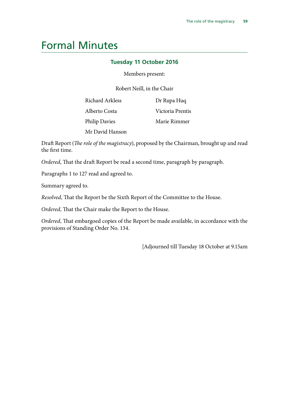### <span id="page-60-0"></span>Formal Minutes

#### **Tuesday 11 October 2016**

Members present:

Robert Neill, in the Chair

| <b>Richard Arkless</b> | Dr Rupa Huq      |
|------------------------|------------------|
| Alberto Costa          | Victoria Prentis |
| <b>Philip Davies</b>   | Marie Rimmer     |
| Mr David Hanson        |                  |

Draft Report (*The role of the magistracy*), proposed by the Chairman, brought up and read the first time.

*Ordered*, That the draft Report be read a second time, paragraph by paragraph.

Paragraphs 1 to 127 read and agreed to.

Summary agreed to.

*Resolved*, That the Report be the Sixth Report of the Committee to the House.

*Ordered*, That the Chair make the Report to the House.

*Ordered*, That embargoed copies of the Report be made available, in accordance with the provisions of Standing Order No. 134.

[Adjourned till Tuesday 18 October at 9.15am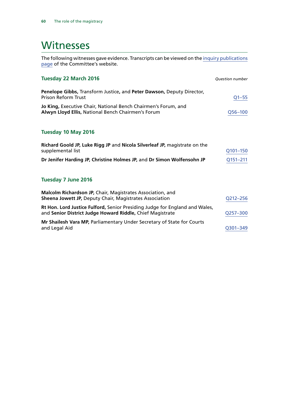### <span id="page-61-0"></span>**Witnesses**

The following witnesses gave evidence. Transcripts can be viewed on the [inquiry publications](http://www.parliament.uk/business/committees/committees-a-z/commons-select/justice-committee/inquiries/parliament-2015/role-of-the-magistracy-inquiry-15-16/publications/) [page](http://www.parliament.uk/business/committees/committees-a-z/commons-select/justice-committee/inquiries/parliament-2015/role-of-the-magistracy-inquiry-15-16/publications/) of the Committee's website.

| <b>Tuesday 22 March 2016</b>                                                                                                             | <b>Question number</b> |
|------------------------------------------------------------------------------------------------------------------------------------------|------------------------|
| Penelope Gibbs, Transform Justice, and Peter Dawson, Deputy Director,<br><b>Prison Reform Trust</b>                                      | $Q1 - 55$              |
| Jo King, Executive Chair, National Bench Chairmen's Forum, and<br>Alwyn Lloyd Ellis, National Bench Chairmen's Forum                     | Q56-100                |
| Tuesday 10 May 2016                                                                                                                      |                        |
| Richard Goold JP, Luke Rigg JP and Nicola Silverleaf JP, magistrate on the<br>supplemental list                                          | Q101-150               |
| Dr Jenifer Harding JP, Christine Holmes JP, and Dr Simon Wolfensohn JP                                                                   | Q151-211               |
| Tuesday 7 June 2016                                                                                                                      |                        |
| Malcolm Richardson JP, Chair, Magistrates Association, and<br><b>Sheena Jowett JP, Deputy Chair, Magistrates Association</b>             | Q212-256               |
| Rt Hon. Lord Justice Fulford, Senior Presiding Judge for England and Wales,<br>and Senior District Judge Howard Riddle, Chief Magistrate | Q257-300               |
| Mr Shailesh Vara MP, Parliamentary Under Secretary of State for Courts<br>and Legal Aid                                                  | Q301-349               |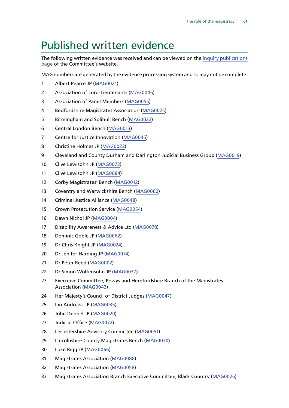## <span id="page-62-0"></span>Published written evidence

The following written evidence was received and can be viewed on the [inquiry publications](http://www.parliament.uk/business/committees/committees-a-z/commons-select/justice-committee/inquiries/parliament-2015/role-of-the-magistracy-inquiry-15-16/publications/) [page](http://www.parliament.uk/business/committees/committees-a-z/commons-select/justice-committee/inquiries/parliament-2015/role-of-the-magistracy-inquiry-15-16/publications/) of the Committee's website.

MAG numbers are generated by the evidence processing system and so may not be complete.

- Albert Pearce JP [\(MAG0021\)](http://data.parliament.uk/WrittenEvidence/CommitteeEvidence.svc/EvidenceDocument/Justice/Role%20of%20the%20magistracy/written/26825.html)
- Association of Lord-Lieutenants [\(MAG0046](http://data.parliament.uk/WrittenEvidence/CommitteeEvidence.svc/EvidenceDocument/Justice/Role%20of%20the%20magistracy/written/27849.html))
- Association of Panel Members ([MAG0055](http://data.parliament.uk/WrittenEvidence/CommitteeEvidence.svc/EvidenceDocument/Justice/Role%20of%20the%20magistracy/written/27948.html))
- Bedfordshire Magistrates Association ([MAG0025\)](http://data.parliament.uk/WrittenEvidence/CommitteeEvidence.svc/EvidenceDocument/Justice/Role%20of%20the%20magistracy/written/26955.html)
- Birmingham and Solihull Bench ([MAG0022](http://data.parliament.uk/WrittenEvidence/CommitteeEvidence.svc/EvidenceDocument/Justice/Role%20of%20the%20magistracy/written/26915.html))
- Central London Bench [\(MAG0013\)](http://data.parliament.uk/WrittenEvidence/CommitteeEvidence.svc/EvidenceDocument/Justice/Role%20of%20the%20magistracy/written/26522.html)
- Centre for Justice Innovation [\(MAG0045](http://data.parliament.uk/WrittenEvidence/CommitteeEvidence.svc/EvidenceDocument/Justice/Role%20of%20the%20magistracy/written/27840.html))
- Christine Holmes JP ([MAG0023\)](http://data.parliament.uk/WrittenEvidence/CommitteeEvidence.svc/EvidenceDocument/Justice/Role%20of%20the%20magistracy/written/26918.html)
- Cleveland and County Durham and Darlington Judicial Business Group ([MAG0019\)](http://data.parliament.uk/WrittenEvidence/CommitteeEvidence.svc/EvidenceDocument/Justice/Role%20of%20the%20magistracy/written/26725.html)
- Clive Lewisohn JP ([MAG0073\)](http://data.parliament.uk/WrittenEvidence/CommitteeEvidence.svc/EvidenceDocument/Justice/Role%20of%20the%20magistracy/written/28081.html)
- Clive Lewisohn JP ([MAG0084\)](http://data.parliament.uk/WrittenEvidence/CommitteeEvidence.svc/EvidenceDocument/Justice/Role%20of%20the%20magistracy/written/33928.html)
- Corby Magistrates' Bench [\(MAG0012\)](http://data.parliament.uk/WrittenEvidence/CommitteeEvidence.svc/EvidenceDocument/Justice/Role%20of%20the%20magistracy/written/26504.html)
- Coventry and Warwickshire Bench [\(MAG0060](http://data.parliament.uk/WrittenEvidence/CommitteeEvidence.svc/EvidenceDocument/Justice/Role%20of%20the%20magistracy/written/27984.html))
- Criminal Justice Alliance ([MAG0048\)](http://data.parliament.uk/WrittenEvidence/CommitteeEvidence.svc/EvidenceDocument/Justice/Role%20of%20the%20magistracy/written/27868.html)
- Crown Prosecution Service [\(MAG0054\)](http://data.parliament.uk/WrittenEvidence/CommitteeEvidence.svc/EvidenceDocument/Justice/Role%20of%20the%20magistracy/written/27932.html)
- Dawn Nichol JP [\(MAG0004](http://data.parliament.uk/WrittenEvidence/CommitteeEvidence.svc/EvidenceDocument/Justice/Role%20of%20the%20magistracy/written/24677.html))
- Disability Awareness & Advice Ltd [\(MAG0078\)](http://data.parliament.uk/WrittenEvidence/CommitteeEvidence.svc/EvidenceDocument/Justice/Role%20of%20the%20magistracy/written/29386.html)
- Dominic Goble JP ([MAG0062\)](http://data.parliament.uk/WrittenEvidence/CommitteeEvidence.svc/EvidenceDocument/Justice/Role%20of%20the%20magistracy/written/27991.html)
- Dr Chris Knight JP [\(MAG0024](http://data.parliament.uk/WrittenEvidence/CommitteeEvidence.svc/EvidenceDocument/Justice/Role%20of%20the%20magistracy/written/26945.html))
- Dr Jenifer Harding JP [\(MAG0074\)](http://data.parliament.uk/WrittenEvidence/CommitteeEvidence.svc/EvidenceDocument/Justice/Role%20of%20the%20magistracy/written/28082.html)
- Dr Peter Reed [\(MAG0002\)](http://data.parliament.uk/WrittenEvidence/CommitteeEvidence.svc/EvidenceDocument/Justice/Role%20of%20the%20magistracy/written/24484.html)
- Dr Simon Wolfensohn JP [\(MAG0037\)](http://data.parliament.uk/WrittenEvidence/CommitteeEvidence.svc/EvidenceDocument/Justice/Role%20of%20the%20magistracy/written/27598.html)
- Executive Committee, Powys and Herefordshire Branch of the Magistrates Association ([MAG0043](http://data.parliament.uk/WrittenEvidence/CommitteeEvidence.svc/EvidenceDocument/Justice/Role%20of%20the%20magistracy/written/27815.html))
- Her Majesty's Council of District Judges ([MAG0047](http://data.parliament.uk/WrittenEvidence/CommitteeEvidence.svc/EvidenceDocument/Justice/Role%20of%20the%20magistracy/written/27856.html))
- Ian Andrews JP ([MAG0035\)](http://data.parliament.uk/WrittenEvidence/CommitteeEvidence.svc/EvidenceDocument/Justice/Role%20of%20the%20magistracy/written/27562.html)
- John Dehnel JP ([MAG0020\)](http://data.parliament.uk/WrittenEvidence/CommitteeEvidence.svc/EvidenceDocument/Justice/Role%20of%20the%20magistracy/written/26791.html)
- Judicial Office ([MAG0072\)](http://data.parliament.uk/WrittenEvidence/CommitteeEvidence.svc/EvidenceDocument/Justice/Role%20of%20the%20magistracy/written/28071.html)
- Leicestershire Advisory Committee [\(MAG0051\)](http://data.parliament.uk/WrittenEvidence/CommitteeEvidence.svc/EvidenceDocument/Justice/Role%20of%20the%20magistracy/written/27907.html)
- Lincolnshire County Magistrates Bench [\(MAG0030\)](http://data.parliament.uk/WrittenEvidence/CommitteeEvidence.svc/EvidenceDocument/Justice/Role%20of%20the%20magistracy/written/27419.html)
- Luke Rigg JP ([MAG0066\)](http://data.parliament.uk/WrittenEvidence/CommitteeEvidence.svc/EvidenceDocument/Justice/Role%20of%20the%20magistracy/written/28017.html)
- Magistrates Association [\(MAG0088](http://data.parliament.uk/WrittenEvidence/CommitteeEvidence.svc/EvidenceDocument/Justice/Role%20of%20the%20magistracy/written/34816.html))
- Magistrates Association [\(MAG0058](http://data.parliament.uk/WrittenEvidence/CommitteeEvidence.svc/EvidenceDocument/Justice/Role%20of%20the%20magistracy/written/27965.html))
- Magistrates Association Branch Executive Committee, Black Country ([MAG0026](http://data.parliament.uk/WrittenEvidence/CommitteeEvidence.svc/EvidenceDocument/Justice/Role%20of%20the%20magistracy/written/27168.html))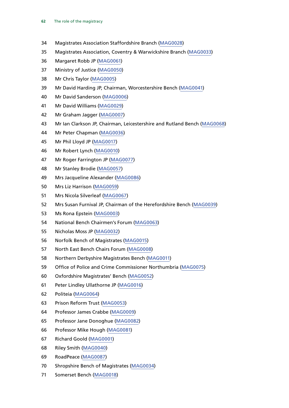- Magistrates Association Staffordshire Branch [\(MAG0028\)](http://data.parliament.uk/WrittenEvidence/CommitteeEvidence.svc/EvidenceDocument/Justice/Role%20of%20the%20magistracy/written/27199.html)
- Magistrates Association, Coventry & Warwickshire Branch [\(MAG0033](http://data.parliament.uk/WrittenEvidence/CommitteeEvidence.svc/EvidenceDocument/Justice/Role%20of%20the%20magistracy/written/27510.html))
- Margaret Robb JP [\(MAG0061\)](http://data.parliament.uk/WrittenEvidence/CommitteeEvidence.svc/EvidenceDocument/Justice/Role%20of%20the%20magistracy/written/27989.html)
- Ministry of Justice [\(MAG0050\)](http://data.parliament.uk/WrittenEvidence/CommitteeEvidence.svc/EvidenceDocument/Justice/Role%20of%20the%20magistracy/written/27892.html)
- Mr Chris Taylor [\(MAG0005](http://data.parliament.uk/WrittenEvidence/CommitteeEvidence.svc/EvidenceDocument/Justice/Role%20of%20the%20magistracy/written/25007.html))
- Mr David Harding JP, Chairman, Worcestershire Bench ([MAG0041](http://data.parliament.uk/WrittenEvidence/CommitteeEvidence.svc/EvidenceDocument/Justice/Role%20of%20the%20magistracy/written/27754.html))
- Mr David Sanderson [\(MAG0006](http://data.parliament.uk/WrittenEvidence/CommitteeEvidence.svc/EvidenceDocument/Justice/Role%20of%20the%20magistracy/written/25470.html))
- Mr David Williams [\(MAG0029\)](http://data.parliament.uk/WrittenEvidence/CommitteeEvidence.svc/EvidenceDocument/Justice/Role%20of%20the%20magistracy/written/27325.html)
- Mr Graham Jagger [\(MAG0007\)](http://data.parliament.uk/WrittenEvidence/CommitteeEvidence.svc/EvidenceDocument/Justice/Role%20of%20the%20magistracy/written/25516.html)
- Mr Ian Clarkson JP, Chairman, Leicestershire and Rutland Bench ([MAG0068\)](http://data.parliament.uk/WrittenEvidence/CommitteeEvidence.svc/EvidenceDocument/Justice/Role%20of%20the%20magistracy/written/28021.html)
- Mr Peter Chapman ([MAG0036](http://data.parliament.uk/WrittenEvidence/CommitteeEvidence.svc/EvidenceDocument/Justice/Role%20of%20the%20magistracy/written/27594.html))
- Mr Phil Lloyd JP ([MAG0017\)](http://data.parliament.uk/WrittenEvidence/CommitteeEvidence.svc/EvidenceDocument/Justice/Role%20of%20the%20magistracy/written/26566.html)
- Mr Robert Lynch [\(MAG0010](http://data.parliament.uk/WrittenEvidence/CommitteeEvidence.svc/EvidenceDocument/Justice/Role%20of%20the%20magistracy/written/26472.html))
- Mr Roger Farrington JP [\(MAG0077\)](http://data.parliament.uk/WrittenEvidence/CommitteeEvidence.svc/EvidenceDocument/Justice/Role%20of%20the%20magistracy/written/28746.html)
- Mr Stanley Brodie ([MAG0057\)](http://data.parliament.uk/WrittenEvidence/CommitteeEvidence.svc/EvidenceDocument/Justice/Role%20of%20the%20magistracy/written/27964.html)
- Mrs Jacqueline Alexander ([MAG0086\)](http://data.parliament.uk/WrittenEvidence/CommitteeEvidence.svc/EvidenceDocument/Justice/Role%20of%20the%20magistracy/written/34043.html)
- Mrs Liz Harrison ([MAG0059](http://data.parliament.uk/WrittenEvidence/CommitteeEvidence.svc/EvidenceDocument/Justice/Role%20of%20the%20magistracy/written/27967.html))
- Mrs Nicola Silverleaf [\(MAG0067\)](http://data.parliament.uk/WrittenEvidence/CommitteeEvidence.svc/EvidenceDocument/Justice/Role%20of%20the%20magistracy/written/28020.html)
- Mrs Susan Furnival JP, Chairman of the Herefordshire Bench ([MAG0039\)](http://data.parliament.uk/WrittenEvidence/CommitteeEvidence.svc/EvidenceDocument/Justice/Role%20of%20the%20magistracy/written/27610.html)
- Ms Rona Epstein ([MAG0003](http://data.parliament.uk/WrittenEvidence/CommitteeEvidence.svc/EvidenceDocument/Justice/Role%20of%20the%20magistracy/written/24595.html))
- National Bench Chairmen's Forum [\(MAG0063\)](http://data.parliament.uk/WrittenEvidence/CommitteeEvidence.svc/EvidenceDocument/Justice/Role%20of%20the%20magistracy/written/27995.html)
- Nicholas Moss JP [\(MAG0032\)](http://data.parliament.uk/WrittenEvidence/CommitteeEvidence.svc/EvidenceDocument/Justice/Role%20of%20the%20magistracy/written/27487.html)
- Norfolk Bench of Magistrates [\(MAG0015\)](http://data.parliament.uk/WrittenEvidence/CommitteeEvidence.svc/EvidenceDocument/Justice/Role%20of%20the%20magistracy/written/26551.html)
- North East Bench Chairs Forum ([MAG0008\)](http://data.parliament.uk/WrittenEvidence/CommitteeEvidence.svc/EvidenceDocument/Justice/Role%20of%20the%20magistracy/written/25766.html)
- Northern Derbyshire Magistrates Bench ([MAG0011\)](http://data.parliament.uk/WrittenEvidence/CommitteeEvidence.svc/EvidenceDocument/Justice/Role%20of%20the%20magistracy/written/26502.html)
- Office of Police and Crime Commissioner Northumbria [\(MAG0075](http://data.parliament.uk/WrittenEvidence/CommitteeEvidence.svc/EvidenceDocument/Justice/Role%20of%20the%20magistracy/written/28144.html))
- Oxfordshire Magistrates' Bench ([MAG0052](http://data.parliament.uk/WrittenEvidence/CommitteeEvidence.svc/EvidenceDocument/Justice/Role%20of%20the%20magistracy/written/27910.html))
- Peter Lindley Ullathorne JP [\(MAG0016](http://data.parliament.uk/WrittenEvidence/CommitteeEvidence.svc/EvidenceDocument/Justice/Role%20of%20the%20magistracy/written/26554.html))
- Politeia [\(MAG0064](http://data.parliament.uk/WrittenEvidence/CommitteeEvidence.svc/EvidenceDocument/Justice/Role%20of%20the%20magistracy/written/28003.html))
- Prison Reform Trust [\(MAG0053\)](http://data.parliament.uk/WrittenEvidence/CommitteeEvidence.svc/EvidenceDocument/Justice/Role%20of%20the%20magistracy/written/27928.html)
- Professor James Crabbe ([MAG0009\)](http://data.parliament.uk/WrittenEvidence/CommitteeEvidence.svc/EvidenceDocument/Justice/Role%20of%20the%20magistracy/written/26325.html)
- Professor Jane Donoghue [\(MAG0082\)](http://data.parliament.uk/WrittenEvidence/CommitteeEvidence.svc/EvidenceDocument/Justice/Role%20of%20the%20magistracy/written/32803.html)
- Professor Mike Hough [\(MAG0081](http://data.parliament.uk/WrittenEvidence/CommitteeEvidence.svc/EvidenceDocument/Justice/Role%20of%20the%20magistracy/written/31683.html))
- Richard Goold ([MAG0001\)](http://data.parliament.uk/WrittenEvidence/CommitteeEvidence.svc/EvidenceDocument/Justice/Role%20of%20the%20magistracy/written/24248.html)
- Riley Smith [\(MAG0040](http://data.parliament.uk/WrittenEvidence/CommitteeEvidence.svc/EvidenceDocument/Justice/Role%20of%20the%20magistracy/written/27747.html))
- RoadPeace [\(MAG0087](http://data.parliament.uk/WrittenEvidence/CommitteeEvidence.svc/EvidenceDocument/Justice/Role%20of%20the%20magistracy/written/34532.html))
- Shropshire Bench of Magistrates ([MAG0034](http://data.parliament.uk/WrittenEvidence/CommitteeEvidence.svc/EvidenceDocument/Justice/Role%20of%20the%20magistracy/written/27535.html))
- Somerset Bench [\(MAG0018](http://data.parliament.uk/WrittenEvidence/CommitteeEvidence.svc/EvidenceDocument/Justice/Role%20of%20the%20magistracy/written/26680.html))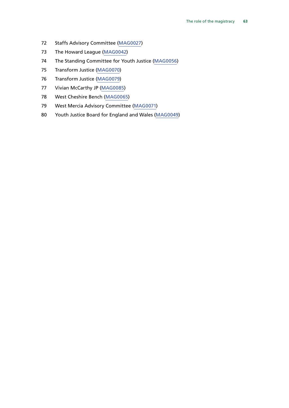- Staffs Advisory Committee ([MAG0027\)](http://data.parliament.uk/WrittenEvidence/CommitteeEvidence.svc/EvidenceDocument/Justice/Role%20of%20the%20magistracy/written/27172.html)
- The Howard League ([MAG0042](http://data.parliament.uk/WrittenEvidence/CommitteeEvidence.svc/EvidenceDocument/Justice/Role%20of%20the%20magistracy/written/27814.html))
- The Standing Committee for Youth Justice ([MAG0056](http://data.parliament.uk/WrittenEvidence/CommitteeEvidence.svc/EvidenceDocument/Justice/Role%20of%20the%20magistracy/written/27961.html))
- Transform Justice [\(MAG0070\)](http://data.parliament.uk/WrittenEvidence/CommitteeEvidence.svc/EvidenceDocument/Justice/Role%20of%20the%20magistracy/written/28059.html)
- Transform Justice [\(MAG0079\)](http://data.parliament.uk/WrittenEvidence/CommitteeEvidence.svc/EvidenceDocument/Justice/Role%20of%20the%20magistracy/written/31202.html)
- Vivian McCarthy JP ([MAG0085\)](http://data.parliament.uk/WrittenEvidence/CommitteeEvidence.svc/EvidenceDocument/Justice/Role%20of%20the%20magistracy/written/33933.html)
- West Cheshire Bench [\(MAG0065\)](http://data.parliament.uk/WrittenEvidence/CommitteeEvidence.svc/EvidenceDocument/Justice/Role%20of%20the%20magistracy/written/28006.html)
- West Mercia Advisory Committee [\(MAG0071](http://data.parliament.uk/WrittenEvidence/CommitteeEvidence.svc/EvidenceDocument/Justice/Role%20of%20the%20magistracy/written/28063.html))
- Youth Justice Board for England and Wales ([MAG0049\)](http://data.parliament.uk/WrittenEvidence/CommitteeEvidence.svc/EvidenceDocument/Justice/Role%20of%20the%20magistracy/written/27891.html)